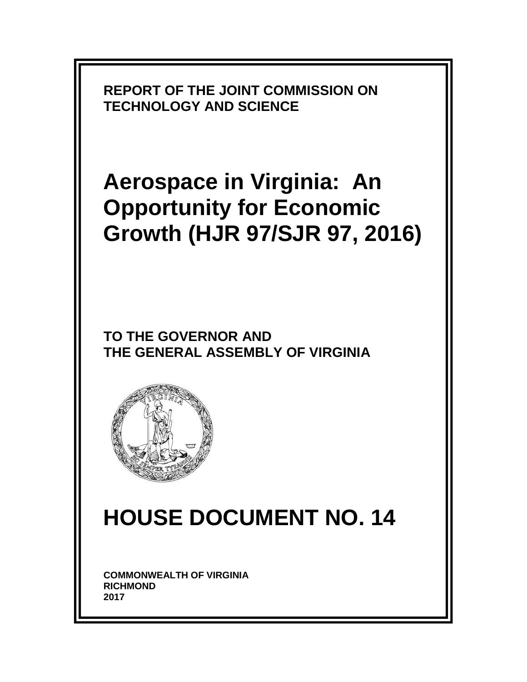

# **Aerospace in Virginia: An Opportunity for Economic Growth (HJR 97/SJR 97, 2016)**

**TO THE GOVERNOR AND THE GENERAL ASSEMBLY OF VIRGINIA** 



# **HOUSE DOCUMENT NO. 14**

**COMMONWEALTH OF VIRGINIA RICHMOND 2017**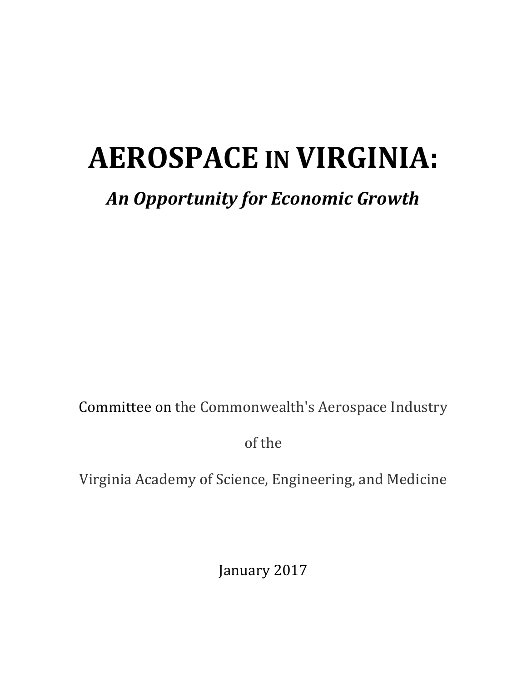# **AEROSPACE IN VIRGINIA:**

# *An Opportunity for Economic Growth*

Committee on the Commonwealth's Aerospace Industry

of the

Virginia Academy of Science, Engineering, and Medicine

January 2017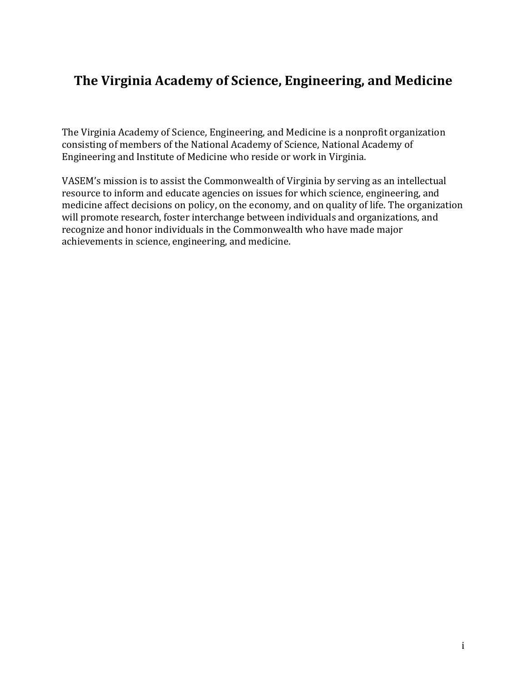# **The Virginia Academy of Science, Engineering, and Medicine**

The Virginia Academy of Science, Engineering, and Medicine is a nonprofit organization consisting of members of the National Academy of Science, National Academy of Engineering and Institute of Medicine who reside or work in Virginia.

VASEM's mission is to assist the Commonwealth of Virginia by serving as an intellectual resource to inform and educate agencies on issues for which science, engineering, and medicine affect decisions on policy, on the economy, and on quality of life. The organization will promote research, foster interchange between individuals and organizations, and recognize and honor individuals in the Commonwealth who have made major achievements in science, engineering, and medicine.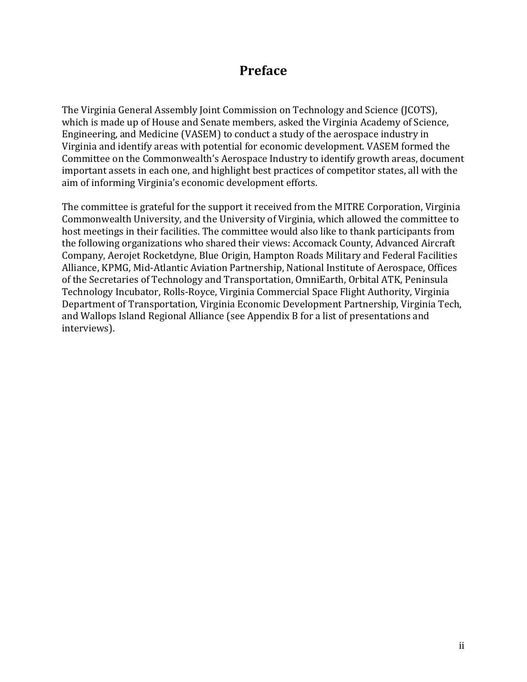# **Preface**

The Virginia General Assembly Joint Commission on Technology and Science (JCOTS), which is made up of House and Senate members, asked the Virginia Academy of Science, Engineering, and Medicine (VASEM) to conduct a study of the aerospace industry in Virginia and identify areas with potential for economic development. VASEM formed the Committee on the Commonwealth's Aerospace Industry to identify growth areas, document important assets in each one, and highlight best practices of competitor states, all with the aim of informing Virginia's economic development efforts.

The committee is grateful for the support it received from the MITRE Corporation, Virginia Commonwealth University, and the University of Virginia, which allowed the committee to host meetings in their facilities. The committee would also like to thank participants from the following organizations who shared their views: Accomack County, Advanced Aircraft Company, Aerojet Rocketdyne, Blue Origin, Hampton Roads Military and Federal Facilities Alliance, KPMG, Mid-Atlantic Aviation Partnership, National Institute of Aerospace, Offices of the Secretaries of Technology and Transportation, OmniEarth, Orbital ATK, Peninsula Technology Incubator, Rolls-Royce, Virginia Commercial Space Flight Authority, Virginia Department of Transportation, Virginia Economic Development Partnership, Virginia Tech, and Wallops Island Regional Alliance (see Appendix B for a list of presentations and interviews).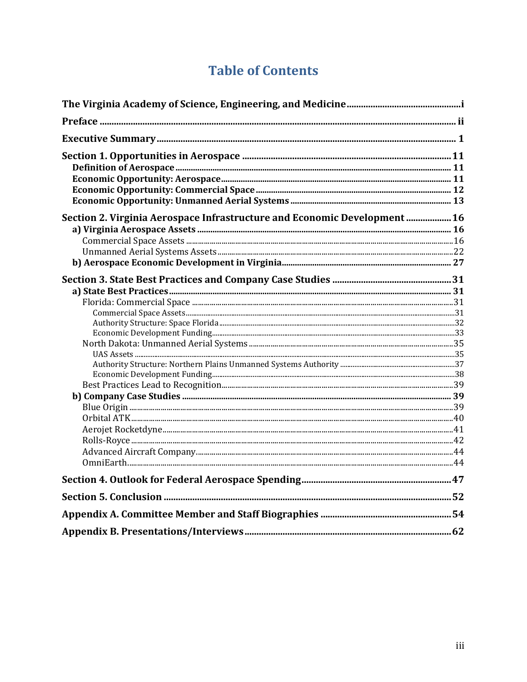# **Table of Contents**

| Section 2. Virginia Aerospace Infrastructure and Economic Development  16 |  |
|---------------------------------------------------------------------------|--|
|                                                                           |  |
|                                                                           |  |
|                                                                           |  |
|                                                                           |  |
|                                                                           |  |
|                                                                           |  |
|                                                                           |  |
|                                                                           |  |
|                                                                           |  |
|                                                                           |  |
|                                                                           |  |
|                                                                           |  |
|                                                                           |  |
|                                                                           |  |
|                                                                           |  |
|                                                                           |  |
|                                                                           |  |
|                                                                           |  |
|                                                                           |  |
|                                                                           |  |
|                                                                           |  |
|                                                                           |  |
|                                                                           |  |
|                                                                           |  |
|                                                                           |  |
|                                                                           |  |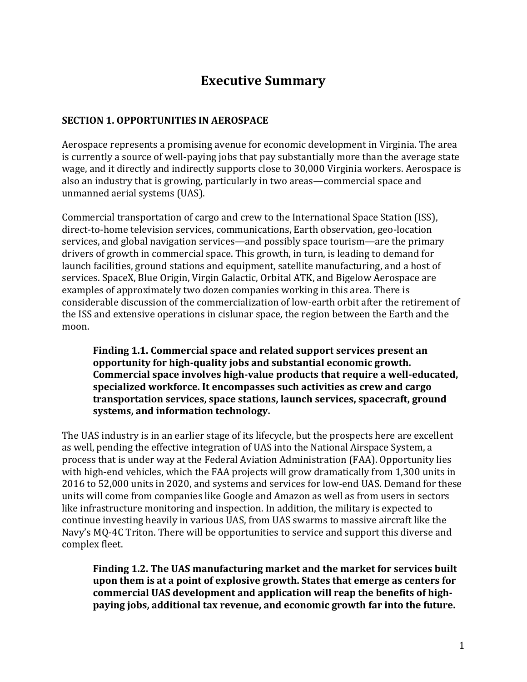# **Executive Summary**

#### **SECTION 1. OPPORTUNITIES IN AEROSPACE**

Aerospace represents a promising avenue for economic development in Virginia. The area is currently a source of well-paying jobs that pay substantially more than the average state wage, and it directly and indirectly supports close to 30,000 Virginia workers. Aerospace is also an industry that is growing, particularly in two areas—commercial space and unmanned aerial systems (UAS).

Commercial transportation of cargo and crew to the International Space Station (ISS), direct-to-home television services, communications, Earth observation, geo-location services, and global navigation services—and possibly space tourism—are the primary drivers of growth in commercial space. This growth, in turn, is leading to demand for launch facilities, ground stations and equipment, satellite manufacturing, and a host of services. SpaceX, Blue Origin, Virgin Galactic, Orbital ATK, and Bigelow Aerospace are examples of approximately two dozen companies working in this area. There is considerable discussion of the commercialization of low-earth orbit after the retirement of the ISS and extensive operations in cislunar space, the region between the Earth and the moon.

**Finding 1.1. Commercial space and related support services present an opportunity for high-quality jobs and substantial economic growth. Commercial space involves high-value products that require a well-educated, specialized workforce. It encompasses such activities as crew and cargo transportation services, space stations, launch services, spacecraft, ground systems, and information technology.**

The UAS industry is in an earlier stage of its lifecycle, but the prospects here are excellent as well, pending the effective integration of UAS into the National Airspace System, a process that is under way at the Federal Aviation Administration (FAA). Opportunity lies with high-end vehicles, which the FAA projects will grow dramatically from 1,300 units in 2016 to 52,000 units in 2020, and systems and services for low-end UAS. Demand for these units will come from companies like Google and Amazon as well as from users in sectors like infrastructure monitoring and inspection. In addition, the military is expected to continue investing heavily in various UAS, from UAS swarms to massive aircraft like the Navy's MQ-4C Triton. There will be opportunities to service and support this diverse and complex fleet.

**Finding 1.2. The UAS manufacturing market and the market for services built upon them is at a point of explosive growth. States that emerge as centers for commercial UAS development and application will reap the benefits of highpaying jobs, additional tax revenue, and economic growth far into the future.**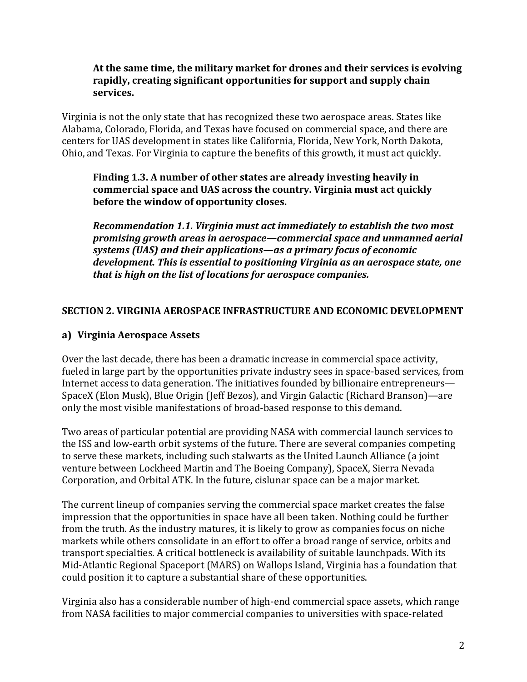#### **At the same time, the military market for drones and their services is evolving rapidly, creating significant opportunities for support and supply chain services.**

Virginia is not the only state that has recognized these two aerospace areas. States like Alabama, Colorado, Florida, and Texas have focused on commercial space, and there are centers for UAS development in states like California, Florida, New York, North Dakota, Ohio, and Texas. For Virginia to capture the benefits of this growth, it must act quickly.

#### **Finding 1.3. A number of other states are already investing heavily in commercial space and UAS across the country. Virginia must act quickly before the window of opportunity closes.**

*Recommendation 1.1. Virginia must act immediately to establish the two most promising growth areas in aerospace—commercial space and unmanned aerial systems (UAS) and their applications—as a primary focus of economic development. This is essential to positioning Virginia as an aerospace state, one that is high on the list of locations for aerospace companies.*

#### **SECTION 2. VIRGINIA AEROSPACE INFRASTRUCTURE AND ECONOMIC DEVELOPMENT**

#### **a) Virginia Aerospace Assets**

Over the last decade, there has been a dramatic increase in commercial space activity, fueled in large part by the opportunities private industry sees in space-based services, from Internet access to data generation. The initiatives founded by billionaire entrepreneurs— SpaceX (Elon Musk), Blue Origin (Jeff Bezos), and Virgin Galactic (Richard Branson)—are only the most visible manifestations of broad-based response to this demand.

Two areas of particular potential are providing NASA with commercial launch services to the ISS and low-earth orbit systems of the future. There are several companies competing to serve these markets, including such stalwarts as the United Launch Alliance (a joint venture between Lockheed Martin and The Boeing Company), SpaceX, Sierra Nevada Corporation, and Orbital ATK. In the future, cislunar space can be a major market.

The current lineup of companies serving the commercial space market creates the false impression that the opportunities in space have all been taken. Nothing could be further from the truth. As the industry matures, it is likely to grow as companies focus on niche markets while others consolidate in an effort to offer a broad range of service, orbits and transport specialties. A critical bottleneck is availability of suitable launchpads. With its Mid-Atlantic Regional Spaceport (MARS) on Wallops Island, Virginia has a foundation that could position it to capture a substantial share of these opportunities.

Virginia also has a considerable number of high-end commercial space assets, which range from NASA facilities to major commercial companies to universities with space-related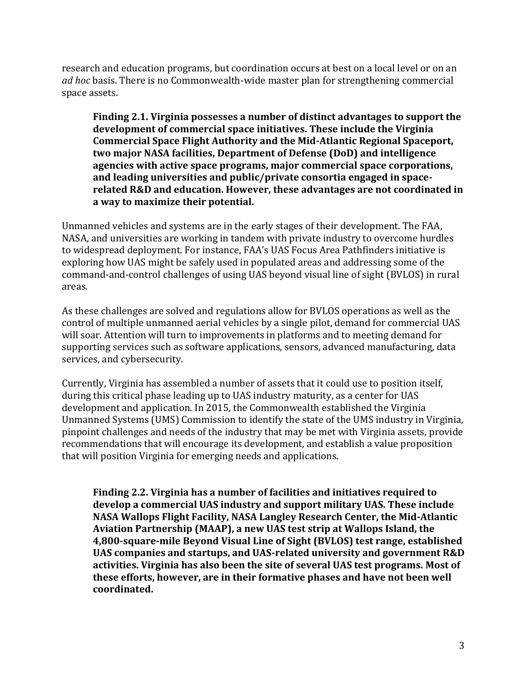research and education programs, but coordination occurs at best on a local level or on an *ad hoc* basis. There is no Commonwealth-wide master plan for strengthening commercial space assets.

**Finding 2.1. Virginia possesses a number of distinct advantages to support the development of commercial space initiatives. These include the Virginia Commercial Space Flight Authority and the Mid-Atlantic Regional Spaceport, two major NASA facilities, Department of Defense (DoD) and intelligence agencies with active space programs, major commercial space corporations, and leading universities and public/private consortia engaged in spacerelated R&D and education. However, these advantages are not coordinated in a way to maximize their potential.**

Unmanned vehicles and systems are in the early stages of their development. The FAA, NASA, and universities are working in tandem with private industry to overcome hurdles to widespread deployment. For instance, FAA's UAS Focus Area Pathfinders initiative is exploring how UAS might be safely used in populated areas and addressing some of the command-and-control challenges of using UAS beyond visual line of sight (BVLOS) in rural areas.

As these challenges are solved and regulations allow for BVLOS operations as well as the control of multiple unmanned aerial vehicles by a single pilot, demand for commercial UAS will soar. Attention will turn to improvements in platforms and to meeting demand for supporting services such as software applications, sensors, advanced manufacturing, data services, and cybersecurity.

Currently, Virginia has assembled a number of assets that it could use to position itself, during this critical phase leading up to UAS industry maturity, as a center for UAS development and application. In 2015, the Commonwealth established the Virginia Unmanned Systems (UMS) Commission to identify the state of the UMS industry in Virginia, pinpoint challenges and needs of the industry that may be met with Virginia assets, provide recommendations that will encourage its development, and establish a value proposition that will position Virginia for emerging needs and applications.

**Finding 2.2. Virginia has a number of facilities and initiatives required to develop a commercial UAS industry and support military UAS. These include NASA Wallops Flight Facility, NASA Langley Research Center, the Mid-Atlantic Aviation Partnership (MAAP), a new UAS test strip at Wallops Island, the 4,800-square-mile Beyond Visual Line of Sight (BVLOS) test range, established UAS companies and startups, and UAS-related university and government R&D activities. Virginia has also been the site of several UAS test programs. Most of these efforts, however, are in their formative phases and have not been well coordinated.**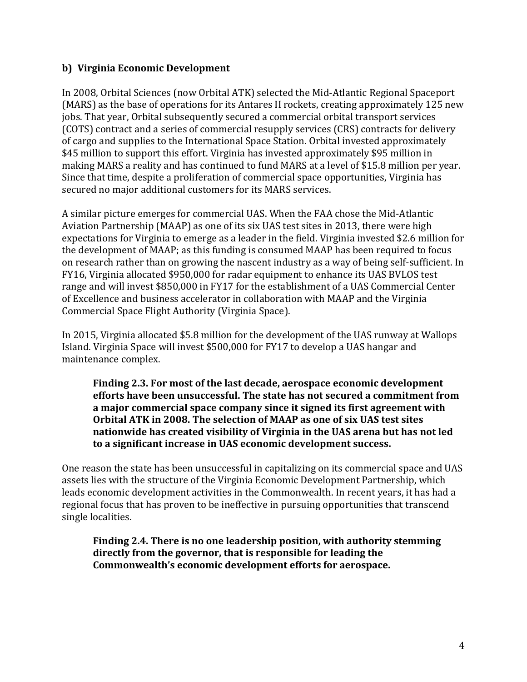#### **b) Virginia Economic Development**

In 2008, Orbital Sciences (now Orbital ATK) selected the Mid-Atlantic Regional Spaceport (MARS) as the base of operations for its Antares II rockets, creating approximately 125 new jobs. That year, Orbital subsequently secured a commercial orbital transport services (COTS) contract and a series of commercial resupply services (CRS) contracts for delivery of cargo and supplies to the International Space Station. Orbital invested approximately \$45 million to support this effort. Virginia has invested approximately \$95 million in making MARS a reality and has continued to fund MARS at a level of \$15.8 million per year. Since that time, despite a proliferation of commercial space opportunities, Virginia has secured no major additional customers for its MARS services.

A similar picture emerges for commercial UAS. When the FAA chose the Mid-Atlantic Aviation Partnership (MAAP) as one of its six UAS test sites in 2013, there were high expectations for Virginia to emerge as a leader in the field. Virginia invested \$2.6 million for the development of MAAP; as this funding is consumed MAAP has been required to focus on research rather than on growing the nascent industry as a way of being self-sufficient. In FY16, Virginia allocated \$950,000 for radar equipment to enhance its UAS BVLOS test range and will invest \$850,000 in FY17 for the establishment of a UAS Commercial Center of Excellence and business accelerator in collaboration with MAAP and the Virginia Commercial Space Flight Authority (Virginia Space).

In 2015, Virginia allocated \$5.8 million for the development of the UAS runway at Wallops Island. Virginia Space will invest \$500,000 for FY17 to develop a UAS hangar and maintenance complex.

**Finding 2.3. For most of the last decade, aerospace economic development efforts have been unsuccessful. The state has not secured a commitment from a major commercial space company since it signed its first agreement with Orbital ATK in 2008. The selection of MAAP as one of six UAS test sites nationwide has created visibility of Virginia in the UAS arena but has not led to a significant increase in UAS economic development success.**

One reason the state has been unsuccessful in capitalizing on its commercial space and UAS assets lies with the structure of the Virginia Economic Development Partnership, which leads economic development activities in the Commonwealth. In recent years, it has had a regional focus that has proven to be ineffective in pursuing opportunities that transcend single localities.

**Finding 2.4. There is no one leadership position, with authority stemming directly from the governor, that is responsible for leading the Commonwealth's economic development efforts for aerospace.**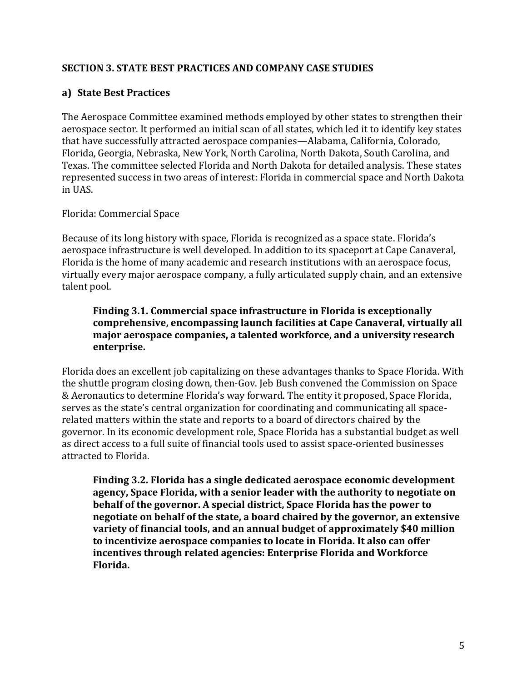#### **SECTION 3. STATE BEST PRACTICES AND COMPANY CASE STUDIES**

#### **a) State Best Practices**

The Aerospace Committee examined methods employed by other states to strengthen their aerospace sector. It performed an initial scan of all states, which led it to identify key states that have successfully attracted aerospace companies—Alabama, California, Colorado, Florida, Georgia, Nebraska, New York, North Carolina, North Dakota, South Carolina, and Texas. The committee selected Florida and North Dakota for detailed analysis. These states represented success in two areas of interest: Florida in commercial space and North Dakota in UAS.

#### Florida: Commercial Space

Because of its long history with space, Florida is recognized as a space state. Florida's aerospace infrastructure is well developed. In addition to its spaceport at Cape Canaveral, Florida is the home of many academic and research institutions with an aerospace focus, virtually every major aerospace company, a fully articulated supply chain, and an extensive talent pool.

#### **Finding 3.1. Commercial space infrastructure in Florida is exceptionally comprehensive, encompassing launch facilities at Cape Canaveral, virtually all major aerospace companies, a talented workforce, and a university research enterprise.**

Florida does an excellent job capitalizing on these advantages thanks to Space Florida. With the shuttle program closing down, then-Gov. Jeb Bush convened the Commission on Space & Aeronautics to determine Florida's way forward. The entity it proposed, Space Florida, serves as the state's central organization for coordinating and communicating all spacerelated matters within the state and reports to a board of directors chaired by the governor. In its economic development role, Space Florida has a substantial budget as well as direct access to a full suite of financial tools used to assist space-oriented businesses attracted to Florida.

**Finding 3.2. Florida has a single dedicated aerospace economic development agency, Space Florida, with a senior leader with the authority to negotiate on behalf of the governor. A special district, Space Florida has the power to negotiate on behalf of the state, a board chaired by the governor, an extensive variety of financial tools, and an annual budget of approximately \$40 million to incentivize aerospace companies to locate in Florida. It also can offer incentives through related agencies: Enterprise Florida and Workforce Florida.**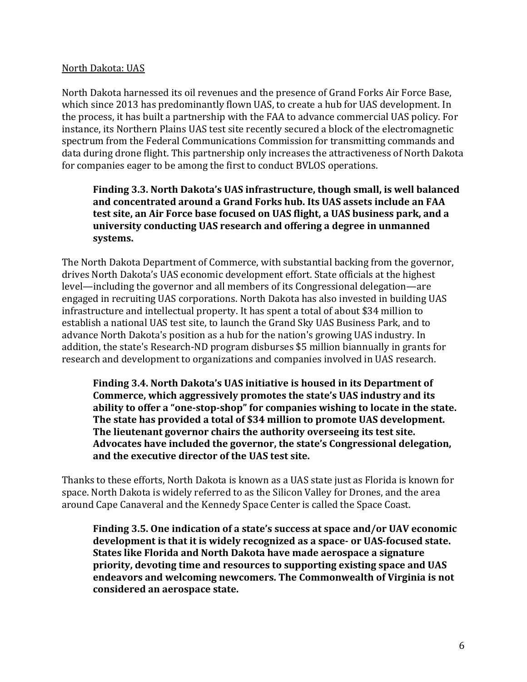#### North Dakota: UAS

North Dakota harnessed its oil revenues and the presence of Grand Forks Air Force Base, which since 2013 has predominantly flown UAS, to create a hub for UAS development. In the process, it has built a partnership with the FAA to advance commercial UAS policy. For instance, its Northern Plains UAS test site recently secured a block of the electromagnetic spectrum from the Federal Communications Commission for transmitting commands and data during drone flight. This partnership only increases the attractiveness of North Dakota for companies eager to be among the first to conduct BVLOS operations.

#### **Finding 3.3. North Dakota's UAS infrastructure, though small, is well balanced and concentrated around a Grand Forks hub. Its UAS assets include an FAA test site, an Air Force base focused on UAS flight, a UAS business park, and a university conducting UAS research and offering a degree in unmanned systems.**

The North Dakota Department of Commerce, with substantial backing from the governor, drives North Dakota's UAS economic development effort. State officials at the highest level—including the governor and all members of its Congressional delegation—are engaged in recruiting UAS corporations. North Dakota has also invested in building UAS infrastructure and intellectual property. It has spent a total of about \$34 million to establish a national UAS test site, to launch the Grand Sky UAS Business Park, and to advance North Dakota's position as a hub for the nation's growing UAS industry. In addition, the state's Research-ND program disburses \$5 million biannually in grants for research and development to organizations and companies involved in UAS research.

**Finding 3.4. North Dakota's UAS initiative is housed in its Department of Commerce, which aggressively promotes the state's UAS industry and its ability to offer a "one-stop-shop" for companies wishing to locate in the state. The state has provided a total of \$34 million to promote UAS development. The lieutenant governor chairs the authority overseeing its test site. Advocates have included the governor, the state's Congressional delegation, and the executive director of the UAS test site.**

Thanks to these efforts, North Dakota is known as a UAS state just as Florida is known for space. North Dakota is widely referred to as the Silicon Valley for Drones, and the area around Cape Canaveral and the Kennedy Space Center is called the Space Coast.

**Finding 3.5. One indication of a state's success at space and/or UAV economic development is that it is widely recognized as a space- or UAS-focused state. States like Florida and North Dakota have made aerospace a signature priority, devoting time and resources to supporting existing space and UAS endeavors and welcoming newcomers. The Commonwealth of Virginia is not considered an aerospace state.**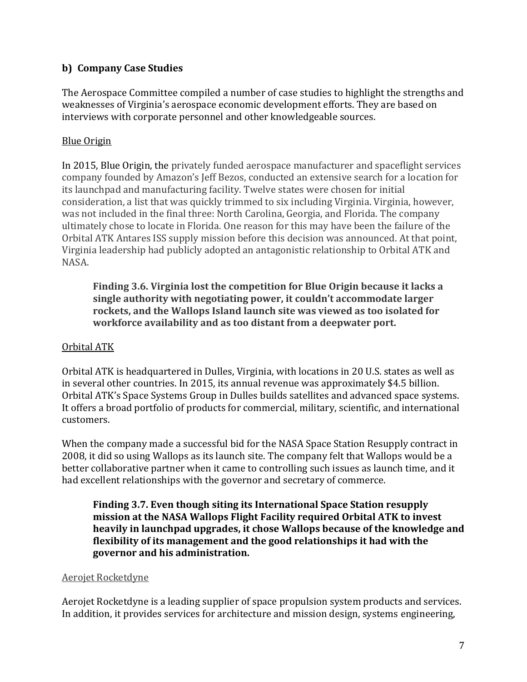#### **b) Company Case Studies**

The Aerospace Committee compiled a number of case studies to highlight the strengths and weaknesses of Virginia's aerospace economic development efforts. They are based on interviews with corporate personnel and other knowledgeable sources.

#### Blue Origin

In 2015, Blue Origin, the privately funded aerospace manufacturer and spaceflight services company founded by Amazon's Jeff Bezos, conducted an extensive search for a location for its launchpad and manufacturing facility. Twelve states were chosen for initial consideration, a list that was quickly trimmed to six including Virginia. Virginia, however, was not included in the final three: North Carolina, Georgia, and Florida. The company ultimately chose to locate in Florida. One reason for this may have been the failure of the Orbital ATK Antares ISS supply mission before this decision was announced. At that point, Virginia leadership had publicly adopted an antagonistic relationship to Orbital ATK and NASA.

**Finding 3.6. Virginia lost the competition for Blue Origin because it lacks a single authority with negotiating power, it couldn't accommodate larger rockets, and the Wallops Island launch site was viewed as too isolated for workforce availability and as too distant from a deepwater port.**

#### Orbital ATK

Orbital ATK is headquartered in Dulles, Virginia, with locations in 20 U.S. states as well as in several other countries. In 2015, its annual revenue was approximately \$4.5 billion. Orbital ATK's Space Systems Group in Dulles builds satellites and advanced space systems. It offers a broad portfolio of products for commercial, military, scientific, and international customers.

When the company made a successful bid for the NASA Space Station Resupply contract in 2008, it did so using Wallops as its launch site. The company felt that Wallops would be a better collaborative partner when it came to controlling such issues as launch time, and it had excellent relationships with the governor and secretary of commerce.

**Finding 3.7. Even though siting its International Space Station resupply mission at the NASA Wallops Flight Facility required Orbital ATK to invest heavily in launchpad upgrades, it chose Wallops because of the knowledge and flexibility of its management and the good relationships it had with the governor and his administration.** 

#### Aerojet Rocketdyne

Aerojet Rocketdyne is a leading supplier of space propulsion system products and services. In addition, it provides services for architecture and mission design, systems engineering,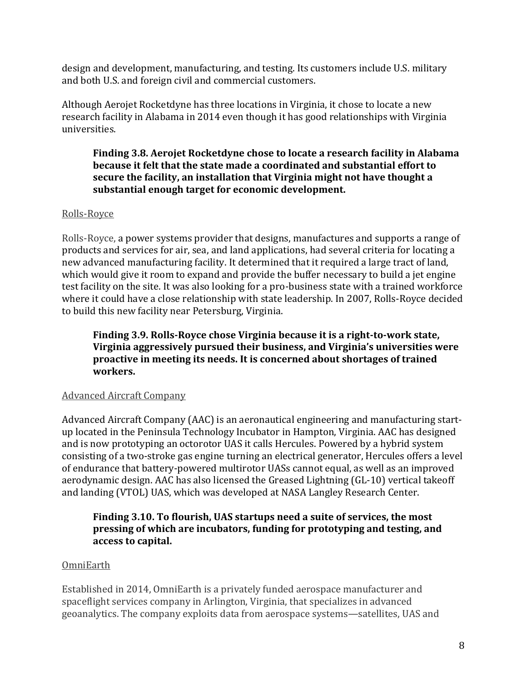design and development, manufacturing, and testing. Its customers include U.S. military and both U.S. and foreign civil and commercial customers.

Although Aerojet Rocketdyne has three locations in Virginia, it chose to locate a new research facility in Alabama in 2014 even though it has good relationships with Virginia universities.

#### **Finding 3.8. Aerojet Rocketdyne chose to locate a research facility in Alabama because it felt that the state made a coordinated and substantial effort to secure the facility, an installation that Virginia might not have thought a substantial enough target for economic development.**

#### Rolls-Royce

Rolls-Royce, a power systems provider that designs, manufactures and supports a range of products and services for air, sea, and land applications, had several criteria for locating a new advanced manufacturing facility. It determined that it required a large tract of land, which would give it room to expand and provide the buffer necessary to build a jet engine test facility on the site. It was also looking for a pro-business state with a trained workforce where it could have a close relationship with state leadership. In 2007, Rolls-Royce decided to build this new facility near Petersburg, Virginia.

**Finding 3.9. Rolls-Royce chose Virginia because it is a right-to-work state, Virginia aggressively pursued their business, and Virginia's universities were proactive in meeting its needs. It is concerned about shortages of trained workers.**

#### Advanced Aircraft Company

Advanced Aircraft Company (AAC) is an aeronautical engineering and manufacturing startup located in the Peninsula Technology Incubator in Hampton, Virginia. AAC has designed and is now prototyping an octorotor UAS it calls Hercules. Powered by a hybrid system consisting of a two-stroke gas engine turning an electrical generator, Hercules offers a level of endurance that battery-powered multirotor UASs cannot equal, as well as an improved aerodynamic design. AAC has also licensed the Greased Lightning (GL-10) vertical takeoff and landing (VTOL) UAS, which was developed at NASA Langley Research Center.

#### **Finding 3.10. To flourish, UAS startups need a suite of services, the most pressing of which are incubators, funding for prototyping and testing, and access to capital.**

#### **OmniEarth**

Established in 2014, OmniEarth is a privately funded aerospace manufacturer and spaceflight services company in Arlington, Virginia, that specializes in advanced geoanalytics. The company exploits data from aerospace systems—satellites, UAS and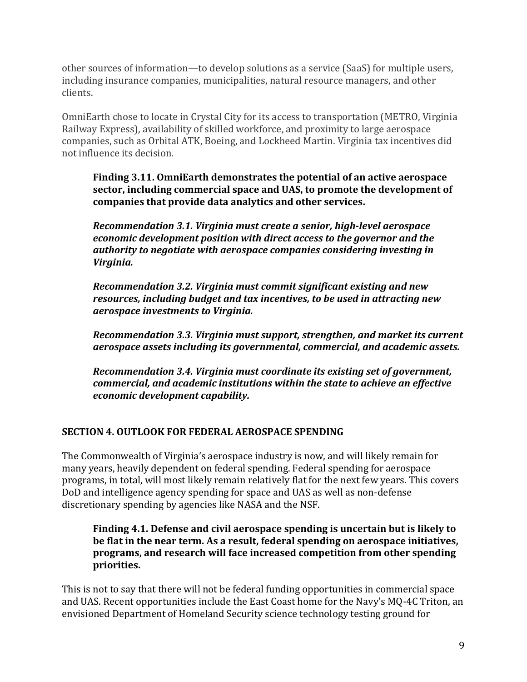other sources of information—to develop solutions as a service (SaaS) for multiple users, including insurance companies, municipalities, natural resource managers, and other clients.

OmniEarth chose to locate in Crystal City for its access to transportation (METRO, Virginia Railway Express), availability of skilled workforce, and proximity to large aerospace companies, such as Orbital ATK, Boeing, and Lockheed Martin. Virginia tax incentives did not influence its decision.

**Finding 3.11. OmniEarth demonstrates the potential of an active aerospace sector, including commercial space and UAS, to promote the development of companies that provide data analytics and other services.**

*Recommendation 3.1. Virginia must create a senior, high-level aerospace economic development position with direct access to the governor and the authority to negotiate with aerospace companies considering investing in Virginia.*

*Recommendation 3.2. Virginia must commit significant existing and new resources, including budget and tax incentives, to be used in attracting new aerospace investments to Virginia.*

*Recommendation 3.3. Virginia must support, strengthen, and market its current aerospace assets including its governmental, commercial, and academic assets.*

*Recommendation 3.4. Virginia must coordinate its existing set of government, commercial, and academic institutions within the state to achieve an effective economic development capability.*

#### **SECTION 4. OUTLOOK FOR FEDERAL AEROSPACE SPENDING**

The Commonwealth of Virginia's aerospace industry is now, and will likely remain for many years, heavily dependent on federal spending. Federal spending for aerospace programs, in total, will most likely remain relatively flat for the next few years. This covers DoD and intelligence agency spending for space and UAS as well as non-defense discretionary spending by agencies like NASA and the NSF.

#### **Finding 4.1. Defense and civil aerospace spending is uncertain but is likely to be flat in the near term. As a result, federal spending on aerospace initiatives, programs, and research will face increased competition from other spending priorities.**

This is not to say that there will not be federal funding opportunities in commercial space and UAS. Recent opportunities include the East Coast home for the Navy's MQ-4C Triton, an envisioned Department of Homeland Security science technology testing ground for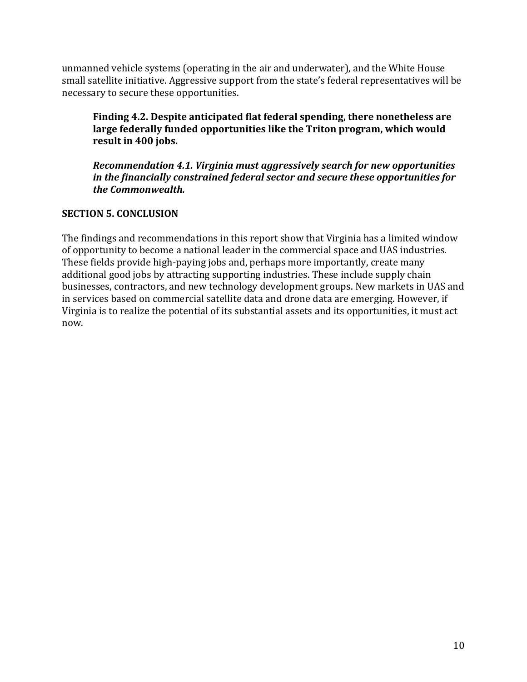unmanned vehicle systems (operating in the air and underwater), and the White House small satellite initiative. Aggressive support from the state's federal representatives will be necessary to secure these opportunities.

**Finding 4.2. Despite anticipated flat federal spending, there nonetheless are large federally funded opportunities like the Triton program, which would result in 400 jobs.**

*Recommendation 4.1. Virginia must aggressively search for new opportunities in the financially constrained federal sector and secure these opportunities for the Commonwealth.*

#### **SECTION 5. CONCLUSION**

The findings and recommendations in this report show that Virginia has a limited window of opportunity to become a national leader in the commercial space and UAS industries. These fields provide high-paying jobs and, perhaps more importantly, create many additional good jobs by attracting supporting industries. These include supply chain businesses, contractors, and new technology development groups. New markets in UAS and in services based on commercial satellite data and drone data are emerging. However, if Virginia is to realize the potential of its substantial assets and its opportunities, it must act now.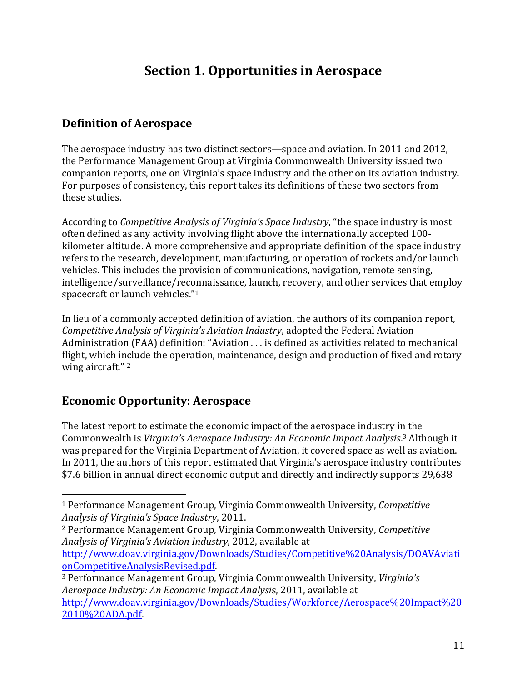# **Section 1. Opportunities in Aerospace**

### **Definition of Aerospace**

The aerospace industry has two distinct sectors—space and aviation. In 2011 and 2012, the Performance Management Group at Virginia Commonwealth University issued two companion reports, one on Virginia's space industry and the other on its aviation industry. For purposes of consistency, this report takes its definitions of these two sectors from these studies.

According to *Competitive Analysis of Virginia's Space Industry*, "the space industry is most often defined as any activity involving flight above the internationally accepted 100 kilometer altitude. A more comprehensive and appropriate definition of the space industry refers to the research, development, manufacturing, or operation of rockets and/or launch vehicles. This includes the provision of communications, navigation, remote sensing, intelligence/surveillance/reconnaissance, launch, recovery, and other services that employ spacecraft or launch vehicles."<sup>1</sup>

In lieu of a commonly accepted definition of aviation, the authors of its companion report, *Competitive Analysis of Virginia's Aviation Industry*, adopted the Federal Aviation Administration (FAA) definition: "Aviation . . . is defined as activities related to mechanical flight, which include the operation, maintenance, design and production of fixed and rotary wing aircraft."<sup>2</sup>

# **Economic Opportunity: Aerospace**

l

The latest report to estimate the economic impact of the aerospace industry in the Commonwealth is *Virginia's Aerospace Industry: An Economic Impact Analysis*. <sup>3</sup> Although it was prepared for the Virginia Department of Aviation, it covered space as well as aviation. In 2011, the authors of this report estimated that Virginia's aerospace industry contributes \$7.6 billion in annual direct economic output and directly and indirectly supports 29,638

<sup>2</sup> Performance Management Group, Virginia Commonwealth University, *Competitive Analysis of Virginia's Aviation Industry*, 2012, available at

[http://www.doav.virginia.gov/Downloads/Studies/Competitive%20Analysis/DOAVAviati](http://www.doav.virginia.gov/Downloads/Studies/Competitive%20Analysis/DOAVAviationCompetitiveAnalysisRevised.pdf) [onCompetitiveAnalysisRevised.pdf.](http://www.doav.virginia.gov/Downloads/Studies/Competitive%20Analysis/DOAVAviationCompetitiveAnalysisRevised.pdf)

<sup>1</sup> Performance Management Group, Virginia Commonwealth University, *Competitive Analysis of Virginia's Space Industry*, 2011.

<sup>3</sup> Performance Management Group, Virginia Commonwealth University, *Virginia's Aerospace Industry: An Economic Impact Analysi*s, 2011, available at [http://www.doav.virginia.gov/Downloads/Studies/Workforce/Aerospace%20Impact%20](http://www.doav.virginia.gov/Downloads/Studies/Workforce/Aerospace%20Impact%202010%20ADA.pdf) [2010%20ADA.pdf.](http://www.doav.virginia.gov/Downloads/Studies/Workforce/Aerospace%20Impact%202010%20ADA.pdf)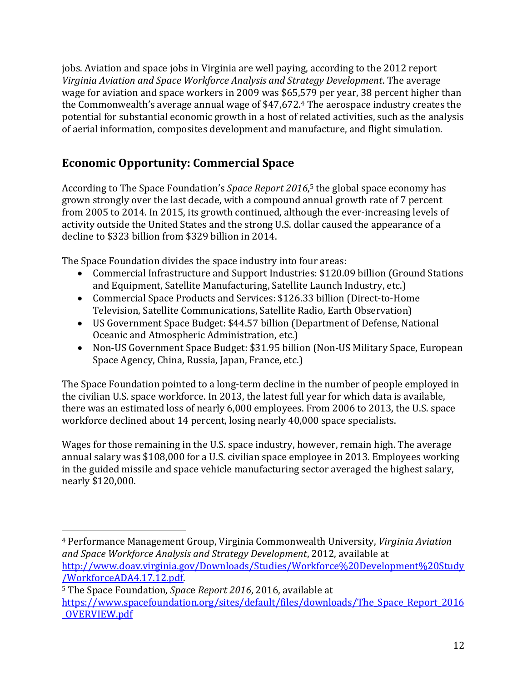jobs. Aviation and space jobs in Virginia are well paying, according to the 2012 report *Virginia Aviation and Space Workforce Analysis and Strategy Development*. The average wage for aviation and space workers in 2009 was \$65,579 per year, 38 percent higher than the Commonwealth's average annual wage of \$47,672.<sup>4</sup> The aerospace industry creates the potential for substantial economic growth in a host of related activities, such as the analysis of aerial information, composites development and manufacture, and flight simulation.

# **Economic Opportunity: Commercial Space**

According to The Space Foundation's *Space Report 2016*, <sup>5</sup> the global space economy has grown strongly over the last decade, with a compound annual growth rate of 7 percent from 2005 to 2014. In 2015, its growth continued, although the ever-increasing levels of activity outside the United States and the strong U.S. dollar caused the appearance of a decline to \$323 billion from \$329 billion in 2014.

The Space Foundation divides the space industry into four areas:

- Commercial Infrastructure and Support Industries: \$120.09 billion (Ground Stations and Equipment, Satellite Manufacturing, Satellite Launch Industry, etc.)
- Commercial Space Products and Services: \$126.33 billion (Direct-to-Home Television, Satellite Communications, Satellite Radio, Earth Observation)
- US Government Space Budget: \$44.57 billion (Department of Defense, National Oceanic and Atmospheric Administration, etc.)
- Non-US Government Space Budget: \$31.95 billion (Non-US Military Space, European Space Agency, China, Russia, Japan, France, etc.)

The Space Foundation pointed to a long-term decline in the number of people employed in the civilian U.S. space workforce. In 2013, the latest full year for which data is available, there was an estimated loss of nearly 6,000 employees. From 2006 to 2013, the U.S. space workforce declined about 14 percent, losing nearly 40,000 space specialists.

Wages for those remaining in the U.S. space industry, however, remain high. The average annual salary was \$108,000 for a U.S. civilian space employee in 2013. Employees working in the guided missile and space vehicle manufacturing sector averaged the highest salary, nearly \$120,000.

<sup>5</sup> The Space Foundation, *Spac*e *Report 2016*, 2016, available at https://www.spacefoundation.org/sites/default/files/downloads/The Space Report 2016 [\\_OVERVIEW.pdf](https://www.spacefoundation.org/sites/default/files/downloads/The_Space_Report_2016_OVERVIEW.pdf)

 $\overline{a}$ <sup>4</sup> Performance Management Group, Virginia Commonwealth University, *Virginia Aviation and Space Workforce Analysis and Strategy Development*, 2012, available at [http://www.doav.virginia.gov/Downloads/Studies/Workforce%20Development%20Study](http://www.doav.virginia.gov/Downloads/Studies/Workforce%20Development%20Study/WorkforceADA4.17.12.pdf) [/WorkforceADA4.17.12.pdf.](http://www.doav.virginia.gov/Downloads/Studies/Workforce%20Development%20Study/WorkforceADA4.17.12.pdf)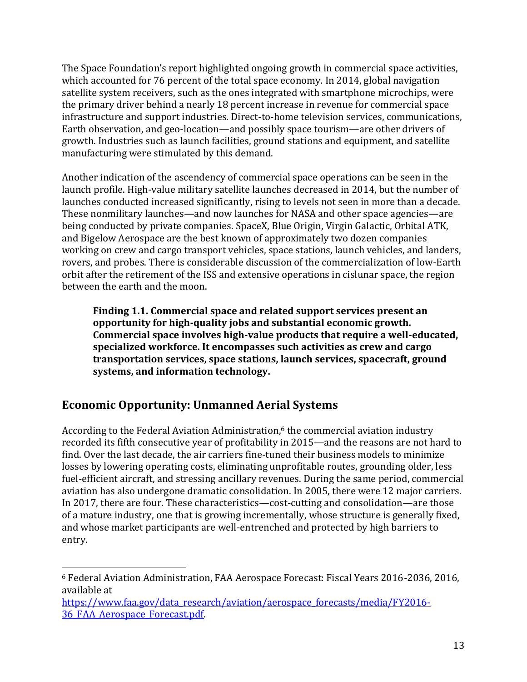The Space Foundation's report highlighted ongoing growth in commercial space activities, which accounted for 76 percent of the total space economy. In 2014, global navigation satellite system receivers, such as the ones integrated with smartphone microchips, were the primary driver behind a nearly 18 percent increase in revenue for commercial space infrastructure and support industries. Direct-to-home television services, communications, Earth observation, and geo-location—and possibly space tourism—are other drivers of growth. Industries such as launch facilities, ground stations and equipment, and satellite manufacturing were stimulated by this demand.

Another indication of the ascendency of commercial space operations can be seen in the launch profile. High-value military satellite launches decreased in 2014, but the number of launches conducted increased significantly, rising to levels not seen in more than a decade. These nonmilitary launches—and now launches for NASA and other space agencies—are being conducted by private companies. SpaceX, Blue Origin, Virgin Galactic, Orbital ATK, and Bigelow Aerospace are the best known of approximately two dozen companies working on crew and cargo transport vehicles, space stations, launch vehicles, and landers, rovers, and probes. There is considerable discussion of the commercialization of low-Earth orbit after the retirement of the ISS and extensive operations in cislunar space, the region between the earth and the moon.

**Finding 1.1. Commercial space and related support services present an opportunity for high-quality jobs and substantial economic growth. Commercial space involves high-value products that require a well-educated, specialized workforce. It encompasses such activities as crew and cargo transportation services, space stations, launch services, spacecraft, ground systems, and information technology.**

# **Economic Opportunity: Unmanned Aerial Systems**

 $\overline{a}$ 

According to the Federal Aviation Administration, <sup>6</sup> the commercial aviation industry recorded its fifth consecutive year of profitability in 2015—and the reasons are not hard to find. Over the last decade, the air carriers fine-tuned their business models to minimize losses by lowering operating costs, eliminating unprofitable routes, grounding older, less fuel-efficient aircraft, and stressing ancillary revenues. During the same period, commercial aviation has also undergone dramatic consolidation. In 2005, there were 12 major carriers. In 2017, there are four. These characteristics—cost-cutting and consolidation—are those of a mature industry, one that is growing incrementally, whose structure is generally fixed, and whose market participants are well-entrenched and protected by high barriers to entry.

<sup>6</sup> Federal Aviation Administration, FAA Aerospace Forecast: Fiscal Years 2016-2036, 2016, available at

[https://www.faa.gov/data\\_research/aviation/aerospace\\_forecasts/media/FY2016-](https://www.faa.gov/data_research/aviation/aerospace_forecasts/media/FY2016-36_FAA_Aerospace_Forecast.pdf) [36\\_FAA\\_Aerospace\\_Forecast.pdf.](https://www.faa.gov/data_research/aviation/aerospace_forecasts/media/FY2016-36_FAA_Aerospace_Forecast.pdf)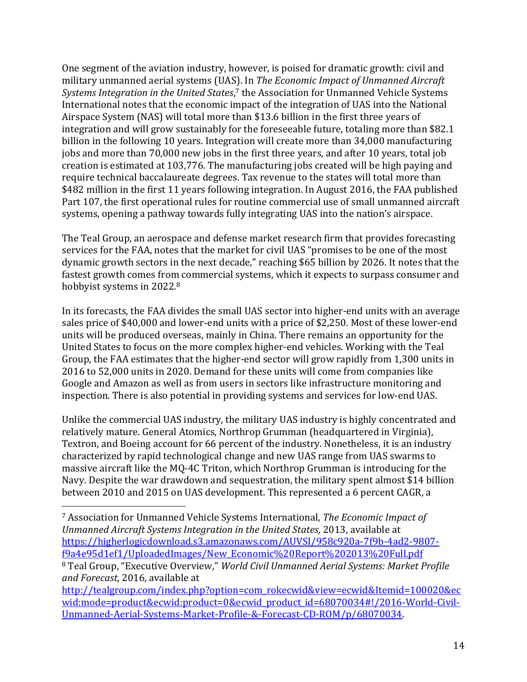One segment of the aviation industry, however, is poised for dramatic growth: civil and military unmanned aerial systems (UAS). In *The Economic Impact of Unmanned Aircraft Systems Integration in the United States*, <sup>7</sup> the Association for Unmanned Vehicle Systems International notes that the economic impact of the integration of UAS into the National Airspace System (NAS) will total more than \$13.6 billion in the first three years of integration and will grow sustainably for the foreseeable future, totaling more than \$82.1 billion in the following 10 years. Integration will create more than 34,000 manufacturing jobs and more than 70,000 new jobs in the first three years, and after 10 years, total job creation is estimated at 103,776. The manufacturing jobs created will be high paying and require technical baccalaureate degrees. Tax revenue to the states will total more than \$482 million in the first 11 years following integration. In August 2016, the FAA published Part 107, the first operational rules for routine commercial use of small unmanned aircraft systems, opening a pathway towards fully integrating UAS into the nation's airspace.

The Teal Group, an aerospace and defense market research firm that provides forecasting services for the FAA, notes that the market for civil UAS "promises to be one of the most dynamic growth sectors in the next decade," reaching \$65 billion by 2026. It notes that the fastest growth comes from commercial systems, which it expects to surpass consumer and hobbyist systems in 2022.<sup>8</sup>

In its forecasts, the FAA divides the small UAS sector into higher-end units with an average sales price of \$40,000 and lower-end units with a price of \$2,250. Most of these lower-end units will be produced overseas, mainly in China. There remains an opportunity for the United States to focus on the more complex higher-end vehicles. Working with the Teal Group, the FAA estimates that the higher-end sector will grow rapidly from 1,300 units in 2016 to 52,000 units in 2020. Demand for these units will come from companies like Google and Amazon as well as from users in sectors like infrastructure monitoring and inspection. There is also potential in providing systems and services for low-end UAS.

Unlike the commercial UAS industry, the military UAS industry is highly concentrated and relatively mature. General Atomics, Northrop Grumman (headquartered in Virginia), Textron, and Boeing account for 66 percent of the industry. Nonetheless, it is an industry characterized by rapid technological change and new UAS range from UAS swarms to massive aircraft like the MQ-4C Triton, which Northrop Grumman is introducing for the Navy. Despite the war drawdown and sequestration, the military spent almost \$14 billion between 2010 and 2015 on UAS development. This represented a 6 percent CAGR, a

 $\overline{a}$ 

<sup>7</sup> Association for Unmanned Vehicle Systems International, *The Economic Impact of Unmanned Aircraft Systems Integration in the United States,* 2013, available at [https://higherlogicdownload.s3.amazonaws.com/AUVSI/958c920a-7f9b-4ad2-9807](https://higherlogicdownload.s3.amazonaws.com/AUVSI/958c920a-7f9b-4ad2-9807-f9a4e95d1ef1/UploadedImages/New_Economic%20Report%202013%20Full.pdf) [f9a4e95d1ef1/UploadedImages/New\\_Economic%20Report%202013%20Full.pdf](https://higherlogicdownload.s3.amazonaws.com/AUVSI/958c920a-7f9b-4ad2-9807-f9a4e95d1ef1/UploadedImages/New_Economic%20Report%202013%20Full.pdf) <sup>8</sup> Teal Group, "Executive Overview," *World Civil Unmanned Aerial Systems: Market Profile and Forecast*, 2016, available at

[http://tealgroup.com/index.php?option=com\\_rokecwid&view=ecwid&Itemid=100020&ec](http://tealgroup.com/index.php?option=com_rokecwid&view=ecwid&Itemid=100020&ecwid:mode=product&ecwid:product=0&ecwid_product_id=68070034#!/2016-World-Civil-Unmanned-Aerial-Systems-Market-Profile-&-Forecast-CD-ROM/p/68070034) [wid:mode=product&ecwid:product=0&ecwid\\_product\\_id=68070034#!/2016-World-Civil-](http://tealgroup.com/index.php?option=com_rokecwid&view=ecwid&Itemid=100020&ecwid:mode=product&ecwid:product=0&ecwid_product_id=68070034#!/2016-World-Civil-Unmanned-Aerial-Systems-Market-Profile-&-Forecast-CD-ROM/p/68070034)[Unmanned-Aerial-Systems-Market-Profile-&-Forecast-CD-ROM/p/68070034.](http://tealgroup.com/index.php?option=com_rokecwid&view=ecwid&Itemid=100020&ecwid:mode=product&ecwid:product=0&ecwid_product_id=68070034#!/2016-World-Civil-Unmanned-Aerial-Systems-Market-Profile-&-Forecast-CD-ROM/p/68070034)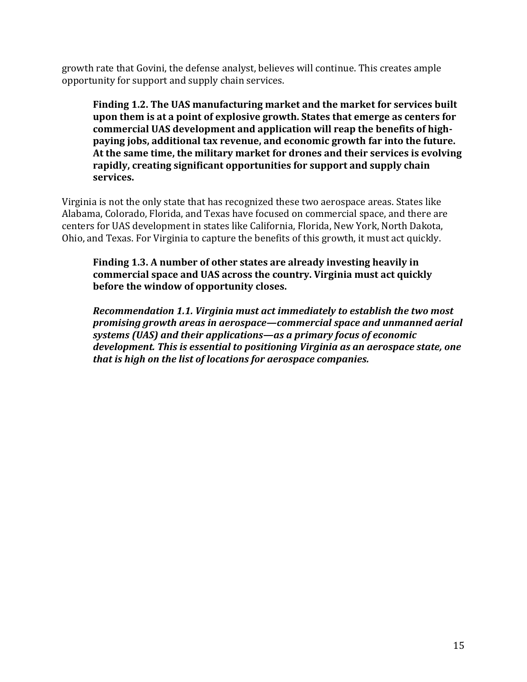growth rate that Govini, the defense analyst, believes will continue. This creates ample opportunity for support and supply chain services.

**Finding 1.2. The UAS manufacturing market and the market for services built upon them is at a point of explosive growth. States that emerge as centers for commercial UAS development and application will reap the benefits of highpaying jobs, additional tax revenue, and economic growth far into the future. At the same time, the military market for drones and their services is evolving rapidly, creating significant opportunities for support and supply chain services.**

Virginia is not the only state that has recognized these two aerospace areas. States like Alabama, Colorado, Florida, and Texas have focused on commercial space, and there are centers for UAS development in states like California, Florida, New York, North Dakota, Ohio, and Texas. For Virginia to capture the benefits of this growth, it must act quickly.

**Finding 1.3. A number of other states are already investing heavily in commercial space and UAS across the country. Virginia must act quickly before the window of opportunity closes.**

*Recommendation 1.1. Virginia must act immediately to establish the two most promising growth areas in aerospace—commercial space and unmanned aerial systems (UAS) and their applications—as a primary focus of economic development. This is essential to positioning Virginia as an aerospace state, one that is high on the list of locations for aerospace companies.*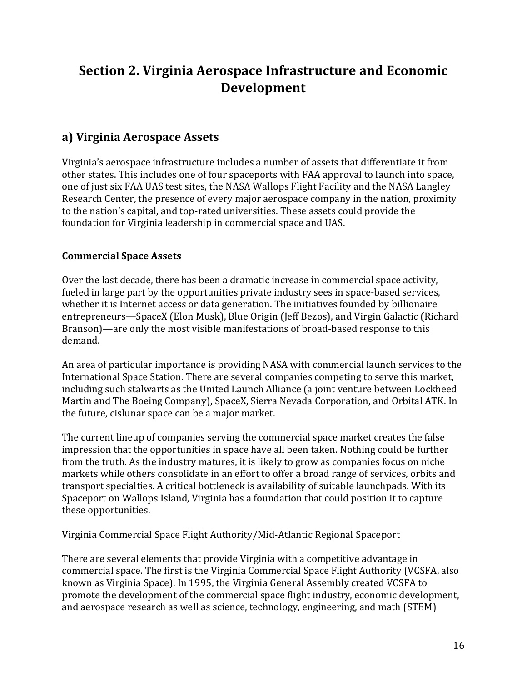# **Section 2. Virginia Aerospace Infrastructure and Economic Development**

# **a) Virginia Aerospace Assets**

Virginia's aerospace infrastructure includes a number of assets that differentiate it from other states. This includes one of four spaceports with FAA approval to launch into space, one of just six FAA UAS test sites, the NASA Wallops Flight Facility and the NASA Langley Research Center, the presence of every major aerospace company in the nation, proximity to the nation's capital, and top-rated universities. These assets could provide the foundation for Virginia leadership in commercial space and UAS.

#### **Commercial Space Assets**

Over the last decade, there has been a dramatic increase in commercial space activity, fueled in large part by the opportunities private industry sees in space-based services, whether it is Internet access or data generation. The initiatives founded by billionaire entrepreneurs—SpaceX (Elon Musk), Blue Origin (Jeff Bezos), and Virgin Galactic (Richard Branson)—are only the most visible manifestations of broad-based response to this demand.

An area of particular importance is providing NASA with commercial launch services to the International Space Station. There are several companies competing to serve this market, including such stalwarts as the United Launch Alliance (a joint venture between Lockheed Martin and The Boeing Company), SpaceX, Sierra Nevada Corporation, and Orbital ATK. In the future, cislunar space can be a major market.

The current lineup of companies serving the commercial space market creates the false impression that the opportunities in space have all been taken. Nothing could be further from the truth. As the industry matures, it is likely to grow as companies focus on niche markets while others consolidate in an effort to offer a broad range of services, orbits and transport specialties. A critical bottleneck is availability of suitable launchpads. With its Spaceport on Wallops Island, Virginia has a foundation that could position it to capture these opportunities.

#### Virginia Commercial Space Flight Authority/Mid-Atlantic Regional Spaceport

There are several elements that provide Virginia with a competitive advantage in commercial space. The first is the Virginia Commercial Space Flight Authority (VCSFA, also known as Virginia Space). In 1995, the Virginia General Assembly created VCSFA to promote the development of the commercial space flight industry, economic development, and aerospace research as well as science, technology, engineering, and math (STEM)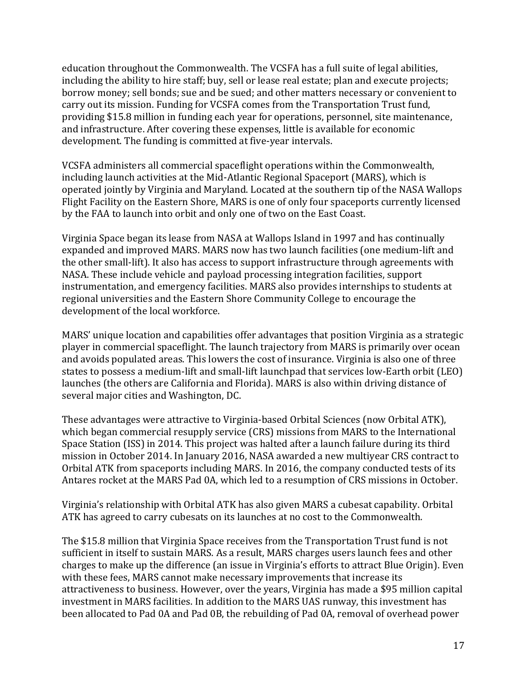education throughout the Commonwealth. The VCSFA has a full suite of legal abilities, including the ability to hire staff; buy, sell or lease real estate; plan and execute projects; borrow money; sell bonds; sue and be sued; and other matters necessary or convenient to carry out its mission. Funding for VCSFA comes from the Transportation Trust fund, providing \$15.8 million in funding each year for operations, personnel, site maintenance, and infrastructure. After covering these expenses, little is available for economic development. The funding is committed at five-year intervals.

VCSFA administers all commercial spaceflight operations within the Commonwealth, including launch activities at the Mid-Atlantic Regional Spaceport (MARS), which is operated jointly by Virginia and Maryland. Located at the southern tip of the NASA Wallops Flight Facility on the Eastern Shore, MARS is one of only four spaceports currently licensed by the FAA to launch into orbit and only one of two on the East Coast.

Virginia Space began its lease from NASA at Wallops Island in 1997 and has continually expanded and improved MARS. MARS now has two launch facilities (one medium-lift and the other small-lift). It also has access to support infrastructure through agreements with NASA. These include vehicle and payload processing integration facilities, support instrumentation, and emergency facilities. MARS also provides internships to students at regional universities and the Eastern Shore Community College to encourage the development of the local workforce.

MARS' unique location and capabilities offer advantages that position Virginia as a strategic player in commercial spaceflight. The launch trajectory from MARS is primarily over ocean and avoids populated areas. This lowers the cost of insurance. Virginia is also one of three states to possess a medium-lift and small-lift launchpad that services low-Earth orbit (LEO) launches (the others are California and Florida). MARS is also within driving distance of several major cities and Washington, DC.

These advantages were attractive to Virginia-based Orbital Sciences (now Orbital ATK), which began commercial resupply service (CRS) missions from MARS to the International Space Station (ISS) in 2014. This project was halted after a launch failure during its third mission in October 2014. In January 2016, NASA awarded a new multiyear CRS contract to Orbital ATK from spaceports including MARS. In 2016, the company conducted tests of its Antares rocket at the MARS Pad 0A, which led to a resumption of CRS missions in October.

Virginia's relationship with Orbital ATK has also given MARS a cubesat capability. Orbital ATK has agreed to carry cubesats on its launches at no cost to the Commonwealth.

The \$15.8 million that Virginia Space receives from the Transportation Trust fund is not sufficient in itself to sustain MARS. As a result, MARS charges users launch fees and other charges to make up the difference (an issue in Virginia's efforts to attract Blue Origin). Even with these fees, MARS cannot make necessary improvements that increase its attractiveness to business. However, over the years, Virginia has made a \$95 million capital investment in MARS facilities. In addition to the MARS UAS runway, this investment has been allocated to Pad 0A and Pad 0B, the rebuilding of Pad 0A, removal of overhead power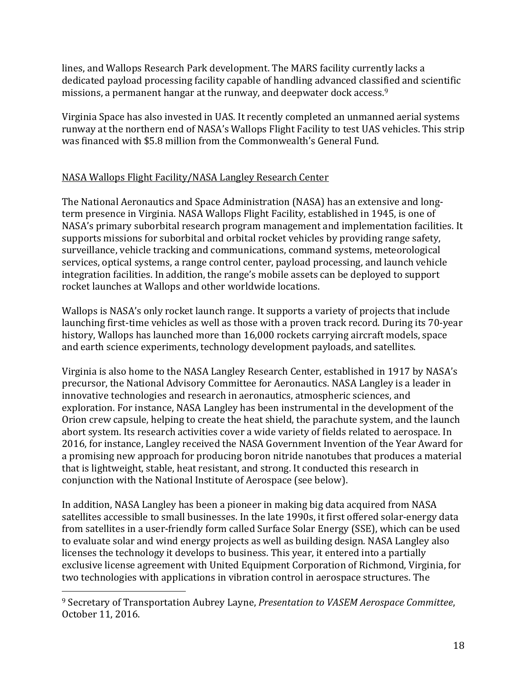lines, and Wallops Research Park development. The MARS facility currently lacks a dedicated payload processing facility capable of handling advanced classified and scientific missions, a permanent hangar at the runway, and deepwater dock access.<sup>9</sup>

Virginia Space has also invested in UAS. It recently completed an unmanned aerial systems runway at the northern end of NASA's Wallops Flight Facility to test UAS vehicles. This strip was financed with \$5.8 million from the Commonwealth's General Fund.

#### NASA Wallops Flight Facility/NASA Langley Research Center

The National Aeronautics and Space Administration (NASA) has an extensive and longterm presence in Virginia. NASA Wallops Flight Facility, established in 1945, is one of NASA's primary suborbital research program management and implementation facilities. It supports missions for suborbital and orbital rocket vehicles by providing range safety, surveillance, vehicle tracking and communications, command systems, meteorological services, optical systems, a range control center, payload processing, and launch vehicle integration facilities. In addition, the range's mobile assets can be deployed to support rocket launches at Wallops and other worldwide locations.

Wallops is NASA's only rocket launch range. It supports a variety of projects that include launching first-time vehicles as well as those with a proven track record. During its 70-year history, Wallops has launched more than 16,000 rockets carrying aircraft models, space and earth science experiments, technology development payloads, and satellites.

Virginia is also home to the NASA Langley Research Center, established in 1917 by NASA's precursor, the National Advisory Committee for Aeronautics. NASA Langley is a leader in innovative technologies and research in aeronautics, atmospheric sciences, and exploration. For instance, NASA Langley has been instrumental in the development of the Orion crew capsule, helping to create the heat shield, the parachute system, and the launch abort system. Its research activities cover a wide variety of fields related to aerospace. In 2016, for instance, Langley received the NASA Government Invention of the Year Award for a promising new approach for producing boron nitride nanotubes that produces a material that is lightweight, stable, heat resistant, and strong. It conducted this research in conjunction with the National Institute of Aerospace (see below).

In addition, NASA Langley has been a pioneer in making big data acquired from NASA satellites accessible to small businesses. In the late 1990s, it first offered solar-energy data from satellites in a user-friendly form called Surface Solar Energy (SSE), which can be used to evaluate solar and wind energy projects as well as building design. NASA Langley also licenses the technology it develops to business. This year, it entered into a partially exclusive license agreement with United Equipment Corporation of Richmond, Virginia, for two technologies with applications in vibration control in aerospace structures. The

 $\overline{a}$ 

<sup>9</sup> Secretary of Transportation Aubrey Layne, *Presentation to VASEM Aerospace Committee*, October 11, 2016.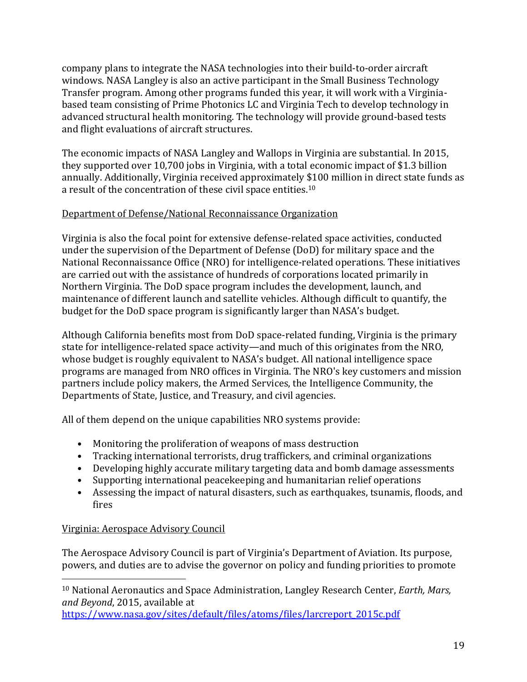company plans to integrate the NASA technologies into their build-to-order aircraft windows. NASA Langley is also an active participant in the Small Business Technology Transfer program. Among other programs funded this year, it will work with a Virginiabased team consisting of Prime Photonics LC and Virginia Tech to develop technology in advanced structural health monitoring. The technology will provide ground-based tests and flight evaluations of aircraft structures.

The economic impacts of NASA Langley and Wallops in Virginia are substantial. In 2015, they supported over 10,700 jobs in Virginia, with a total economic impact of \$1.3 billion annually. Additionally, Virginia received approximately \$100 million in direct state funds as a result of the concentration of these civil space entities.<sup>10</sup>

#### Department of Defense/National Reconnaissance Organization

Virginia is also the focal point for extensive defense-related space activities, conducted under the supervision of the Department of Defense (DoD) for military space and the National Reconnaissance Office (NRO) for intelligence-related operations. These initiatives are carried out with the assistance of hundreds of corporations located primarily in Northern Virginia. The DoD space program includes the development, launch, and maintenance of different launch and satellite vehicles. Although difficult to quantify, the budget for the DoD space program is significantly larger than NASA's budget.

Although California benefits most from DoD space-related funding, Virginia is the primary state for intelligence-related space activity—and much of this originates from the NRO, whose budget is roughly equivalent to NASA's budget. All national intelligence space programs are managed from NRO offices in Virginia. The NRO's key customers and mission partners include policy makers, the Armed Services, the Intelligence Community, the Departments of State, Justice, and Treasury, and civil agencies.

All of them depend on the unique capabilities NRO systems provide:

- Monitoring the proliferation of weapons of mass destruction
- Tracking international terrorists, drug traffickers, and criminal organizations
- Developing highly accurate military targeting data and bomb damage assessments
- Supporting international peacekeeping and humanitarian relief operations
- Assessing the impact of natural disasters, such as earthquakes, tsunamis, floods, and fires

#### Virginia: Aerospace Advisory Council

The Aerospace Advisory Council is part of Virginia's Department of Aviation. Its purpose, powers, and duties are to advise the governor on policy and funding priorities to promote

 $\overline{\phantom{a}}$ <sup>10</sup> National Aeronautics and Space Administration, Langley Research Center, *Earth, Mars, and Beyond*, 2015, available at

[https://www.nasa.gov/sites/default/files/atoms/files/larcreport\\_2015c.pdf](https://www.nasa.gov/sites/default/files/atoms/files/larcreport_2015c.pdf)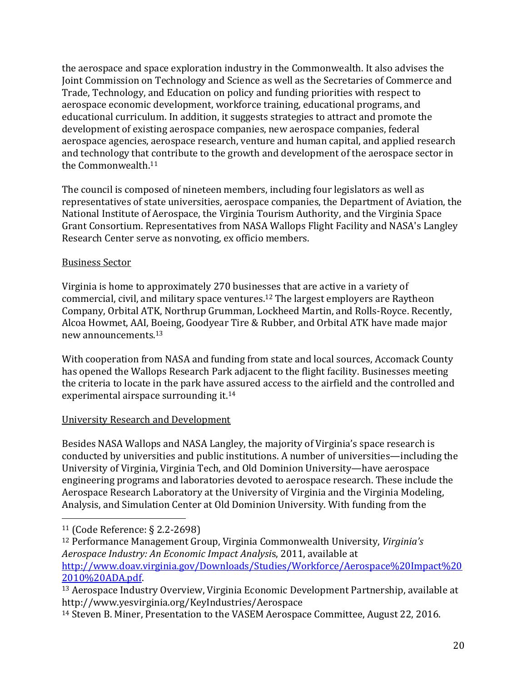the aerospace and space exploration industry in the Commonwealth. It also advises the Joint Commission on Technology and Science as well as the Secretaries of Commerce and Trade, Technology, and Education on policy and funding priorities with respect to aerospace economic development, workforce training, educational programs, and educational curriculum. In addition, it suggests strategies to attract and promote the development of existing aerospace companies, new aerospace companies, federal aerospace agencies, aerospace research, venture and human capital, and applied research and technology that contribute to the growth and development of the aerospace sector in the Commonwealth.<sup>11</sup>

The council is composed of nineteen members, including four legislators as well as representatives of state universities, aerospace companies, the Department of Aviation, the National Institute of Aerospace, the Virginia Tourism Authority, and the Virginia Space Grant Consortium. Representatives from NASA Wallops Flight Facility and NASA's Langley Research Center serve as nonvoting, ex officio members.

#### Business Sector

Virginia is home to approximately 270 businesses that are active in a variety of commercial, civil, and military space ventures.<sup>12</sup> The largest employers are Raytheon Company, Orbital ATK, Northrup Grumman, Lockheed Martin, and Rolls-Royce. Recently, Alcoa Howmet, AAI, Boeing, Goodyear Tire & Rubber, and Orbital ATK have made major new announcements.<sup>13</sup>

With cooperation from NASA and funding from state and local sources, Accomack County has opened the Wallops Research Park adjacent to the flight facility. Businesses meeting the criteria to locate in the park have assured access to the airfield and the controlled and experimental airspace surrounding it.<sup>14</sup>

#### University Research and Development

Besides NASA Wallops and NASA Langley, the majority of Virginia's space research is conducted by universities and public institutions. A number of universities—including the University of Virginia, Virginia Tech, and Old Dominion University—have aerospace engineering programs and laboratories devoted to aerospace research. These include the Aerospace Research Laboratory at the University of Virginia and the Virginia Modeling, Analysis, and Simulation Center at Old Dominion University. With funding from the

 $\overline{\phantom{a}}$ 

<sup>11</sup> (Code Reference: § 2.2-2698)

<sup>12</sup> Performance Management Group, Virginia Commonwealth University, *Virginia's Aerospace Industry: An Economic Impact Analysi*s, 2011, available at [http://www.doav.virginia.gov/Downloads/Studies/Workforce/Aerospace%20Impact%20](http://www.doav.virginia.gov/Downloads/Studies/Workforce/Aerospace%20Impact%202010%20ADA.pdf) [2010%20ADA.pdf.](http://www.doav.virginia.gov/Downloads/Studies/Workforce/Aerospace%20Impact%202010%20ADA.pdf)

<sup>13</sup> Aerospace Industry Overview, Virginia Economic Development Partnership, available at http://www.yesvirginia.org/KeyIndustries/Aerospace

<sup>14</sup> Steven B. Miner, Presentation to the VASEM Aerospace Committee, August 22, 2016.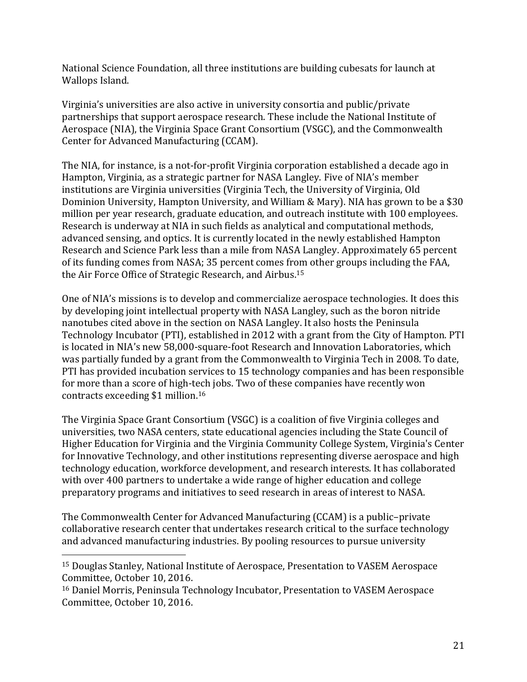National Science Foundation, all three institutions are building cubesats for launch at Wallops Island.

Virginia's universities are also active in university consortia and public/private partnerships that support aerospace research. These include the National Institute of Aerospace (NIA), the Virginia Space Grant Consortium (VSGC), and the Commonwealth Center for Advanced Manufacturing (CCAM).

The NIA, for instance, is a not-for-profit Virginia corporation established a decade ago in Hampton, Virginia, as a strategic partner for NASA Langley. Five of NIA's member institutions are Virginia universities (Virginia Tech, the University of Virginia, Old Dominion University, Hampton University, and William & Mary). NIA has grown to be a \$30 million per year research, graduate education, and outreach institute with 100 employees. Research is underway at NIA in such fields as analytical and computational methods, advanced sensing, and optics. It is currently located in the newly established Hampton Research and Science Park less than a mile from NASA Langley. Approximately 65 percent of its funding comes from NASA; 35 percent comes from other groups including the FAA, the Air Force Office of Strategic Research, and Airbus.<sup>15</sup>

One of NIA's missions is to develop and commercialize aerospace technologies. It does this by developing joint intellectual property with NASA Langley, such as the boron nitride nanotubes cited above in the section on NASA Langley. It also hosts the Peninsula Technology Incubator (PTI), established in 2012 with a grant from the City of Hampton. PTI is located in NIA's new 58,000-square-foot Research and Innovation Laboratories, which was partially funded by a grant from the Commonwealth to Virginia Tech in 2008. To date, PTI has provided incubation services to 15 technology companies and has been responsible for more than a score of high-tech jobs. Two of these companies have recently won contracts exceeding \$1 million.<sup>16</sup>

The Virginia Space Grant Consortium (VSGC) is a coalition of five Virginia colleges and universities, two NASA centers, state educational agencies including the State Council of Higher Education for Virginia and the Virginia Community College System, Virginia's Center for Innovative Technology, and other institutions representing diverse aerospace and high technology education, workforce development, and research interests. It has collaborated with over 400 partners to undertake a wide range of higher education and college preparatory programs and initiatives to seed research in areas of interest to NASA.

The Commonwealth Center for Advanced Manufacturing (CCAM) is a public–private collaborative research center that undertakes research critical to the surface technology and advanced manufacturing industries. By pooling resources to pursue university

l

<sup>15</sup> Douglas Stanley, National Institute of Aerospace, Presentation to VASEM Aerospace Committee, October 10, 2016.

<sup>16</sup> Daniel Morris, Peninsula Technology Incubator, Presentation to VASEM Aerospace Committee, October 10, 2016.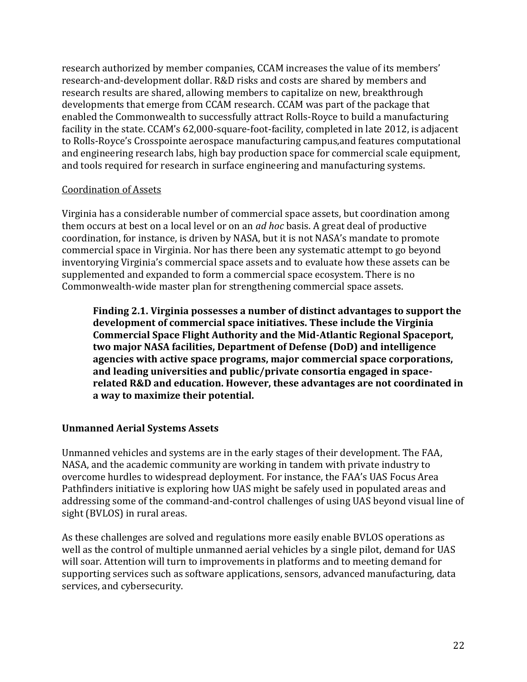research authorized by member companies, CCAM increases the value of its members' research-and-development dollar. R&D risks and costs are shared by members and research results are shared, allowing members to capitalize on new, breakthrough developments that emerge from CCAM research. CCAM was part of the package that enabled the Commonwealth to successfully attract Rolls-Royce to build a manufacturing facility in the state. CCAM's 62,000-square-foot-facility, completed in late 2012, is adjacent to Rolls-Royce's Crosspointe aerospace manufacturing campus,and features computational and engineering research labs, high bay production space for commercial scale equipment, and tools required for research in surface engineering and manufacturing systems.

#### Coordination of Assets

Virginia has a considerable number of commercial space assets, but coordination among them occurs at best on a local level or on an *ad hoc* basis. A great deal of productive coordination, for instance, is driven by NASA, but it is not NASA's mandate to promote commercial space in Virginia. Nor has there been any systematic attempt to go beyond inventorying Virginia's commercial space assets and to evaluate how these assets can be supplemented and expanded to form a commercial space ecosystem. There is no Commonwealth-wide master plan for strengthening commercial space assets.

**Finding 2.1. Virginia possesses a number of distinct advantages to support the development of commercial space initiatives. These include the Virginia Commercial Space Flight Authority and the Mid-Atlantic Regional Spaceport, two major NASA facilities, Department of Defense (DoD) and intelligence agencies with active space programs, major commercial space corporations, and leading universities and public/private consortia engaged in spacerelated R&D and education. However, these advantages are not coordinated in a way to maximize their potential.**

#### **Unmanned Aerial Systems Assets**

Unmanned vehicles and systems are in the early stages of their development. The FAA, NASA, and the academic community are working in tandem with private industry to overcome hurdles to widespread deployment. For instance, the FAA's UAS Focus Area Pathfinders initiative is exploring how UAS might be safely used in populated areas and addressing some of the command-and-control challenges of using UAS beyond visual line of sight (BVLOS) in rural areas.

As these challenges are solved and regulations more easily enable BVLOS operations as well as the control of multiple unmanned aerial vehicles by a single pilot, demand for UAS will soar. Attention will turn to improvements in platforms and to meeting demand for supporting services such as software applications, sensors, advanced manufacturing, data services, and cybersecurity.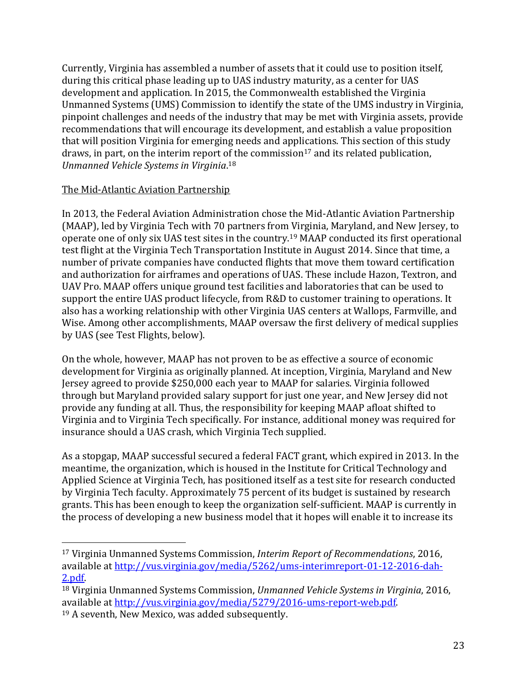Currently, Virginia has assembled a number of assets that it could use to position itself, during this critical phase leading up to UAS industry maturity, as a center for UAS development and application. In 2015, the Commonwealth established the Virginia Unmanned Systems (UMS) Commission to identify the state of the UMS industry in Virginia, pinpoint challenges and needs of the industry that may be met with Virginia assets, provide recommendations that will encourage its development, and establish a value proposition that will position Virginia for emerging needs and applications. This section of this study draws, in part, on the interim report of the commission<sup>17</sup> and its related publication, *Unmanned Vehicle Systems in Virginia*. 18

#### The Mid-Atlantic Aviation Partnership

In 2013, the Federal Aviation Administration chose the Mid-Atlantic Aviation Partnership (MAAP), led by Virginia Tech with 70 partners from Virginia, Maryland, and New Jersey, to operate one of only six UAS test sites in the country.<sup>19</sup> MAAP conducted its first operational test flight at the Virginia Tech Transportation Institute in August 2014. Since that time, a number of private companies have conducted flights that move them toward certification and authorization for airframes and operations of UAS. These include Hazon, Textron, and UAV Pro. MAAP offers unique ground test facilities and laboratories that can be used to support the entire UAS product lifecycle, from R&D to customer training to operations. It also has a working relationship with other Virginia UAS centers at Wallops, Farmville, and Wise. Among other accomplishments, MAAP oversaw the first delivery of medical supplies by UAS (see Test Flights, below).

On the whole, however, MAAP has not proven to be as effective a source of economic development for Virginia as originally planned. At inception, Virginia, Maryland and New Jersey agreed to provide \$250,000 each year to MAAP for salaries. Virginia followed through but Maryland provided salary support for just one year, and New Jersey did not provide any funding at all. Thus, the responsibility for keeping MAAP afloat shifted to Virginia and to Virginia Tech specifically. For instance, additional money was required for insurance should a UAS crash, which Virginia Tech supplied.

As a stopgap, MAAP successful secured a federal FACT grant, which expired in 2013. In the meantime, the organization, which is housed in the Institute for Critical Technology and Applied Science at Virginia Tech, has positioned itself as a test site for research conducted by Virginia Tech faculty. Approximately 75 percent of its budget is sustained by research grants. This has been enough to keep the organization self-sufficient. MAAP is currently in the process of developing a new business model that it hopes will enable it to increase its

 $\overline{\phantom{a}}$ 

<sup>17</sup> Virginia Unmanned Systems Commission, *Interim Report of Recommendations*, 2016, available at [http://vus.virginia.gov/media/5262/ums-interimreport-01-12-2016-dah-](http://vus.virginia.gov/media/5262/ums-interimreport-01-12-2016-dah-2.pdf)[2.pdf.](http://vus.virginia.gov/media/5262/ums-interimreport-01-12-2016-dah-2.pdf)

<sup>18</sup> Virginia Unmanned Systems Commission, *Unmanned Vehicle Systems in Virginia*, 2016, available at [http://vus.virginia.gov/media/5279/2016-ums-report-web.pdf.](http://vus.virginia.gov/media/5279/2016-ums-report-web.pdf) 

<sup>19</sup> A seventh, New Mexico, was added subsequently.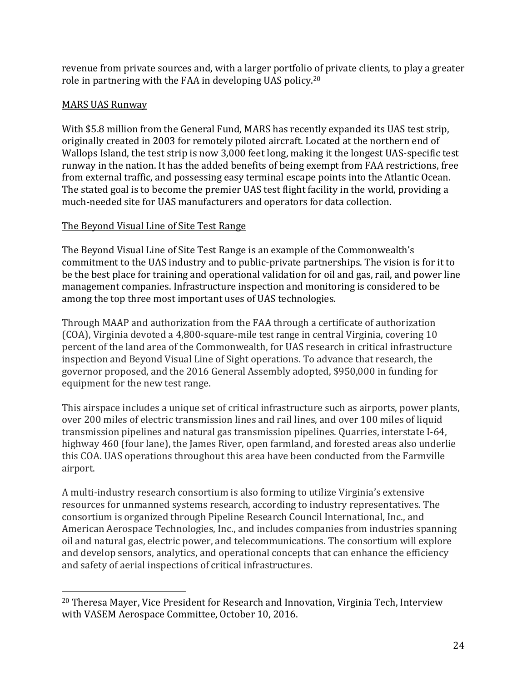revenue from private sources and, with a larger portfolio of private clients, to play a greater role in partnering with the FAA in developing UAS policy.<sup>20</sup>

#### MARS UAS Runway

 $\overline{\phantom{a}}$ 

With \$5.8 million from the General Fund, MARS has recently expanded its UAS test strip, originally created in 2003 for remotely piloted aircraft. Located at the northern end of Wallops Island, the test strip is now 3,000 feet long, making it the longest UAS-specific test runway in the nation. It has the added benefits of being exempt from FAA restrictions, free from external traffic, and possessing easy terminal escape points into the Atlantic Ocean. The stated goal is to become the premier UAS test flight facility in the world, providing a much-needed site for UAS manufacturers and operators for data collection.

#### The Beyond Visual Line of Site Test Range

The Beyond Visual Line of Site Test Range is an example of the Commonwealth's commitment to the UAS industry and to public-private partnerships. The vision is for it to be the best place for training and operational validation for oil and gas, rail, and power line management companies. Infrastructure inspection and monitoring is considered to be among the top three most important uses of UAS technologies.

Through MAAP and authorization from the FAA through a certificate of authorization (COA), Virginia devoted a 4,800-square-mile test range in central Virginia, covering 10 percent of the land area of the Commonwealth, for UAS research in critical infrastructure inspection and Beyond Visual Line of Sight operations. To advance that research, the governor proposed, and the 2016 General Assembly adopted, \$950,000 in funding for equipment for the new test range.

This airspace includes a unique set of critical infrastructure such as airports, power plants, over 200 miles of electric transmission lines and rail lines, and over 100 miles of liquid transmission pipelines and natural gas transmission pipelines. Quarries, interstate I-64, highway 460 (four lane), the James River, open farmland, and forested areas also underlie this COA. UAS operations throughout this area have been conducted from the Farmville airport.

A multi-industry research consortium is also forming to utilize Virginia's extensive resources for unmanned systems research, according to industry representatives. The consortium is organized through Pipeline Research Council International, Inc., and American Aerospace Technologies, Inc., and includes companies from industries spanning oil and natural gas, electric power, and telecommunications. The consortium will explore and develop sensors, analytics, and operational concepts that can enhance the efficiency and safety of aerial inspections of critical infrastructures.

<sup>20</sup> Theresa Mayer, Vice President for Research and Innovation, Virginia Tech, Interview with VASEM Aerospace Committee, October 10, 2016.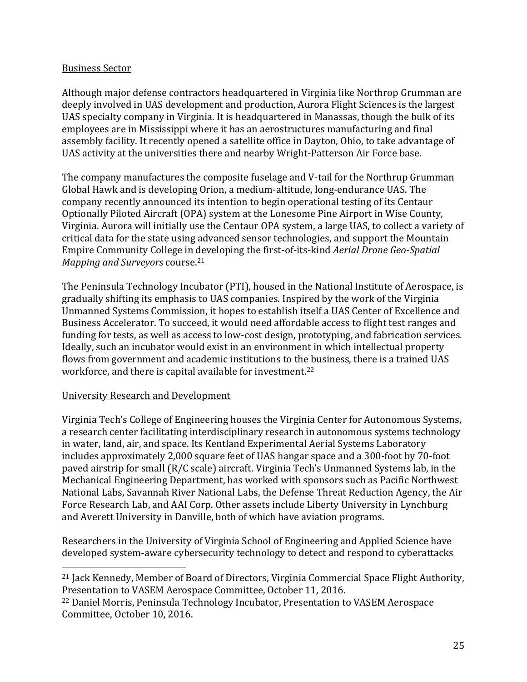#### Business Sector

Although major defense contractors headquartered in Virginia like Northrop Grumman are deeply involved in UAS development and production, Aurora Flight Sciences is the largest UAS specialty company in Virginia. It is headquartered in Manassas, though the bulk of its employees are in Mississippi where it has an aerostructures manufacturing and final assembly facility. It recently opened a satellite office in Dayton, Ohio, to take advantage of UAS activity at the universities there and nearby Wright-Patterson Air Force base.

The company manufactures the composite fuselage and V-tail for the Northrup Grumman Global Hawk and is developing Orion, a medium-altitude, long-endurance UAS. The company recently announced its intention to begin operational testing of its Centaur Optionally Piloted Aircraft (OPA) system at the Lonesome Pine Airport in Wise County, Virginia. Aurora will initially use the Centaur OPA system, a large UAS, to collect a variety of critical data for the state using advanced sensor technologies, and support the Mountain Empire Community College in developing the first-of-its-kind *Aerial Drone Geo-Spatial Mapping and Surveyors* course.<sup>21</sup>

The Peninsula Technology Incubator (PTI), housed in the National Institute of Aerospace, is gradually shifting its emphasis to UAS companies. Inspired by the work of the Virginia Unmanned Systems Commission, it hopes to establish itself a UAS Center of Excellence and Business Accelerator. To succeed, it would need affordable access to flight test ranges and funding for tests, as well as access to low-cost design, prototyping, and fabrication services. Ideally, such an incubator would exist in an environment in which intellectual property flows from government and academic institutions to the business, there is a trained UAS workforce, and there is capital available for investment.<sup>22</sup>

#### University Research and Development

 $\overline{\phantom{a}}$ 

Virginia Tech's College of Engineering houses the Virginia Center for Autonomous Systems, a research center facilitating interdisciplinary research in autonomous systems technology in water, land, air, and space. Its Kentland Experimental Aerial Systems Laboratory includes approximately 2,000 square feet of UAS hangar space and a 300-foot by 70-foot paved airstrip for small (R/C scale) aircraft. Virginia Tech's Unmanned Systems lab, in the Mechanical Engineering Department, has worked with sponsors such as Pacific Northwest National Labs, Savannah River National Labs, the Defense Threat Reduction Agency, the Air Force Research Lab, and AAI Corp. Other assets include Liberty University in Lynchburg and Averett University in Danville, both of which have aviation programs.

Researchers in the University of Virginia School of Engineering and Applied Science have developed system-aware cybersecurity technology to detect and respond to cyberattacks

<sup>21</sup> Jack Kennedy, Member of Board of Directors, Virginia Commercial Space Flight Authority, Presentation to VASEM Aerospace Committee, October 11, 2016.

<sup>22</sup> Daniel Morris, Peninsula Technology Incubator, Presentation to VASEM Aerospace Committee, October 10, 2016.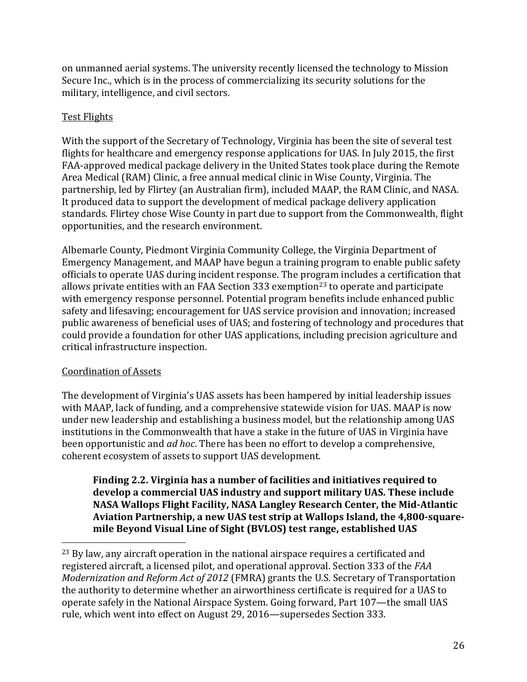on unmanned aerial systems. The university recently licensed the technology to Mission Secure Inc., which is in the process of commercializing its security solutions for the military, intelligence, and civil sectors.

#### Test Flights

With the support of the Secretary of Technology, Virginia has been the site of several test flights for healthcare and emergency response applications for UAS. In July 2015, the first FAA-approved medical package delivery in the United States took place during the Remote Area Medical (RAM) Clinic, a free annual medical clinic in Wise County, Virginia. The partnership, led by Flirtey (an Australian firm), included MAAP, the RAM Clinic, and NASA. It produced data to support the development of medical package delivery application standards. Flirtey chose Wise County in part due to support from the Commonwealth, flight opportunities, and the research environment.

Albemarle County, Piedmont Virginia Community College, the Virginia Department of Emergency Management, and MAAP have begun a training program to enable public safety officials to operate UAS during incident response. The program includes a certification that allows private entities with an FAA Section 333 exemption<sup>23</sup> to operate and participate with emergency response personnel. Potential program benefits include enhanced public safety and lifesaving; encouragement for UAS service provision and innovation; increased public awareness of beneficial uses of UAS; and fostering of technology and procedures that could provide a foundation for other UAS applications, including precision agriculture and critical infrastructure inspection.

#### Coordination of Assets

 $\overline{\phantom{a}}$ 

The development of Virginia's UAS assets has been hampered by initial leadership issues with MAAP, lack of funding, and a comprehensive statewide vision for UAS. MAAP is now under new leadership and establishing a business model, but the relationship among UAS institutions in the Commonwealth that have a stake in the future of UAS in Virginia have been opportunistic and *ad hoc*. There has been no effort to develop a comprehensive, coherent ecosystem of assets to support UAS development.

**Finding 2.2. Virginia has a number of facilities and initiatives required to develop a commercial UAS industry and support military UAS. These include NASA Wallops Flight Facility, NASA Langley Research Center, the Mid-Atlantic Aviation Partnership, a new UAS test strip at Wallops Island, the 4,800-squaremile Beyond Visual Line of Sight (BVLOS) test range, established UAS** 

<sup>&</sup>lt;sup>23</sup> By law, any aircraft operation in the national airspace requires a certificated and registered aircraft, a licensed pilot, and operational approval. Section 333 of the *FAA Modernization and Reform Act of 2012* (FMRA) grants the U.S. Secretary of Transportation the authority to determine whether an airworthiness certificate is required for a UAS to operate safely in the National Airspace System. Going forward, Part 107—the small UAS rule, which went into effect on August 29, 2016—supersedes Section 333.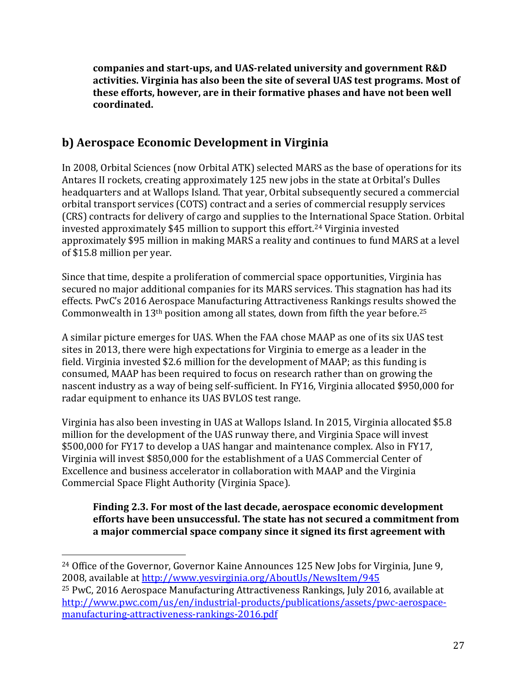**companies and start-ups, and UAS-related university and government R&D activities. Virginia has also been the site of several UAS test programs. Most of these efforts, however, are in their formative phases and have not been well coordinated.**

# **b) Aerospace Economic Development in Virginia**

In 2008, Orbital Sciences (now Orbital ATK) selected MARS as the base of operations for its Antares II rockets, creating approximately 125 new jobs in the state at Orbital's Dulles headquarters and at Wallops Island. That year, Orbital subsequently secured a commercial orbital transport services (COTS) contract and a series of commercial resupply services (CRS) contracts for delivery of cargo and supplies to the International Space Station. Orbital invested approximately \$45 million to support this effort.<sup>24</sup> Virginia invested approximately \$95 million in making MARS a reality and continues to fund MARS at a level of \$15.8 million per year.

Since that time, despite a proliferation of commercial space opportunities, Virginia has secured no major additional companies for its MARS services. This stagnation has had its effects. PwC's 2016 Aerospace Manufacturing Attractiveness Rankings results showed the Commonwealth in  $13<sup>th</sup>$  position among all states, down from fifth the year before.<sup>25</sup>

A similar picture emerges for UAS. When the FAA chose MAAP as one of its six UAS test sites in 2013, there were high expectations for Virginia to emerge as a leader in the field. Virginia invested \$2.6 million for the development of MAAP; as this funding is consumed, MAAP has been required to focus on research rather than on growing the nascent industry as a way of being self-sufficient. In FY16, Virginia allocated \$950,000 for radar equipment to enhance its UAS BVLOS test range.

Virginia has also been investing in UAS at Wallops Island. In 2015, Virginia allocated \$5.8 million for the development of the UAS runway there, and Virginia Space will invest \$500,000 for FY17 to develop a UAS hangar and maintenance complex. Also in FY17, Virginia will invest \$850,000 for the establishment of a UAS Commercial Center of Excellence and business accelerator in collaboration with MAAP and the Virginia Commercial Space Flight Authority (Virginia Space).

**Finding 2.3. For most of the last decade, aerospace economic development efforts have been unsuccessful. The state has not secured a commitment from a major commercial space company since it signed its first agreement with** 

l

<sup>24</sup> Office of the Governor, Governor Kaine Announces 125 New Jobs for Virginia, June 9, 2008, available at<http://www.yesvirginia.org/AboutUs/NewsItem/945>

<sup>25</sup> PwC, 2016 Aerospace Manufacturing Attractiveness Rankings, July 2016, available at [http://www.pwc.com/us/en/industrial-products/publications/assets/pwc-aerospace](http://www.pwc.com/us/en/industrial-products/publications/assets/pwc-aerospace-manufacturing-attractiveness-rankings-2016.pdf)[manufacturing-attractiveness-rankings-2016.pdf](http://www.pwc.com/us/en/industrial-products/publications/assets/pwc-aerospace-manufacturing-attractiveness-rankings-2016.pdf)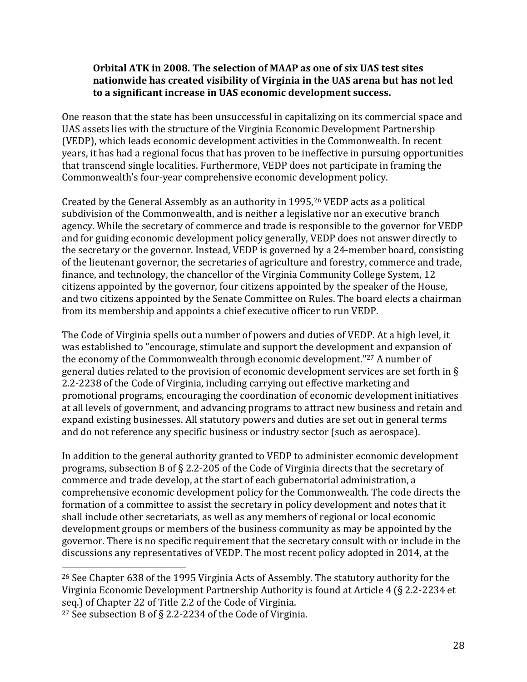#### **Orbital ATK in 2008. The selection of MAAP as one of six UAS test sites nationwide has created visibility of Virginia in the UAS arena but has not led to a significant increase in UAS economic development success.**

One reason that the state has been unsuccessful in capitalizing on its commercial space and UAS assets lies with the structure of the Virginia Economic Development Partnership (VEDP), which leads economic development activities in the Commonwealth. In recent years, it has had a regional focus that has proven to be ineffective in pursuing opportunities that transcend single localities. Furthermore, VEDP does not participate in framing the Commonwealth's four-year comprehensive economic development policy.

Created by the General Assembly as an authority in 1995,<sup>26</sup> VEDP acts as a political subdivision of the Commonwealth, and is neither a legislative nor an executive branch agency. While the secretary of commerce and trade is responsible to the governor for VEDP and for guiding economic development policy generally, VEDP does not answer directly to the secretary or the governor. Instead, VEDP is governed by a 24-member board, consisting of the lieutenant governor, the secretaries of agriculture and forestry, commerce and trade, finance, and technology, the chancellor of the Virginia Community College System, 12 citizens appointed by the governor, four citizens appointed by the speaker of the House, and two citizens appointed by the Senate Committee on Rules. The board elects a chairman from its membership and appoints a chief executive officer to run VEDP.

The Code of Virginia spells out a number of powers and duties of VEDP. At a high level, it was established to "encourage, stimulate and support the development and expansion of the economy of the Commonwealth through economic development."<sup>27</sup> A number of general duties related to the provision of economic development services are set forth in § 2.2-2238 of the Code of Virginia, including carrying out effective marketing and promotional programs, encouraging the coordination of economic development initiatives at all levels of government, and advancing programs to attract new business and retain and expand existing businesses. All statutory powers and duties are set out in general terms and do not reference any specific business or industry sector (such as aerospace).

In addition to the general authority granted to VEDP to administer economic development programs, subsection B of § 2.2-205 of the Code of Virginia directs that the secretary of commerce and trade develop, at the start of each gubernatorial administration, a comprehensive economic development policy for the Commonwealth. The code directs the formation of a committee to assist the secretary in policy development and notes that it shall include other secretariats, as well as any members of regional or local economic development groups or members of the business community as may be appointed by the governor. There is no specific requirement that the secretary consult with or include in the discussions any representatives of VEDP. The most recent policy adopted in 2014, at the

 $\overline{\phantom{a}}$ 

<sup>26</sup> See Chapter 638 of the 1995 Virginia Acts of Assembly. The statutory authority for the Virginia Economic Development Partnership Authority is found at Article 4 (§ 2.2-2234 et seq.) of Chapter 22 of Title 2.2 of the Code of Virginia.

<sup>27</sup> See subsection B of § 2.2-2234 of the Code of Virginia.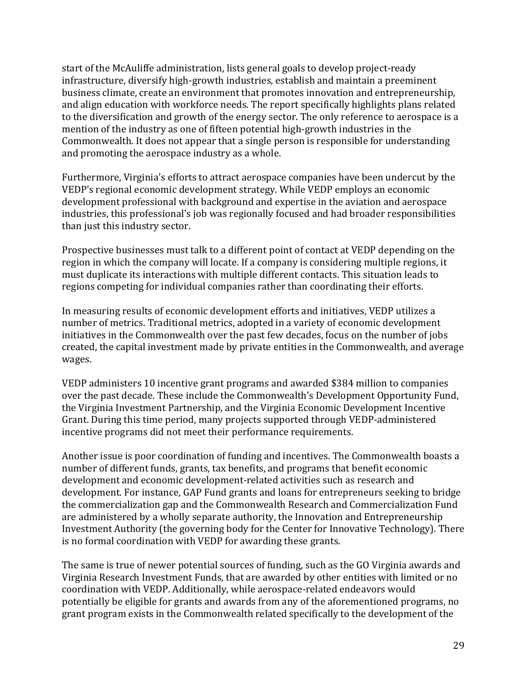start of the McAuliffe administration, lists general goals to develop project-ready infrastructure, diversify high-growth industries, establish and maintain a preeminent business climate, create an environment that promotes innovation and entrepreneurship, and align education with workforce needs. The report specifically highlights plans related to the diversification and growth of the energy sector. The only reference to aerospace is a mention of the industry as one of fifteen potential high-growth industries in the Commonwealth. It does not appear that a single person is responsible for understanding and promoting the aerospace industry as a whole.

Furthermore, Virginia's efforts to attract aerospace companies have been undercut by the VEDP's regional economic development strategy. While VEDP employs an economic development professional with background and expertise in the aviation and aerospace industries, this professional's job was regionally focused and had broader responsibilities than just this industry sector.

Prospective businesses must talk to a different point of contact at VEDP depending on the region in which the company will locate. If a company is considering multiple regions, it must duplicate its interactions with multiple different contacts. This situation leads to regions competing for individual companies rather than coordinating their efforts.

In measuring results of economic development efforts and initiatives, VEDP utilizes a number of metrics. Traditional metrics, adopted in a variety of economic development initiatives in the Commonwealth over the past few decades, focus on the number of jobs created, the capital investment made by private entities in the Commonwealth, and average wages.

VEDP administers 10 incentive grant programs and awarded \$384 million to companies over the past decade. These include the Commonwealth's Development Opportunity Fund, the Virginia Investment Partnership, and the Virginia Economic Development Incentive Grant. During this time period, many projects supported through VEDP-administered incentive programs did not meet their performance requirements.

Another issue is poor coordination of funding and incentives. The Commonwealth boasts a number of different funds, grants, tax benefits, and programs that benefit economic development and economic development-related activities such as research and development. For instance, GAP Fund grants and loans for entrepreneurs seeking to bridge the commercialization gap and the Commonwealth Research and Commercialization Fund are administered by a wholly separate authority, the Innovation and Entrepreneurship Investment Authority (the governing body for the Center for Innovative Technology). There is no formal coordination with VEDP for awarding these grants.

The same is true of newer potential sources of funding, such as the GO Virginia awards and Virginia Research Investment Funds, that are awarded by other entities with limited or no coordination with VEDP. Additionally, while aerospace-related endeavors would potentially be eligible for grants and awards from any of the aforementioned programs, no grant program exists in the Commonwealth related specifically to the development of the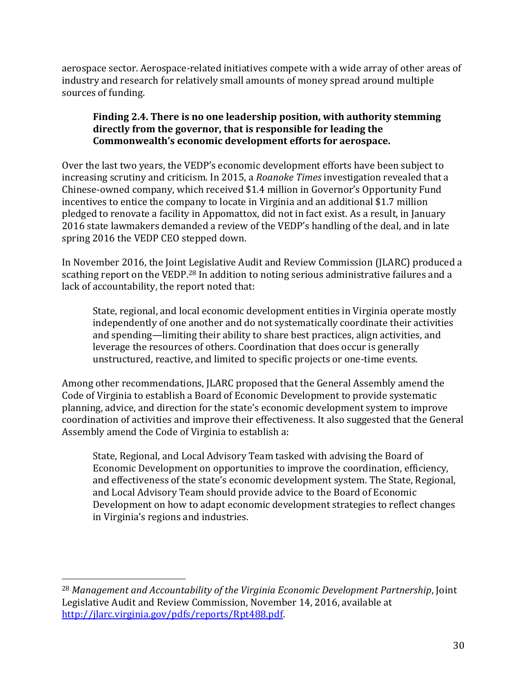aerospace sector. Aerospace-related initiatives compete with a wide array of other areas of industry and research for relatively small amounts of money spread around multiple sources of funding.

### **Finding 2.4. There is no one leadership position, with authority stemming directly from the governor, that is responsible for leading the Commonwealth's economic development efforts for aerospace.**

Over the last two years, the VEDP's economic development efforts have been subject to increasing scrutiny and criticism. In 2015, a *Roanoke Times* investigation revealed that a Chinese-owned company, which received \$1.4 million in Governor's Opportunity Fund incentives to entice the company to locate in Virginia and an additional \$1.7 million pledged to renovate a facility in Appomattox, did not in fact exist. As a result, in January 2016 state lawmakers demanded a review of the VEDP's handling of the deal, and in late spring 2016 the VEDP CEO stepped down.

In November 2016, the Joint Legislative Audit and Review Commission (JLARC) produced a scathing report on the VEDP.<sup>28</sup> In addition to noting serious administrative failures and a lack of accountability, the report noted that:

State, regional, and local economic development entities in Virginia operate mostly independently of one another and do not systematically coordinate their activities and spending—limiting their ability to share best practices, align activities, and leverage the resources of others. Coordination that does occur is generally unstructured, reactive, and limited to specific projects or one-time events.

Among other recommendations, JLARC proposed that the General Assembly amend the Code of Virginia to establish a Board of Economic Development to provide systematic planning, advice, and direction for the state's economic development system to improve coordination of activities and improve their effectiveness. It also suggested that the General Assembly amend the Code of Virginia to establish a:

State, Regional, and Local Advisory Team tasked with advising the Board of Economic Development on opportunities to improve the coordination, efficiency, and effectiveness of the state's economic development system. The State, Regional, and Local Advisory Team should provide advice to the Board of Economic Development on how to adapt economic development strategies to reflect changes in Virginia's regions and industries.

 $\overline{a}$ 

<sup>28</sup> *Management and Accountability of the Virginia Economic Development Partnership*, Joint Legislative Audit and Review Commission, November 14, 2016, available at [http://jlarc.virginia.gov/pdfs/reports/Rpt488.pdf.](http://jlarc.virginia.gov/pdfs/reports/Rpt488.pdf)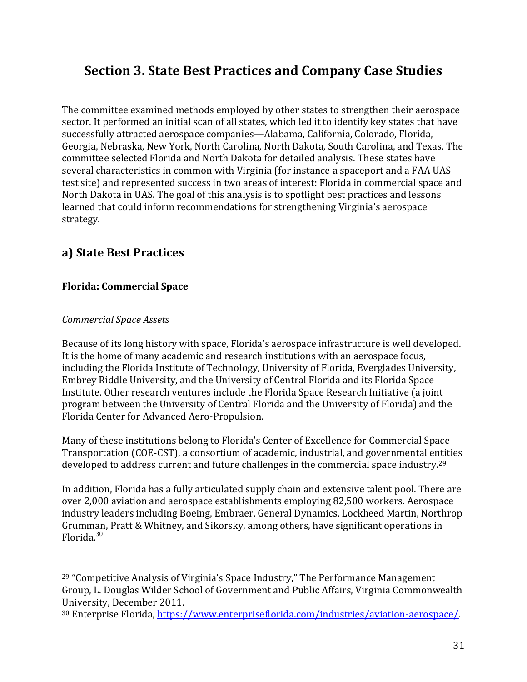# **Section 3. State Best Practices and Company Case Studies**

The committee examined methods employed by other states to strengthen their aerospace sector. It performed an initial scan of all states, which led it to identify key states that have successfully attracted aerospace companies—Alabama, California, Colorado, Florida, Georgia, Nebraska, New York, North Carolina, North Dakota, South Carolina, and Texas. The committee selected Florida and North Dakota for detailed analysis. These states have several characteristics in common with Virginia (for instance a spaceport and a FAA UAS test site) and represented success in two areas of interest: Florida in commercial space and North Dakota in UAS. The goal of this analysis is to spotlight best practices and lessons learned that could inform recommendations for strengthening Virginia's aerospace strategy.

# **a) State Best Practices**

### **Florida: Commercial Space**

### *Commercial Space Assets*

 $\overline{a}$ 

Because of its long history with space, Florida's aerospace infrastructure is well developed. It is the home of many academic and research institutions with an aerospace focus, including the Florida Institute of Technology, University of Florida, Everglades University, Embrey Riddle University, and the University of Central Florida and its Florida Space Institute. Other research ventures include the Florida Space Research Initiative (a joint program between the University of Central Florida and the University of Florida) and the Florida Center for Advanced Aero-Propulsion.

Many of these institutions belong to Florida's Center of Excellence for Commercial Space Transportation (COE-CST), a consortium of academic, industrial, and governmental entities developed to address current and future challenges in the commercial space industry.<sup>29</sup>

In addition, Florida has a fully articulated supply chain and extensive talent pool. There are over 2,000 aviation and aerospace establishments employing 82,500 workers. Aerospace industry leaders including Boeing, Embraer, General Dynamics, Lockheed Martin, Northrop Grumman, Pratt & Whitney, and Sikorsky, among others, have significant operations in Florida.<sup>30</sup>

<sup>&</sup>lt;sup>29</sup> "Competitive Analysis of Virginia's Space Industry," The Performance Management Group, L. Douglas Wilder School of Government and Public Affairs, Virginia Commonwealth University, December 2011.

<sup>30</sup> Enterprise Florida[, https://www.enterpriseflorida.com/industries/aviation-aerospace/.](https://www.enterpriseflorida.com/industries/aviation-aerospace/)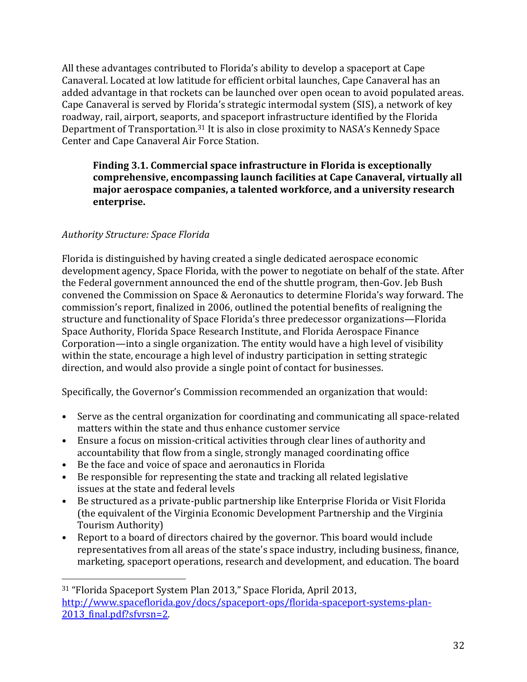All these advantages contributed to Florida's ability to develop a spaceport at Cape Canaveral. Located at low latitude for efficient orbital launches, Cape Canaveral has an added advantage in that rockets can be launched over open ocean to avoid populated areas. Cape Canaveral is served by Florida's strategic intermodal system (SIS), a network of key roadway, rail, airport, seaports, and spaceport infrastructure identified by the Florida Department of Transportation.<sup>31</sup> It is also in close proximity to NASA's Kennedy Space Center and Cape Canaveral Air Force Station.

### **Finding 3.1. Commercial space infrastructure in Florida is exceptionally comprehensive, encompassing launch facilities at Cape Canaveral, virtually all major aerospace companies, a talented workforce, and a university research enterprise.**

# *Authority Structure: Space Florida*

 $\overline{a}$ 

Florida is distinguished by having created a single dedicated aerospace economic development agency, Space Florida, with the power to negotiate on behalf of the state. After the Federal government announced the end of the shuttle program, then-Gov. Jeb Bush convened the Commission on Space & Aeronautics to determine Florida's way forward. The commission's report, finalized in 2006, outlined the potential benefits of realigning the structure and functionality of Space Florida's three predecessor organizations—Florida Space Authority, Florida Space Research Institute, and Florida Aerospace Finance Corporation—into a single organization. The entity would have a high level of visibility within the state, encourage a high level of industry participation in setting strategic direction, and would also provide a single point of contact for businesses.

Specifically, the Governor's Commission recommended an organization that would:

- Serve as the central organization for coordinating and communicating all space-related matters within the state and thus enhance customer service
- Ensure a focus on mission-critical activities through clear lines of authority and accountability that flow from a single, strongly managed coordinating office
- Be the face and voice of space and aeronautics in Florida
- Be responsible for representing the state and tracking all related legislative issues at the state and federal levels
- Be structured as a private-public partnership like Enterprise Florida or Visit Florida (the equivalent of the Virginia Economic Development Partnership and the Virginia Tourism Authority)
- Report to a board of directors chaired by the governor. This board would include representatives from all areas of the state's space industry, including business, finance, marketing, spaceport operations, research and development, and education. The board

<sup>31</sup> "Florida Spaceport System Plan 2013," Space Florida, April 2013, [http://www.spaceflorida.gov/docs/spaceport-ops/florida-spaceport-systems-plan-](http://www.spaceflorida.gov/docs/spaceport-ops/florida-spaceport-systems-plan-2013_final.pdf?sfvrsn=2)2013 final.pdf?sfvrsn=2.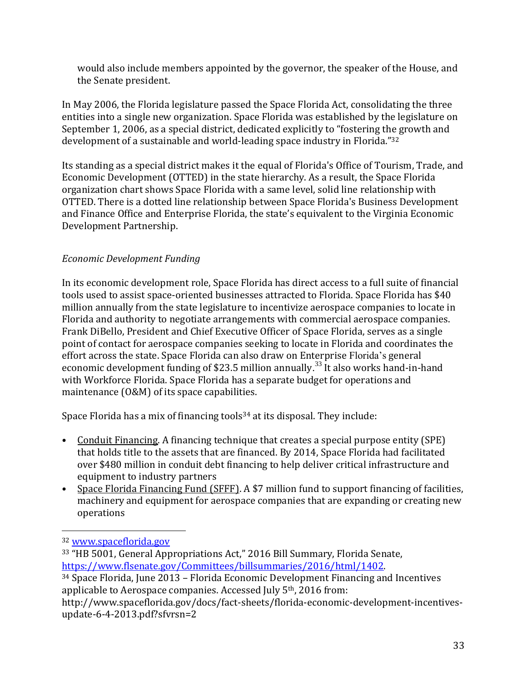would also include members appointed by the governor, the speaker of the House, and the Senate president.

In May 2006, the Florida legislature passed the Space Florida Act, consolidating the three entities into a single new organization. Space Florida was established by the legislature on September 1, 2006, as a special district, dedicated explicitly to "fostering the growth and development of a sustainable and world-leading space industry in Florida."<sup>32</sup>

Its standing as a special district makes it the equal of Florida's Office of Tourism, Trade, and Economic Development (OTTED) in the state hierarchy. As a result, the Space Florida organization chart shows Space Florida with a same level, solid line relationship with OTTED. There is a dotted line relationship between Space Florida's Business Development and Finance Office and Enterprise Florida, the state's equivalent to the Virginia Economic Development Partnership.

# *Economic Development Funding*

In its economic development role, Space Florida has direct access to a full suite of financial tools used to assist space-oriented businesses attracted to Florida. Space Florida has \$40 million annually from the state legislature to incentivize aerospace companies to locate in Florida and authority to negotiate arrangements with commercial aerospace companies. Frank DiBello, President and Chief Executive Officer of Space Florida, serves as a single point of contact for aerospace companies seeking to locate in Florida and coordinates the effort across the state. Space Florida can also draw on Enterprise Florida's general economic development funding of \$23.5 million annually.<sup>33</sup> It also works hand-in-hand with Workforce Florida. Space Florida has a separate budget for operations and maintenance (O&M) of its space capabilities.

Space Florida has a mix of financing tools<sup>34</sup> at its disposal. They include:

- Conduit Financing. A financing technique that creates a special purpose entity (SPE) that holds title to the assets that are financed. By 2014, Space Florida had facilitated over \$480 million in conduit debt financing to help deliver critical infrastructure and equipment to industry partners
- Space Florida Financing Fund (SFFF). A \$7 million fund to support financing of facilities, machinery and equipment for aerospace companies that are expanding or creating new operations

 $\overline{a}$ 

<sup>32</sup> [www.spaceflorida.gov](http://www.spaceflorida.gov/)

<sup>33</sup> "HB 5001, General Appropriations Act," 2016 Bill Summary, Florida Senate, [https://www.flsenate.gov/Committees/billsummaries/2016/html/1402.](https://www.flsenate.gov/Committees/billsummaries/2016/html/1402) 

<sup>34</sup> Space Florida, June 2013 – Florida Economic Development Financing and Incentives applicable to Aerospace companies. Accessed July 5th, 2016 from:

http://www.spaceflorida.gov/docs/fact-sheets/florida-economic-development-incentivesupdate-6-4-2013.pdf?sfvrsn=2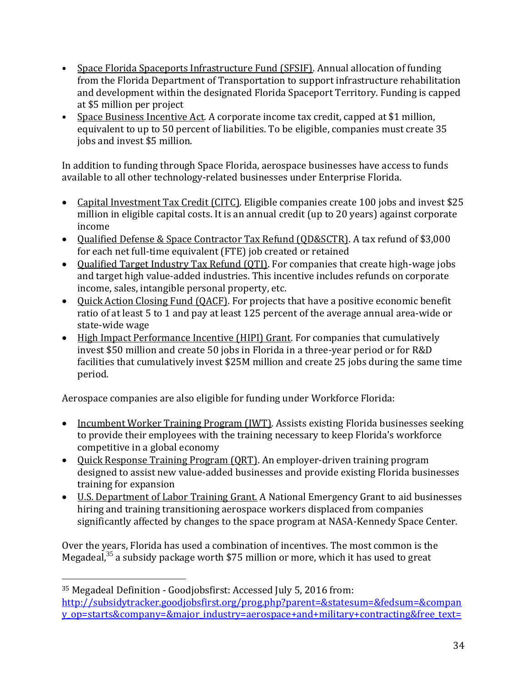- Space Florida Spaceports Infrastructure Fund (SFSIF). Annual allocation of funding from the Florida Department of Transportation to support infrastructure rehabilitation and development within the designated Florida Spaceport Territory. Funding is capped at \$5 million per project
- Space Business Incentive Act. A corporate income tax credit, capped at \$1 million, equivalent to up to 50 percent of liabilities. To be eligible, companies must create 35 jobs and invest \$5 million.

In addition to funding through Space Florida, aerospace businesses have access to funds available to all other technology-related businesses under Enterprise Florida.

- Capital Investment Tax Credit (CITC). Eligible companies create 100 jobs and invest \$25 million in eligible capital costs. It is an annual credit (up to 20 years) against corporate income
- Qualified Defense & Space Contractor Tax Refund (QD&SCTR). A tax refund of \$3,000 for each net full-time equivalent (FTE) job created or retained
- Qualified Target Industry Tax Refund (QTI). For companies that create high-wage jobs and target high value-added industries. This incentive includes refunds on corporate income, sales, intangible personal property, etc.
- Quick Action Closing Fund (QACF). For projects that have a positive economic benefit ratio of at least 5 to 1 and pay at least 125 percent of the average annual area-wide or state-wide wage
- High Impact Performance Incentive (HIPI) Grant. For companies that cumulatively invest \$50 million and create 50 jobs in Florida in a three-year period or for R&D facilities that cumulatively invest \$25M million and create 25 jobs during the same time period.

Aerospace companies are also eligible for funding under Workforce Florida:

- Incumbent Worker Training Program (IWT). Assists existing Florida businesses seeking to provide their employees with the training necessary to keep Florida's workforce competitive in a global economy
- Quick Response Training Program (QRT). An employer-driven training program designed to assist new value-added businesses and provide existing Florida businesses training for expansion
- U.S. Department of Labor Training Grant. A National Emergency Grant to aid businesses hiring and training transitioning aerospace workers displaced from companies significantly affected by changes to the space program at NASA-Kennedy Space Center.

Over the years, Florida has used a combination of incentives. The most common is the Megadeal, $35$  a subsidy package worth \$75 million or more, which it has used to great

 $\overline{a}$ 

<sup>35</sup> Megadeal Definition - Goodjobsfirst: Accessed July 5, 2016 from: [http://subsidytracker.goodjobsfirst.org/prog.php?parent=&statesum=&fedsum=&compan](http://subsidytracker.goodjobsfirst.org/prog.php?parent=&statesum=&fedsum=&company_op=starts&company=&major_industry=aerospace+and+military+contracting&free_text=&subsidy_level=&subsidy_op=%3E&subsidy=&face_loan_op=%3E&face_loan=&subsidy_type=&sub_year=&state=&order=subsidy_level&sort=desc) [y\\_op=starts&company=&major\\_industry=aerospace+and+military+contracting&free\\_text=](http://subsidytracker.goodjobsfirst.org/prog.php?parent=&statesum=&fedsum=&company_op=starts&company=&major_industry=aerospace+and+military+contracting&free_text=&subsidy_level=&subsidy_op=%3E&subsidy=&face_loan_op=%3E&face_loan=&subsidy_type=&sub_year=&state=&order=subsidy_level&sort=desc)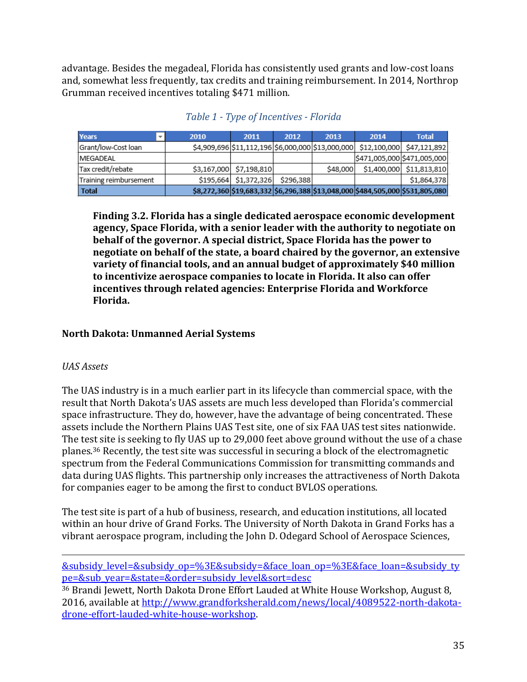advantage. Besides the megadeal, Florida has consistently used grants and low-cost loans and, somewhat less frequently, tax credits and training reimbursement. In 2014, Northrop Grumman received incentives totaling \$471 million.

| <b>Years</b>           | 2010 | 2011                                              | 2012      | 2013     | 2014 | <b>Total</b>                                                                  |
|------------------------|------|---------------------------------------------------|-----------|----------|------|-------------------------------------------------------------------------------|
| Grant/low-Cost loan    |      | \$4,909,696 \$11,112,196 \$6,000,000 \$13,000,000 |           |          |      | \$12,100,000 \$47,121,892                                                     |
| <b>IMEGADEAL</b>       |      |                                                   |           |          |      | \$471,005,000 \$471,005,000                                                   |
| Tax credit/rebate      |      | \$3,167,000 \$7,198,810                           |           | \$48,000 |      | \$1,400,000 \$11,813,810                                                      |
| Training reimbursement |      | \$195,664 \$1,372,326                             | \$296,388 |          |      | \$1,864,378                                                                   |
| Total                  |      |                                                   |           |          |      | \$8,272,360 \$19,683,332 \$6,296,388 \$13,048,000 \$484,505,000 \$531,805,080 |

*Table 1 - Type of Incentives - Florida*

**Finding 3.2. Florida has a single dedicated aerospace economic development agency, Space Florida, with a senior leader with the authority to negotiate on behalf of the governor. A special district, Space Florida has the power to negotiate on behalf of the state, a board chaired by the governor, an extensive variety of financial tools, and an annual budget of approximately \$40 million to incentivize aerospace companies to locate in Florida. It also can offer incentives through related agencies: Enterprise Florida and Workforce Florida.**

# **North Dakota: Unmanned Aerial Systems**

### *UAS Assets*

l

The UAS industry is in a much earlier part in its lifecycle than commercial space, with the result that North Dakota's UAS assets are much less developed than Florida's commercial space infrastructure. They do, however, have the advantage of being concentrated. These assets include the Northern Plains UAS Test site, one of six FAA UAS test sites nationwide. The test site is seeking to fly UAS up to 29,000 feet above ground without the use of a chase planes.<sup>36</sup> Recently, the test site was successful in securing a block of the electromagnetic spectrum from the Federal Communications Commission for transmitting commands and data during UAS flights. This partnership only increases the attractiveness of North Dakota for companies eager to be among the first to conduct BVLOS operations.

The test site is part of a hub of business, research, and education institutions, all located within an hour drive of Grand Forks. The University of North Dakota in Grand Forks has a vibrant aerospace program, including the John D. Odegard School of Aerospace Sciences,

[&subsidy\\_level=&subsidy\\_op=%3E&subsidy=&face\\_loan\\_op=%3E&face\\_loan=&subsidy\\_ty](http://subsidytracker.goodjobsfirst.org/prog.php?parent=&statesum=&fedsum=&company_op=starts&company=&major_industry=aerospace+and+military+contracting&free_text=&subsidy_level=&subsidy_op=%3E&subsidy=&face_loan_op=%3E&face_loan=&subsidy_type=&sub_year=&state=&order=subsidy_level&sort=desc) [pe=&sub\\_year=&state=&order=subsidy\\_level&sort=desc](http://subsidytracker.goodjobsfirst.org/prog.php?parent=&statesum=&fedsum=&company_op=starts&company=&major_industry=aerospace+and+military+contracting&free_text=&subsidy_level=&subsidy_op=%3E&subsidy=&face_loan_op=%3E&face_loan=&subsidy_type=&sub_year=&state=&order=subsidy_level&sort=desc)

<sup>36</sup> Brandi Jewett, North Dakota Drone Effort Lauded at White House Workshop, August 8, 2016, available at [http://www.grandforksherald.com/news/local/4089522-north-dakota](http://www.grandforksherald.com/news/local/4089522-north-dakota-drone-effort-lauded-white-house-workshop)[drone-effort-lauded-white-house-workshop.](http://www.grandforksherald.com/news/local/4089522-north-dakota-drone-effort-lauded-white-house-workshop)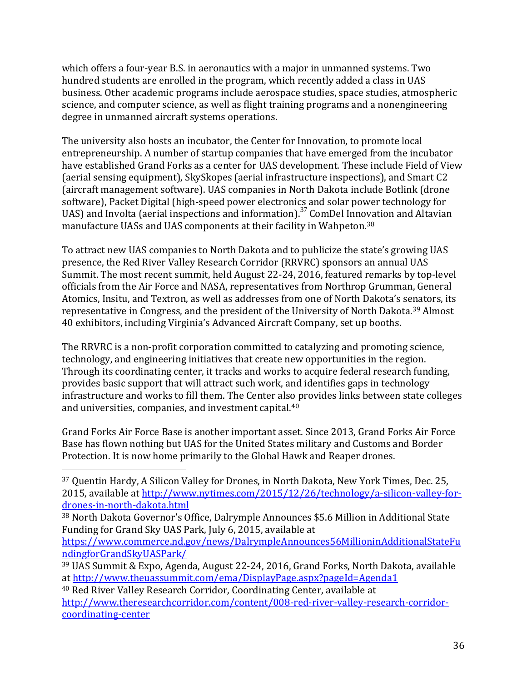which offers a four-year B.S. in aeronautics with a major in unmanned systems. Two hundred students are enrolled in the program, which recently added a class in UAS business. Other academic programs include aerospace studies, space studies, atmospheric science, and computer science, as well as flight training programs and a nonengineering degree in unmanned aircraft systems operations.

The university also hosts an incubator, the Center for Innovation, to promote local entrepreneurship. A number of startup companies that have emerged from the incubator have established Grand Forks as a center for UAS development. These include Field of View (aerial sensing equipment), SkySkopes (aerial infrastructure inspections), and Smart C2 (aircraft management software). UAS companies in North Dakota include Botlink (drone software), Packet Digital (high-speed power electronics and solar power technology for UAS) and Involta (aerial inspections and information).<sup>37</sup> ComDel Innovation and Altavian manufacture UASs and UAS components at their facility in Wahpeton.<sup>38</sup>

To attract new UAS companies to North Dakota and to publicize the state's growing UAS presence, the Red River Valley Research Corridor (RRVRC) sponsors an annual UAS Summit. The most recent summit, held August 22-24, 2016, featured remarks by top-level officials from the Air Force and NASA, representatives from Northrop Grumman, General Atomics, Insitu, and Textron, as well as addresses from one of North Dakota's senators, its representative in Congress, and the president of the University of North Dakota.<sup>39</sup> Almost 40 exhibitors, including Virginia's Advanced Aircraft Company, set up booths.

The RRVRC is a non-profit corporation committed to catalyzing and promoting science, technology, and engineering initiatives that create new opportunities in the region. Through its coordinating center, it tracks and works to acquire federal research funding, provides basic support that will attract such work, and identifies gaps in technology infrastructure and works to fill them. The Center also provides links between state colleges and universities, companies, and investment capital.<sup>40</sup>

Grand Forks Air Force Base is another important asset. Since 2013, Grand Forks Air Force Base has flown nothing but UAS for the United States military and Customs and Border Protection. It is now home primarily to the Global Hawk and Reaper drones.

l

[https://www.commerce.nd.gov/news/DalrympleAnnounces56MillioninAdditionalStateFu](https://www.commerce.nd.gov/news/DalrympleAnnounces56MillioninAdditionalStateFundingforGrandSkyUASPark/) [ndingforGrandSkyUASPark/](https://www.commerce.nd.gov/news/DalrympleAnnounces56MillioninAdditionalStateFundingforGrandSkyUASPark/)

<sup>40</sup> Red River Valley Research Corridor, Coordinating Center, available at [http://www.theresearchcorridor.com/content/008-red-river-valley-research-corridor](http://www.theresearchcorridor.com/content/008-red-river-valley-research-corridor-coordinating-center)[coordinating-center](http://www.theresearchcorridor.com/content/008-red-river-valley-research-corridor-coordinating-center)

<sup>37</sup> Quentin Hardy, A Silicon Valley for Drones, in North Dakota, New York Times, Dec. 25, 2015, available at [http://www.nytimes.com/2015/12/26/technology/a-silicon-valley-for](http://www.nytimes.com/2015/12/26/technology/a-silicon-valley-for-drones-in-north-dakota.html)[drones-in-north-dakota.html](http://www.nytimes.com/2015/12/26/technology/a-silicon-valley-for-drones-in-north-dakota.html)

<sup>38</sup> North Dakota Governor's Office, Dalrymple Announces \$5.6 Million in Additional State Funding for Grand Sky UAS Park, July 6, 2015, available at

<sup>39</sup> UAS Summit & Expo, Agenda, August 22-24, 2016, Grand Forks, North Dakota, available at<http://www.theuassummit.com/ema/DisplayPage.aspx?pageId=Agenda1>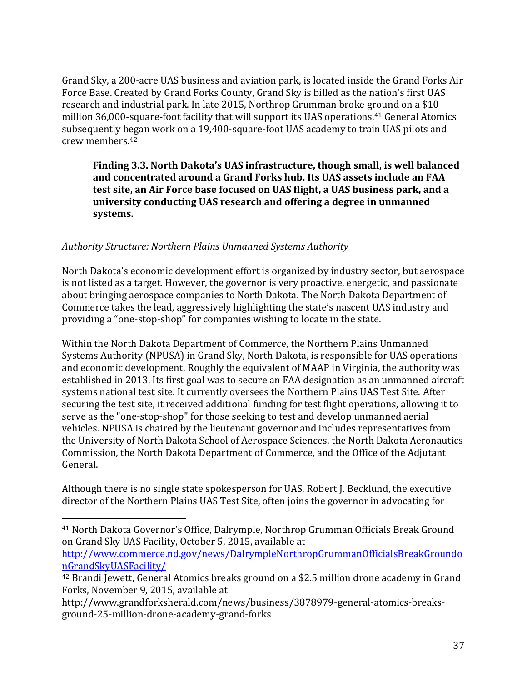Grand Sky, a 200-acre UAS business and aviation park, is located inside the Grand Forks Air Force Base. Created by Grand Forks County, Grand Sky is billed as the nation's first UAS research and industrial park. In late 2015, Northrop Grumman broke ground on a \$10 million 36,000-square-foot facility that will support its UAS operations.<sup>41</sup> General Atomics subsequently began work on a 19,400-square-foot UAS academy to train UAS pilots and crew members.<sup>42</sup>

### **Finding 3.3. North Dakota's UAS infrastructure, though small, is well balanced and concentrated around a Grand Forks hub. Its UAS assets include an FAA test site, an Air Force base focused on UAS flight, a UAS business park, and a university conducting UAS research and offering a degree in unmanned systems.**

### *Authority Structure: Northern Plains Unmanned Systems Authority*

 $\overline{a}$ 

North Dakota's economic development effort is organized by industry sector, but aerospace is not listed as a target. However, the governor is very proactive, energetic, and passionate about bringing aerospace companies to North Dakota. The North Dakota Department of Commerce takes the lead, aggressively highlighting the state's nascent UAS industry and providing a "one-stop-shop" for companies wishing to locate in the state.

Within the North Dakota Department of Commerce, the Northern Plains Unmanned Systems Authority (NPUSA) in Grand Sky, North Dakota, is responsible for UAS operations and economic development. Roughly the equivalent of MAAP in Virginia, the authority was established in 2013. Its first goal was to secure an FAA designation as an unmanned aircraft systems national test site. It currently oversees the Northern Plains UAS Test Site. After securing the test site, it received additional funding for test flight operations, allowing it to serve as the "one-stop-shop" for those seeking to test and develop unmanned aerial vehicles. NPUSA is chaired by the lieutenant governor and includes representatives from the University of North Dakota School of Aerospace Sciences, the North Dakota Aeronautics Commission, the North Dakota Department of Commerce, and the Office of the Adjutant General.

Although there is no single state spokesperson for UAS, Robert J. Becklund, the executive director of the Northern Plains UAS Test Site, often joins the governor in advocating for

[http://www.commerce.nd.gov/news/DalrympleNorthropGrummanOfficialsBreakGroundo](http://www.commerce.nd.gov/news/DalrympleNorthropGrummanOfficialsBreakGroundonGrandSkyUASFacility/) [nGrandSkyUASFacility/](http://www.commerce.nd.gov/news/DalrympleNorthropGrummanOfficialsBreakGroundonGrandSkyUASFacility/)

<sup>41</sup> North Dakota Governor's Office, Dalrymple, Northrop Grumman Officials Break Ground on Grand Sky UAS Facility, October 5, 2015, available at

<sup>42</sup> Brandi Jewett, General Atomics breaks ground on a \$2.5 million drone academy in Grand Forks, November 9, 2015, available at

http://www.grandforksherald.com/news/business/3878979-general-atomics-breaksground-25-million-drone-academy-grand-forks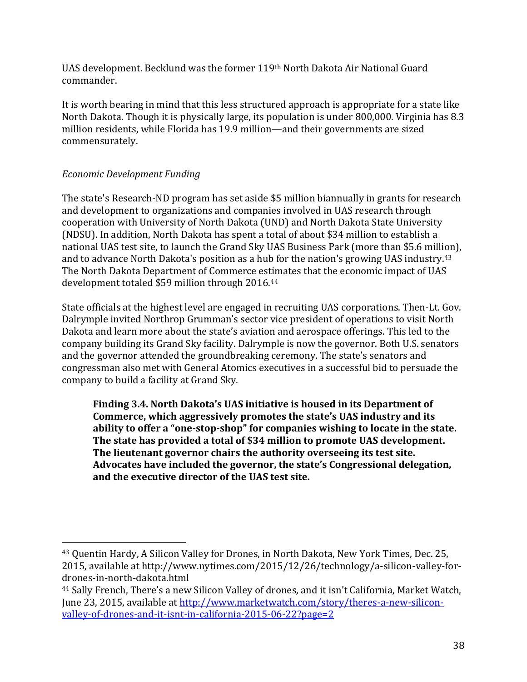UAS development. Becklund was the former 119th North Dakota Air National Guard commander.

It is worth bearing in mind that this less structured approach is appropriate for a state like North Dakota. Though it is physically large, its population is under 800,000. Virginia has 8.3 million residents, while Florida has 19.9 million—and their governments are sized commensurately.

# *Economic Development Funding*

 $\overline{a}$ 

The state's Research-ND program has set aside \$5 million biannually in grants for research and development to organizations and companies involved in UAS research through cooperation with University of North Dakota (UND) and North Dakota State University (NDSU). In addition, North Dakota has spent a total of about \$34 million to establish a national UAS test site, to launch the Grand Sky UAS Business Park (more than \$5.6 million), and to advance North Dakota's position as a hub for the nation's growing UAS industry. 43 The North Dakota Department of Commerce estimates that the economic impact of UAS development totaled \$59 million through 2016.<sup>44</sup>

State officials at the highest level are engaged in recruiting UAS corporations. Then-Lt. Gov. Dalrymple invited Northrop Grumman's sector vice president of operations to visit North Dakota and learn more about the state's aviation and aerospace offerings. This led to the company building its Grand Sky facility. Dalrymple is now the governor. Both U.S. senators and the governor attended the groundbreaking ceremony. The state's senators and congressman also met with General Atomics executives in a successful bid to persuade the company to build a facility at Grand Sky.

**Finding 3.4. North Dakota's UAS initiative is housed in its Department of Commerce, which aggressively promotes the state's UAS industry and its ability to offer a "one-stop-shop" for companies wishing to locate in the state. The state has provided a total of \$34 million to promote UAS development. The lieutenant governor chairs the authority overseeing its test site. Advocates have included the governor, the state's Congressional delegation, and the executive director of the UAS test site.**

<sup>43</sup> Quentin Hardy, A Silicon Valley for Drones, in North Dakota, New York Times, Dec. 25, 2015, available at http://www.nytimes.com/2015/12/26/technology/a-silicon-valley-fordrones-in-north-dakota.html

<sup>44</sup> Sally French, There's a new Silicon Valley of drones, and it isn't California, Market Watch, June 23, 2015, available at [http://www.marketwatch.com/story/theres-a-new-silicon](http://www.marketwatch.com/story/theres-a-new-silicon-valley-of-drones-and-it-isnt-in-california-2015-06-22?page=2)[valley-of-drones-and-it-isnt-in-california-2015-06-22?page=2](http://www.marketwatch.com/story/theres-a-new-silicon-valley-of-drones-and-it-isnt-in-california-2015-06-22?page=2)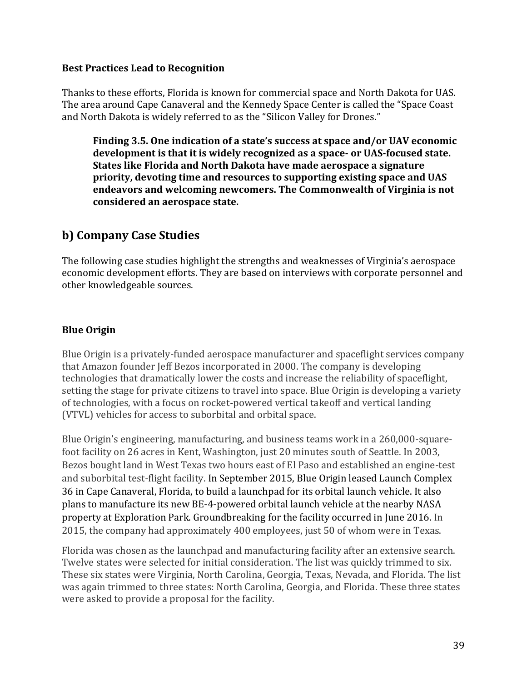#### **Best Practices Lead to Recognition**

Thanks to these efforts, Florida is known for commercial space and North Dakota for UAS. The area around Cape Canaveral and the Kennedy Space Center is called the "Space Coast and North Dakota is widely referred to as the "Silicon Valley for Drones."

**Finding 3.5. One indication of a state's success at space and/or UAV economic development is that it is widely recognized as a space- or UAS-focused state. States like Florida and North Dakota have made aerospace a signature priority, devoting time and resources to supporting existing space and UAS endeavors and welcoming newcomers. The Commonwealth of Virginia is not considered an aerospace state.**

# **b) Company Case Studies**

The following case studies highlight the strengths and weaknesses of Virginia's aerospace economic development efforts. They are based on interviews with corporate personnel and other knowledgeable sources.

### **Blue Origin**

Blue Origin is a privately-funded aerospace manufacturer and spaceflight services company that Amazon founder Jeff Bezos incorporated in 2000. The company is developing technologies that dramatically lower the costs and increase the reliability of spaceflight, setting the stage for private citizens to travel into space. Blue Origin is developing a variety of technologies, with a focus on rocket-powered vertical takeoff and vertical landing (VTVL) vehicles for access to suborbital and orbital space.

Blue Origin's engineering, manufacturing, and business teams work in a 260,000-squarefoot facility on 26 acres in Kent, Washington, just 20 minutes south of Seattle. In 2003, Bezos bought land in West Texas two hours east of El Paso and established an engine-test and suborbital test-flight facility. In September 2015, Blue Origin leased Launch Complex 36 in Cape Canaveral, Florida, to build a launchpad for its orbital launch vehicle. It also plans to manufacture its new BE-4-powered orbital launch vehicle at the nearby NASA property at Exploration Park. Groundbreaking for the facility occurred in June 2016. In 2015, the company had approximately 400 employees, just 50 of whom were in Texas.

Florida was chosen as the launchpad and manufacturing facility after an extensive search. Twelve states were selected for initial consideration. The list was quickly trimmed to six. These six states were Virginia, North Carolina, Georgia, Texas, Nevada, and Florida. The list was again trimmed to three states: North Carolina, Georgia, and Florida. These three states were asked to provide a proposal for the facility.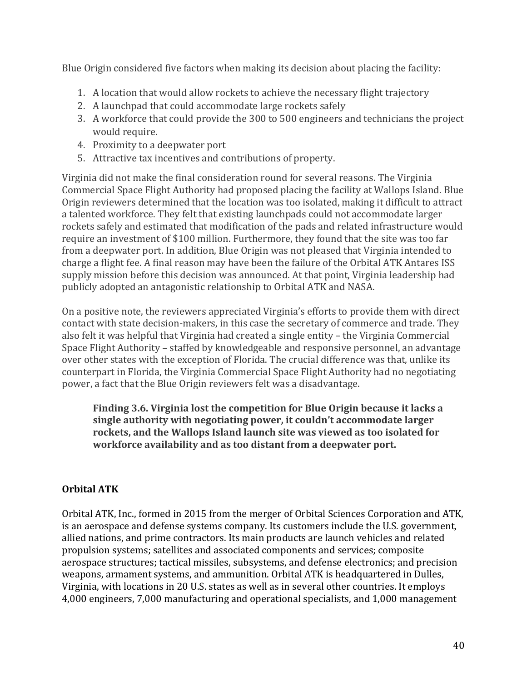Blue Origin considered five factors when making its decision about placing the facility:

- 1. A location that would allow rockets to achieve the necessary flight trajectory
- 2. A launchpad that could accommodate large rockets safely
- 3. A workforce that could provide the 300 to 500 engineers and technicians the project would require.
- 4. Proximity to a deepwater port
- 5. Attractive tax incentives and contributions of property.

Virginia did not make the final consideration round for several reasons. The Virginia Commercial Space Flight Authority had proposed placing the facility at Wallops Island. Blue Origin reviewers determined that the location was too isolated, making it difficult to attract a talented workforce. They felt that existing launchpads could not accommodate larger rockets safely and estimated that modification of the pads and related infrastructure would require an investment of \$100 million. Furthermore, they found that the site was too far from a deepwater port. In addition, Blue Origin was not pleased that Virginia intended to charge a flight fee. A final reason may have been the failure of the Orbital ATK Antares ISS supply mission before this decision was announced. At that point, Virginia leadership had publicly adopted an antagonistic relationship to Orbital ATK and NASA.

On a positive note, the reviewers appreciated Virginia's efforts to provide them with direct contact with state decision-makers, in this case the secretary of commerce and trade. They also felt it was helpful that Virginia had created a single entity – the Virginia Commercial Space Flight Authority – staffed by knowledgeable and responsive personnel, an advantage over other states with the exception of Florida. The crucial difference was that, unlike its counterpart in Florida, the Virginia Commercial Space Flight Authority had no negotiating power, a fact that the Blue Origin reviewers felt was a disadvantage.

**Finding 3.6. Virginia lost the competition for Blue Origin because it lacks a single authority with negotiating power, it couldn't accommodate larger rockets, and the Wallops Island launch site was viewed as too isolated for workforce availability and as too distant from a deepwater port.**

# **Orbital ATK**

Orbital ATK, Inc., formed in 2015 from the merger of Orbital Sciences Corporation and ATK, is an aerospace and defense systems company. Its customers include the U.S. government, allied nations, and prime contractors. Its main products are launch vehicles and related propulsion systems; satellites and associated components and services; composite aerospace structures; tactical missiles, subsystems, and defense electronics; and precision weapons, armament systems, and ammunition. Orbital ATK is headquartered in Dulles, Virginia, with locations in 20 U.S. states as well as in several other countries. It employs 4,000 engineers, 7,000 manufacturing and operational specialists, and 1,000 management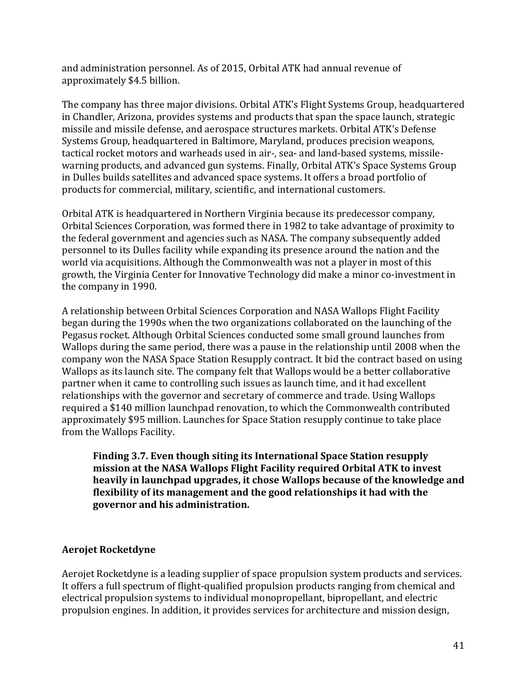and administration personnel. As of 2015, Orbital ATK had annual revenue of approximately \$4.5 billion.

The company has three major divisions. Orbital ATK's Flight Systems Group, headquartered in Chandler, Arizona, provides systems and products that span the space launch, strategic missile and missile defense, and aerospace structures markets. Orbital ATK's Defense Systems Group, headquartered in Baltimore, Maryland, produces precision weapons, tactical rocket motors and warheads used in air-, sea- and land-based systems, missilewarning products, and advanced gun systems. Finally, Orbital ATK's Space Systems Group in Dulles builds satellites and advanced space systems. It offers a broad portfolio of products for commercial, military, scientific, and international customers.

Orbital ATK is headquartered in Northern Virginia because its predecessor company, Orbital Sciences Corporation, was formed there in 1982 to take advantage of proximity to the federal government and agencies such as NASA. The company subsequently added personnel to its Dulles facility while expanding its presence around the nation and the world via acquisitions. Although the Commonwealth was not a player in most of this growth, the Virginia Center for Innovative Technology did make a minor co-investment in the company in 1990.

A relationship between Orbital Sciences Corporation and NASA Wallops Flight Facility began during the 1990s when the two organizations collaborated on the launching of the Pegasus rocket. Although Orbital Sciences conducted some small ground launches from Wallops during the same period, there was a pause in the relationship until 2008 when the company won the NASA Space Station Resupply contract. It bid the contract based on using Wallops as its launch site. The company felt that Wallops would be a better collaborative partner when it came to controlling such issues as launch time, and it had excellent relationships with the governor and secretary of commerce and trade. Using Wallops required a \$140 million launchpad renovation, to which the Commonwealth contributed approximately \$95 million. Launches for Space Station resupply continue to take place from the Wallops Facility.

**Finding 3.7. Even though siting its International Space Station resupply mission at the NASA Wallops Flight Facility required Orbital ATK to invest heavily in launchpad upgrades, it chose Wallops because of the knowledge and flexibility of its management and the good relationships it had with the governor and his administration.** 

### **Aerojet Rocketdyne**

Aerojet Rocketdyne is a leading supplier of space propulsion system products and services. It offers a full spectrum of flight-qualified propulsion products ranging from chemical and electrical propulsion systems to individual monopropellant, bipropellant, and electric propulsion engines. In addition, it provides services for architecture and mission design,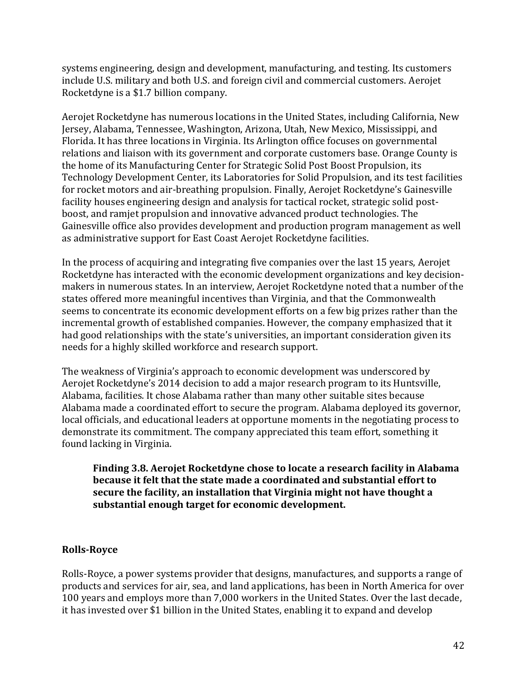systems engineering, design and development, manufacturing, and testing. Its customers include U.S. military and both U.S. and foreign civil and commercial customers. Aerojet Rocketdyne is a \$1.7 billion company.

Aerojet Rocketdyne has numerous locations in the United States, including California, New Jersey, Alabama, Tennessee, Washington, Arizona, Utah, New Mexico, Mississippi, and Florida. It has three locations in Virginia. Its Arlington office focuses on governmental relations and liaison with its government and corporate customers base. Orange County is the home of its Manufacturing Center for Strategic Solid Post Boost Propulsion, its Technology Development Center, its Laboratories for Solid Propulsion, and its test facilities for rocket motors and air-breathing propulsion. Finally, Aerojet Rocketdyne's Gainesville facility houses engineering design and analysis for tactical rocket, strategic solid postboost, and ramjet propulsion and innovative advanced product technologies. The Gainesville office also provides development and production program management as well as administrative support for East Coast Aerojet Rocketdyne facilities.

In the process of acquiring and integrating five companies over the last 15 years, Aerojet Rocketdyne has interacted with the economic development organizations and key decisionmakers in numerous states. In an interview, Aerojet Rocketdyne noted that a number of the states offered more meaningful incentives than Virginia, and that the Commonwealth seems to concentrate its economic development efforts on a few big prizes rather than the incremental growth of established companies. However, the company emphasized that it had good relationships with the state's universities, an important consideration given its needs for a highly skilled workforce and research support.

The weakness of Virginia's approach to economic development was underscored by Aerojet Rocketdyne's 2014 decision to add a major research program to its Huntsville, Alabama, facilities. It chose Alabama rather than many other suitable sites because Alabama made a coordinated effort to secure the program. Alabama deployed its governor, local officials, and educational leaders at opportune moments in the negotiating process to demonstrate its commitment. The company appreciated this team effort, something it found lacking in Virginia.

**Finding 3.8. Aerojet Rocketdyne chose to locate a research facility in Alabama because it felt that the state made a coordinated and substantial effort to secure the facility, an installation that Virginia might not have thought a substantial enough target for economic development.**

### **Rolls-Royce**

Rolls-Royce, a power systems provider that designs, manufactures, and supports a range of products and services for air, sea, and land applications, has been in North America for over 100 years and employs more than 7,000 workers in the United States. Over the last decade, it has invested over \$1 billion in the United States, enabling it to expand and develop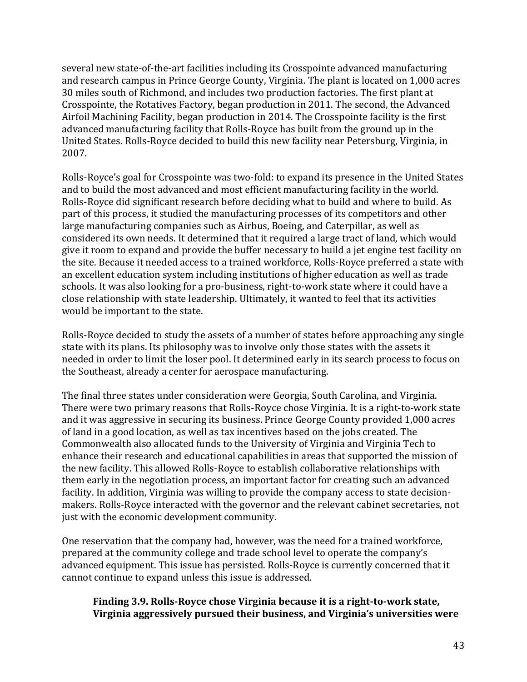several new state-of-the-art facilities including its Crosspointe advanced manufacturing and research campus in Prince George County, Virginia. The plant is located on 1,000 acres 30 miles south of Richmond, and includes two production factories. The first plant at Crosspointe, the Rotatives Factory, began production in 2011. The second, the Advanced Airfoil Machining Facility, began production in 2014. The Crosspointe facility is the first advanced manufacturing facility that Rolls-Royce has built from the ground up in the United States. Rolls-Royce decided to build this new facility near Petersburg, Virginia, in 2007.

Rolls-Royce's goal for Crosspointe was two-fold: to expand its presence in the United States and to build the most advanced and most efficient manufacturing facility in the world. Rolls-Royce did significant research before deciding what to build and where to build. As part of this process, it studied the manufacturing processes of its competitors and other large manufacturing companies such as Airbus, Boeing, and Caterpillar, as well as considered its own needs. It determined that it required a large tract of land, which would give it room to expand and provide the buffer necessary to build a jet engine test facility on the site. Because it needed access to a trained workforce, Rolls-Royce preferred a state with an excellent education system including institutions of higher education as well as trade schools. It was also looking for a pro-business, right-to-work state where it could have a close relationship with state leadership. Ultimately, it wanted to feel that its activities would be important to the state.

Rolls-Royce decided to study the assets of a number of states before approaching any single state with its plans. Its philosophy was to involve only those states with the assets it needed in order to limit the loser pool. It determined early in its search process to focus on the Southeast, already a center for aerospace manufacturing.

The final three states under consideration were Georgia, South Carolina, and Virginia. There were two primary reasons that Rolls-Royce chose Virginia. It is a right-to-work state and it was aggressive in securing its business. Prince George County provided 1,000 acres of land in a good location, as well as tax incentives based on the jobs created. The Commonwealth also allocated funds to the University of Virginia and Virginia Tech to enhance their research and educational capabilities in areas that supported the mission of the new facility. This allowed Rolls-Royce to establish collaborative relationships with them early in the negotiation process, an important factor for creating such an advanced facility. In addition, Virginia was willing to provide the company access to state decisionmakers. Rolls-Royce interacted with the governor and the relevant cabinet secretaries, not just with the economic development community.

One reservation that the company had, however, was the need for a trained workforce, prepared at the community college and trade school level to operate the company's advanced equipment. This issue has persisted. Rolls-Royce is currently concerned that it cannot continue to expand unless this issue is addressed.

### **Finding 3.9. Rolls-Royce chose Virginia because it is a right-to-work state, Virginia aggressively pursued their business, and Virginia's universities were**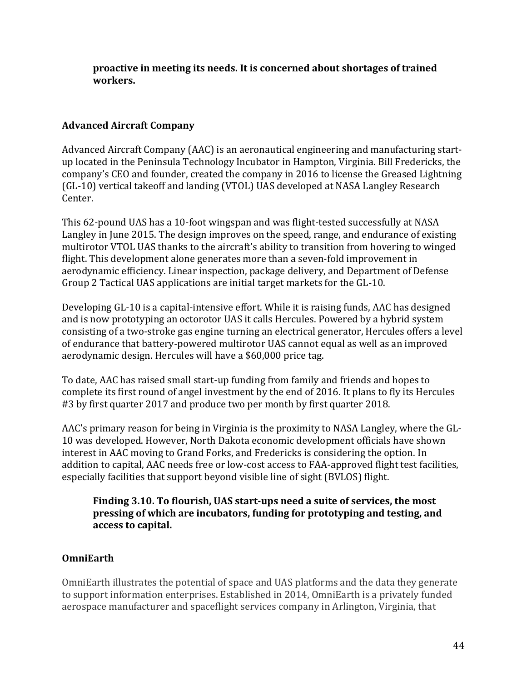**proactive in meeting its needs. It is concerned about shortages of trained workers.**

# **Advanced Aircraft Company**

Advanced Aircraft Company (AAC) is an aeronautical engineering and manufacturing startup located in the Peninsula Technology Incubator in Hampton, Virginia. Bill Fredericks, the company's CEO and founder, created the company in 2016 to license the Greased Lightning (GL-10) vertical takeoff and landing (VTOL) UAS developed at NASA Langley Research Center.

This 62-pound UAS has a 10-foot wingspan and was flight-tested successfully at NASA Langley in June 2015. The design improves on the speed, range, and endurance of existing multirotor VTOL UAS thanks to the aircraft's ability to transition from hovering to winged flight. This development alone generates more than a seven-fold improvement in aerodynamic efficiency. Linear inspection, package delivery, and Department of Defense Group 2 Tactical UAS applications are initial target markets for the GL-10.

Developing GL-10 is a capital-intensive effort. While it is raising funds, AAC has designed and is now prototyping an octorotor UAS it calls Hercules. Powered by a hybrid system consisting of a two-stroke gas engine turning an electrical generator, Hercules offers a level of endurance that battery-powered multirotor UAS cannot equal as well as an improved aerodynamic design. Hercules will have a \$60,000 price tag.

To date, AAC has raised small start-up funding from family and friends and hopes to complete its first round of angel investment by the end of 2016. It plans to fly its Hercules #3 by first quarter 2017 and produce two per month by first quarter 2018.

AAC's primary reason for being in Virginia is the proximity to NASA Langley, where the GL-10 was developed. However, North Dakota economic development officials have shown interest in AAC moving to Grand Forks, and Fredericks is considering the option. In addition to capital, AAC needs free or low-cost access to FAA-approved flight test facilities, especially facilities that support beyond visible line of sight (BVLOS) flight.

**Finding 3.10. To flourish, UAS start-ups need a suite of services, the most pressing of which are incubators, funding for prototyping and testing, and access to capital.** 

### **OmniEarth**

OmniEarth illustrates the potential of space and UAS platforms and the data they generate to support information enterprises. Established in 2014, OmniEarth is a privately funded aerospace manufacturer and spaceflight services company in Arlington, Virginia, that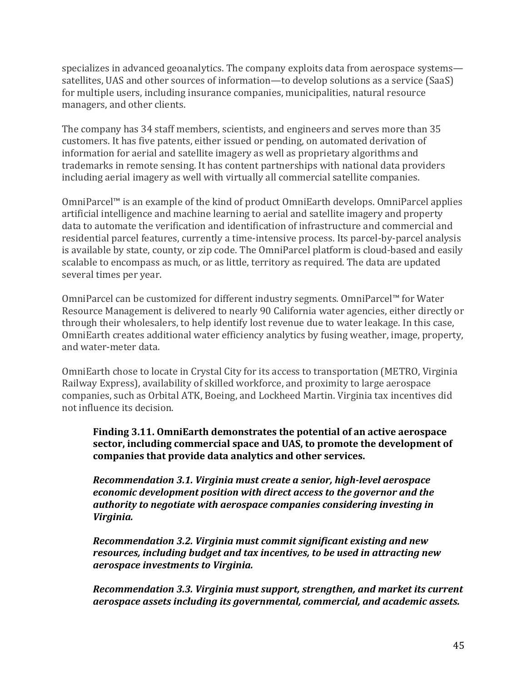specializes in advanced geoanalytics. The company exploits data from aerospace systems satellites, UAS and other sources of information—to develop solutions as a service (SaaS) for multiple users, including insurance companies, municipalities, natural resource managers, and other clients.

The company has 34 staff members, scientists, and engineers and serves more than 35 customers. It has five patents, either issued or pending, on automated derivation of information for aerial and satellite imagery as well as proprietary algorithms and trademarks in remote sensing. It has content partnerships with national data providers including aerial imagery as well with virtually all commercial satellite companies.

OmniParcel™ is an example of the kind of product OmniEarth develops. OmniParcel applies artificial intelligence and machine learning to aerial and satellite imagery and property data to automate the verification and identification of infrastructure and commercial and residential parcel features, currently a time-intensive process. Its parcel-by-parcel analysis is available by state, county, or zip code. The OmniParcel platform is cloud-based and easily scalable to encompass as much, or as little, territory as required. The data are updated several times per year.

OmniParcel can be customized for different industry segments. OmniParcel™ for Water Resource Management is delivered to nearly 90 California water agencies, either directly or through their wholesalers, to help identify lost revenue due to water leakage. In this case, OmniEarth creates additional water efficiency analytics by fusing weather, image, property, and water-meter data.

OmniEarth chose to locate in Crystal City for its access to transportation (METRO, Virginia Railway Express), availability of skilled workforce, and proximity to large aerospace companies, such as Orbital ATK, Boeing, and Lockheed Martin. Virginia tax incentives did not influence its decision.

### **Finding 3.11. OmniEarth demonstrates the potential of an active aerospace sector, including commercial space and UAS, to promote the development of companies that provide data analytics and other services.**

*Recommendation 3.1. Virginia must create a senior, high-level aerospace economic development position with direct access to the governor and the authority to negotiate with aerospace companies considering investing in Virginia.*

*Recommendation 3.2. Virginia must commit significant existing and new resources, including budget and tax incentives, to be used in attracting new aerospace investments to Virginia.*

*Recommendation 3.3. Virginia must support, strengthen, and market its current aerospace assets including its governmental, commercial, and academic assets.*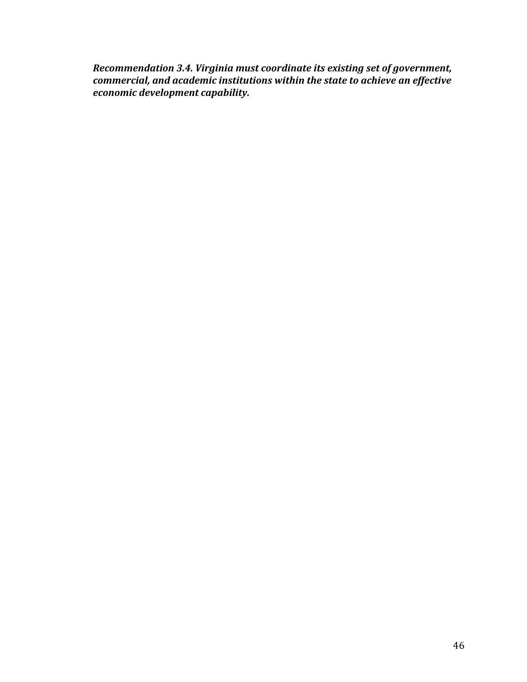*Recommendation 3.4. Virginia must coordinate its existing set of government, commercial, and academic institutions within the state to achieve an effective economic development capability.*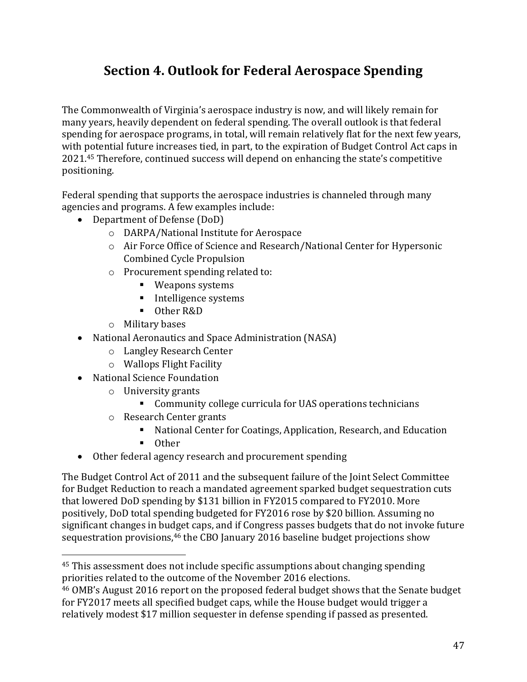# **Section 4. Outlook for Federal Aerospace Spending**

The Commonwealth of Virginia's aerospace industry is now, and will likely remain for many years, heavily dependent on federal spending. The overall outlook is that federal spending for aerospace programs, in total, will remain relatively flat for the next few years, with potential future increases tied, in part, to the expiration of Budget Control Act caps in 2021.<sup>45</sup> Therefore, continued success will depend on enhancing the state's competitive positioning.

Federal spending that supports the aerospace industries is channeled through many agencies and programs. A few examples include:

- Department of Defense (DoD)
	- o DARPA/National Institute for Aerospace
	- o Air Force Office of Science and Research/National Center for Hypersonic Combined Cycle Propulsion
	- o Procurement spending related to:
		- Weapons systems
		- **Intelligence systems**
		- Other R&D
	- o Military bases
- National Aeronautics and Space Administration (NASA)
	- o Langley Research Center
	- o Wallops Flight Facility
- National Science Foundation
	- o University grants
		- Community college curricula for UAS operations technicians
	- o Research Center grants
		- National Center for Coatings, Application, Research, and Education
		- **Other**

l

Other federal agency research and procurement spending

The Budget Control Act of 2011 and the subsequent failure of the Joint Select Committee for Budget Reduction to reach a mandated agreement sparked budget sequestration cuts that lowered DoD spending by \$131 billion in FY2015 compared to FY2010. More positively, DoD total spending budgeted for FY2016 rose by \$20 billion. Assuming no significant changes in budget caps, and if Congress passes budgets that do not invoke future sequestration provisions,<sup>46</sup> the CBO January 2016 baseline budget projections show

<sup>45</sup> This assessment does not include specific assumptions about changing spending priorities related to the outcome of the November 2016 elections.

<sup>46</sup> OMB's August 2016 report on the proposed federal budget shows that the Senate budget for FY2017 meets all specified budget caps, while the House budget would trigger a relatively modest \$17 million sequester in defense spending if passed as presented.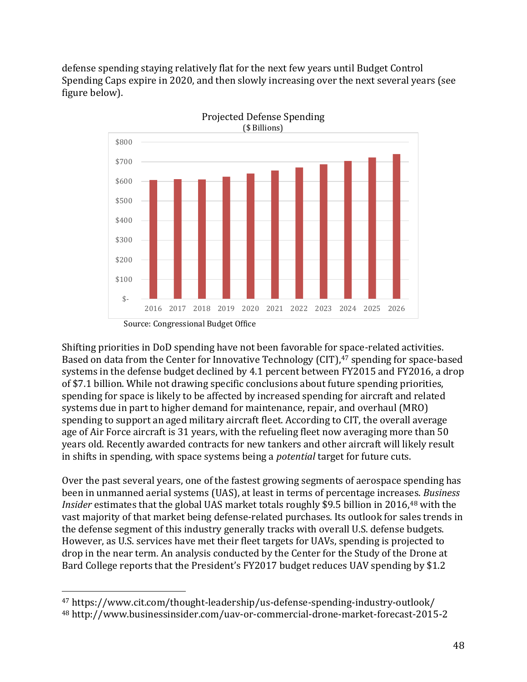defense spending staying relatively flat for the next few years until Budget Control Spending Caps expire in 2020, and then slowly increasing over the next several years (see figure below).



Shifting priorities in DoD spending have not been favorable for space-related activities. Based on data from the Center for Innovative Technology (CIT), <sup>47</sup> spending for space-based systems in the defense budget declined by 4.1 percent between FY2015 and FY2016, a drop of \$7.1 billion. While not drawing specific conclusions about future spending priorities, spending for space is likely to be affected by increased spending for aircraft and related systems due in part to higher demand for maintenance, repair, and overhaul (MRO) spending to support an aged military aircraft fleet. According to CIT, the overall average age of Air Force aircraft is 31 years, with the refueling fleet now averaging more than 50 years old. Recently awarded contracts for new tankers and other aircraft will likely result in shifts in spending, with space systems being a *potential* target for future cuts.

Over the past several years, one of the fastest growing segments of aerospace spending has been in unmanned aerial systems (UAS), at least in terms of percentage increases. *Business Insider* estimates that the global UAS market totals roughly \$9.5 billion in 2016,<sup>48</sup> with the vast majority of that market being defense-related purchases. Its outlook for sales trends in the defense segment of this industry generally tracks with overall U.S. defense budgets. However, as U.S. services have met their fleet targets for UAVs, spending is projected to drop in the near term. An analysis conducted by the Center for the Study of the Drone at Bard College reports that the President's FY2017 budget reduces UAV spending by \$1.2

 $\overline{a}$ 

<sup>47</sup> https://www.cit.com/thought-leadership/us-defense-spending-industry-outlook/

<sup>48</sup> http://www.businessinsider.com/uav-or-commercial-drone-market-forecast-2015-2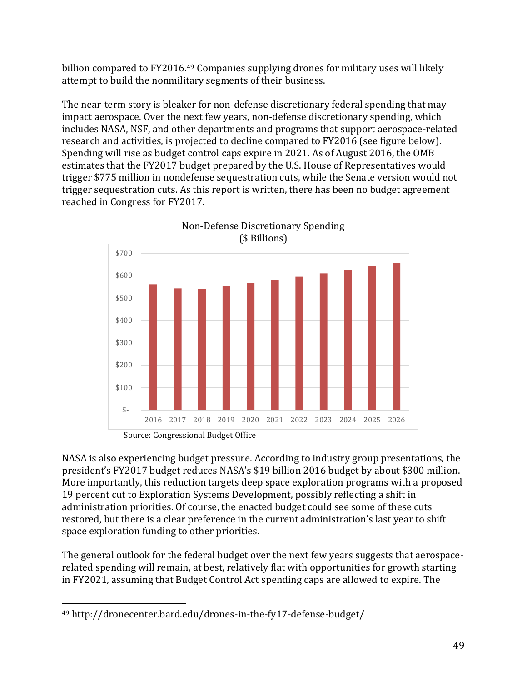billion compared to FY2016.<sup>49</sup> Companies supplying drones for military uses will likely attempt to build the nonmilitary segments of their business.

The near-term story is bleaker for non-defense discretionary federal spending that may impact aerospace. Over the next few years, non-defense discretionary spending, which includes NASA, NSF, and other departments and programs that support aerospace-related research and activities, is projected to decline compared to FY2016 (see figure below). Spending will rise as budget control caps expire in 2021. As of August 2016, the OMB estimates that the FY2017 budget prepared by the U.S. House of Representatives would trigger \$775 million in nondefense sequestration cuts, while the Senate version would not trigger sequestration cuts. As this report is written, there has been no budget agreement reached in Congress for FY2017.



Non-Defense Discretionary Spending

NASA is also experiencing budget pressure. According to industry group presentations, the president's FY2017 budget reduces NASA's \$19 billion 2016 budget by about \$300 million. More importantly, this reduction targets deep space exploration programs with a proposed 19 percent cut to Exploration Systems Development, possibly reflecting a shift in administration priorities. Of course, the enacted budget could see some of these cuts restored, but there is a clear preference in the current administration's last year to shift space exploration funding to other priorities.

The general outlook for the federal budget over the next few years suggests that aerospacerelated spending will remain, at best, relatively flat with opportunities for growth starting in FY2021, assuming that Budget Control Act spending caps are allowed to expire. The

l

<sup>49</sup> http://dronecenter.bard.edu/drones-in-the-fy17-defense-budget/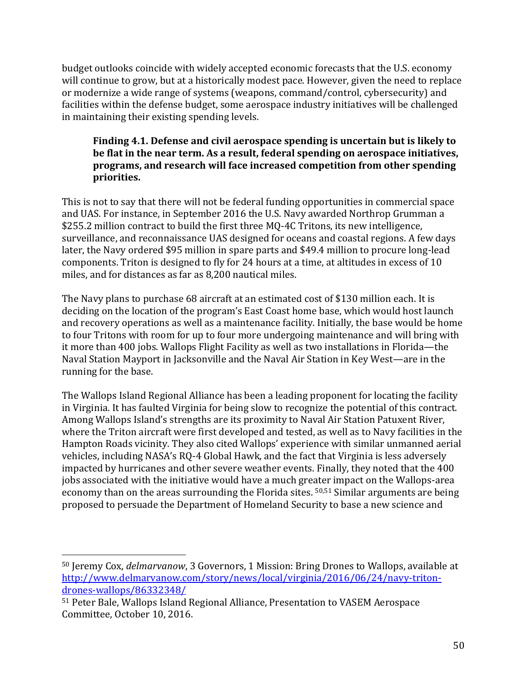budget outlooks coincide with widely accepted economic forecasts that the U.S. economy will continue to grow, but at a historically modest pace. However, given the need to replace or modernize a wide range of systems (weapons, command/control, cybersecurity) and facilities within the defense budget, some aerospace industry initiatives will be challenged in maintaining their existing spending levels.

### **Finding 4.1. Defense and civil aerospace spending is uncertain but is likely to be flat in the near term. As a result, federal spending on aerospace initiatives, programs, and research will face increased competition from other spending priorities.**

This is not to say that there will not be federal funding opportunities in commercial space and UAS. For instance, in September 2016 the U.S. Navy awarded Northrop Grumman a \$255.2 million contract to build the first three MQ-4C Tritons, its new intelligence, surveillance, and reconnaissance UAS designed for oceans and coastal regions. A few days later, the Navy ordered \$95 million in spare parts and \$49.4 million to procure long-lead components. Triton is designed to fly for 24 hours at a time, at altitudes in excess of 10 miles, and for distances as far as 8,200 nautical miles.

The Navy plans to purchase 68 aircraft at an estimated cost of \$130 million each. It is deciding on the location of the program's East Coast home base, which would host launch and recovery operations as well as a maintenance facility. Initially, the base would be home to four Tritons with room for up to four more undergoing maintenance and will bring with it more than 400 jobs. Wallops Flight Facility as well as two installations in Florida—the Naval Station Mayport in Jacksonville and the Naval Air Station in Key West—are in the running for the base.

The Wallops Island Regional Alliance has been a leading proponent for locating the facility in Virginia. It has faulted Virginia for being slow to recognize the potential of this contract. Among Wallops Island's strengths are its proximity to Naval Air Station Patuxent River, where the Triton aircraft were first developed and tested, as well as to Navy facilities in the Hampton Roads vicinity. They also cited Wallops' experience with similar unmanned aerial vehicles, including NASA's RQ-4 Global Hawk, and the fact that Virginia is less adversely impacted by hurricanes and other severe weather events. Finally, they noted that the 400 jobs associated with the initiative would have a much greater impact on the Wallops-area economy than on the areas surrounding the Florida sites. 50,51 Similar arguments are being proposed to persuade the Department of Homeland Security to base a new science and

l

<sup>50</sup> Jeremy Cox, *delmarvanow*, 3 Governors, 1 Mission: Bring Drones to Wallops, available at [http://www.delmarvanow.com/story/news/local/virginia/2016/06/24/navy-triton](http://www.delmarvanow.com/story/news/local/virginia/2016/06/24/navy-triton-drones-wallops/86332348/)[drones-wallops/86332348/](http://www.delmarvanow.com/story/news/local/virginia/2016/06/24/navy-triton-drones-wallops/86332348/)

<sup>51</sup> Peter Bale, Wallops Island Regional Alliance, Presentation to VASEM Aerospace Committee, October 10, 2016.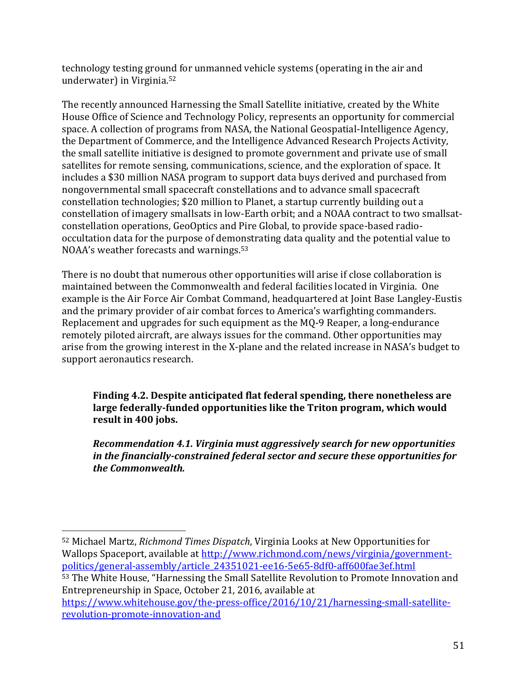technology testing ground for unmanned vehicle systems (operating in the air and underwater) in Virginia. 52

The recently announced Harnessing the Small Satellite initiative, created by the White House Office of Science and Technology Policy, represents an opportunity for commercial space. A collection of programs from NASA, the National Geospatial-Intelligence Agency, the Department of Commerce, and the Intelligence Advanced Research Projects Activity, the small satellite initiative is designed to promote government and private use of small satellites for remote sensing, communications, science, and the exploration of space. It includes a \$30 million NASA program to support data buys derived and purchased from nongovernmental small spacecraft constellations and to advance small spacecraft constellation technologies; \$20 million to Planet, a startup currently building out a constellation of imagery smallsats in low-Earth orbit; and a NOAA contract to two smallsatconstellation operations, GeoOptics and Pire Global, to provide space-based radiooccultation data for the purpose of demonstrating data quality and the potential value to NOAA's weather forecasts and warnings.<sup>53</sup>

There is no doubt that numerous other opportunities will arise if close collaboration is maintained between the Commonwealth and federal facilities located in Virginia. One example is the Air Force Air Combat Command, headquartered at Joint Base Langley-Eustis and the primary provider of air combat forces to America's warfighting commanders. Replacement and upgrades for such equipment as the MQ-9 Reaper, a long-endurance remotely piloted aircraft, are always issues for the command. Other opportunities may arise from the growing interest in the X-plane and the related increase in NASA's budget to support aeronautics research.

**Finding 4.2. Despite anticipated flat federal spending, there nonetheless are large federally-funded opportunities like the Triton program, which would result in 400 jobs.** 

*Recommendation 4.1. Virginia must aggressively search for new opportunities in the financially-constrained federal sector and secure these opportunities for the Commonwealth.*

<sup>52</sup> Michael Martz, *Richmond Times Dispatch*, Virginia Looks at New Opportunities for Wallops Spaceport, available at [http://www.richmond.com/news/virginia/government](http://www.richmond.com/news/virginia/government-politics/general-assembly/article_24351021-ee16-5e65-8df0-aff600fae3ef.html)[politics/general-assembly/article\\_24351021-ee16-5e65-8df0-aff600fae3ef.html](http://www.richmond.com/news/virginia/government-politics/general-assembly/article_24351021-ee16-5e65-8df0-aff600fae3ef.html)

 $\overline{a}$ 

<sup>53</sup> The White House, "Harnessing the Small Satellite Revolution to Promote Innovation and Entrepreneurship in Space, October 21, 2016, available at

[https://www.whitehouse.gov/the-press-office/2016/10/21/harnessing-small-satellite](https://www.whitehouse.gov/the-press-office/2016/10/21/harnessing-small-satellite-revolution-promote-innovation-and)[revolution-promote-innovation-and](https://www.whitehouse.gov/the-press-office/2016/10/21/harnessing-small-satellite-revolution-promote-innovation-and)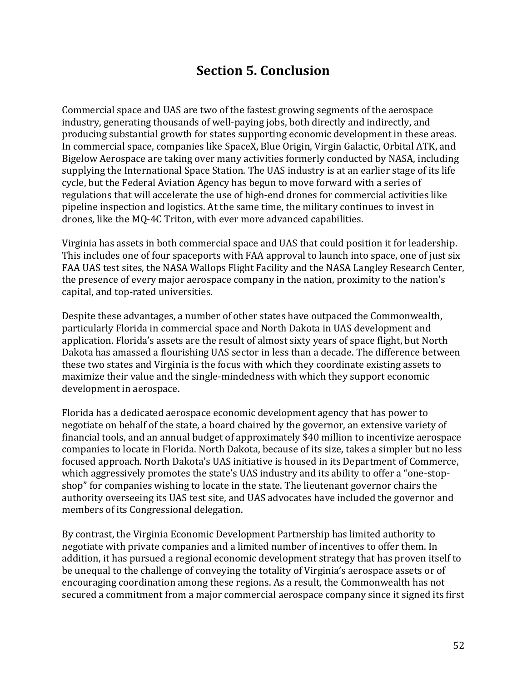# **Section 5. Conclusion**

Commercial space and UAS are two of the fastest growing segments of the aerospace industry, generating thousands of well-paying jobs, both directly and indirectly, and producing substantial growth for states supporting economic development in these areas. In commercial space, companies like SpaceX, Blue Origin, Virgin Galactic, Orbital ATK, and Bigelow Aerospace are taking over many activities formerly conducted by NASA, including supplying the International Space Station. The UAS industry is at an earlier stage of its life cycle, but the Federal Aviation Agency has begun to move forward with a series of regulations that will accelerate the use of high-end drones for commercial activities like pipeline inspection and logistics. At the same time, the military continues to invest in drones, like the MQ-4C Triton, with ever more advanced capabilities.

Virginia has assets in both commercial space and UAS that could position it for leadership. This includes one of four spaceports with FAA approval to launch into space, one of just six FAA UAS test sites, the NASA Wallops Flight Facility and the NASA Langley Research Center, the presence of every major aerospace company in the nation, proximity to the nation's capital, and top-rated universities.

Despite these advantages, a number of other states have outpaced the Commonwealth, particularly Florida in commercial space and North Dakota in UAS development and application. Florida's assets are the result of almost sixty years of space flight, but North Dakota has amassed a flourishing UAS sector in less than a decade. The difference between these two states and Virginia is the focus with which they coordinate existing assets to maximize their value and the single-mindedness with which they support economic development in aerospace.

Florida has a dedicated aerospace economic development agency that has power to negotiate on behalf of the state, a board chaired by the governor, an extensive variety of financial tools, and an annual budget of approximately \$40 million to incentivize aerospace companies to locate in Florida. North Dakota, because of its size, takes a simpler but no less focused approach. North Dakota's UAS initiative is housed in its Department of Commerce, which aggressively promotes the state's UAS industry and its ability to offer a "one-stopshop" for companies wishing to locate in the state. The lieutenant governor chairs the authority overseeing its UAS test site, and UAS advocates have included the governor and members of its Congressional delegation.

By contrast, the Virginia Economic Development Partnership has limited authority to negotiate with private companies and a limited number of incentives to offer them. In addition, it has pursued a regional economic development strategy that has proven itself to be unequal to the challenge of conveying the totality of Virginia's aerospace assets or of encouraging coordination among these regions. As a result, the Commonwealth has not secured a commitment from a major commercial aerospace company since it signed its first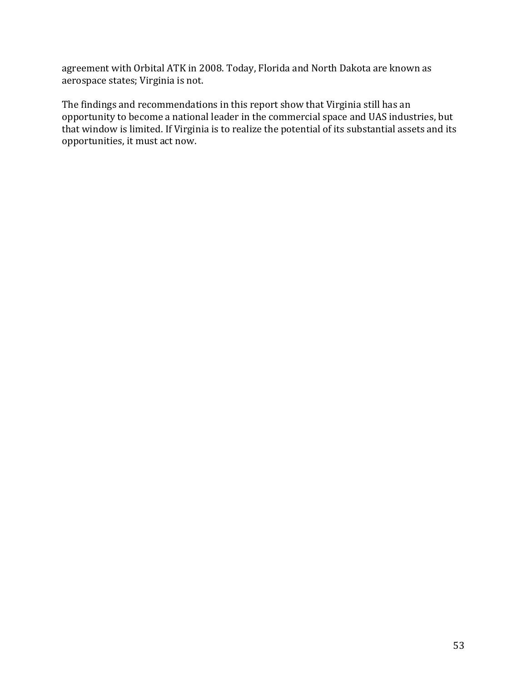agreement with Orbital ATK in 2008. Today, Florida and North Dakota are known as aerospace states; Virginia is not.

The findings and recommendations in this report show that Virginia still has an opportunity to become a national leader in the commercial space and UAS industries, but that window is limited. If Virginia is to realize the potential of its substantial assets and its opportunities, it must act now.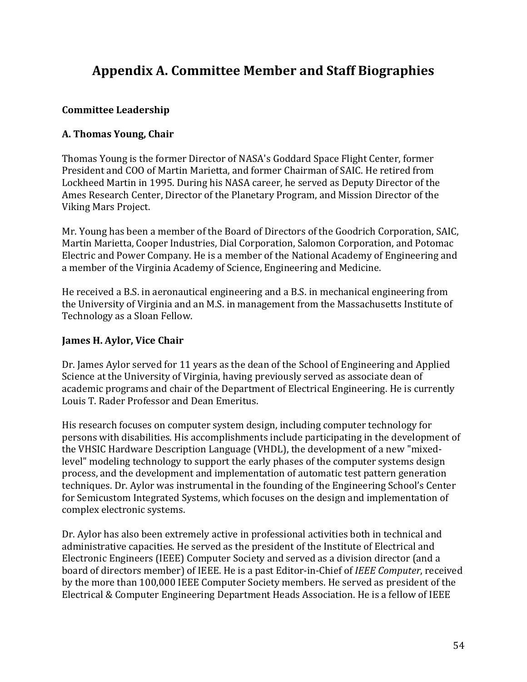# **Appendix A. Committee Member and Staff Biographies**

### **Committee Leadership**

# **A. Thomas Young, Chair**

Thomas Young is the former Director of NASA's Goddard Space Flight Center, former President and COO of Martin Marietta, and former Chairman of SAIC. He retired from Lockheed Martin in 1995. During his NASA career, he served as Deputy Director of the Ames Research Center, Director of the Planetary Program, and Mission Director of the Viking Mars Project.

Mr. Young has been a member of the Board of Directors of the Goodrich Corporation, SAIC, Martin Marietta, Cooper Industries, Dial Corporation, Salomon Corporation, and Potomac Electric and Power Company. He is a member of the National Academy of Engineering and a member of the Virginia Academy of Science, Engineering and Medicine.

He received a B.S. in aeronautical engineering and a B.S. in mechanical engineering from the University of Virginia and an M.S. in management from the Massachusetts Institute of Technology as a Sloan Fellow.

## **James H. Aylor, Vice Chair**

Dr. James Aylor served for 11 years as the dean of the School of Engineering and Applied Science at the University of Virginia, having previously served as associate dean of academic programs and chair of the Department of Electrical Engineering. He is currently Louis T. Rader Professor and Dean Emeritus.

His research focuses on computer system design, including computer technology for persons with disabilities. His accomplishments include participating in the development of the VHSIC Hardware Description Language (VHDL), the development of a new "mixedlevel" modeling technology to support the early phases of the computer systems design process, and the development and implementation of automatic test pattern generation techniques. Dr. Aylor was instrumental in the founding of the Engineering School's Center for Semicustom Integrated Systems, which focuses on the design and implementation of complex electronic systems.

Dr. Aylor has also been extremely active in professional activities both in technical and administrative capacities. He served as the president of the Institute of Electrical and Electronic Engineers (IEEE) Computer Society and served as a division director (and a board of directors member) of IEEE. He is a past Editor-in-Chief of *IEEE Computer*, received by the more than 100,000 IEEE Computer Society members. He served as president of the Electrical & Computer Engineering Department Heads Association. He is a fellow of IEEE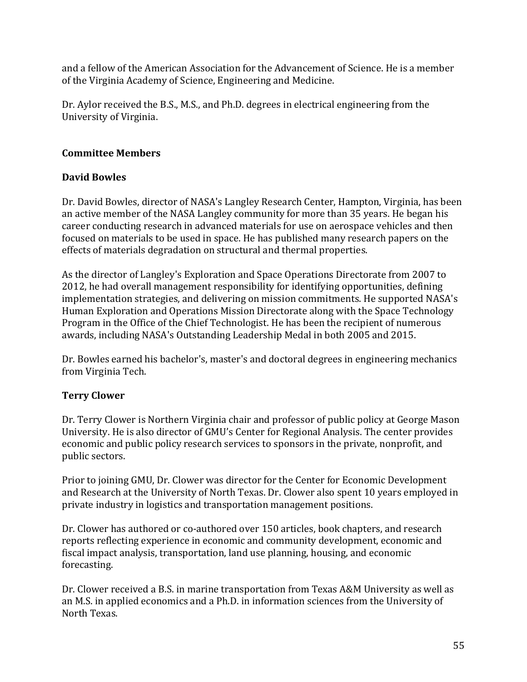and a fellow of the American Association for the Advancement of Science. He is a member of the Virginia Academy of Science, Engineering and Medicine.

Dr. Aylor received the B.S., M.S., and Ph.D. degrees in electrical engineering from the University of Virginia.

## **Committee Members**

# **David Bowles**

Dr. David Bowles, director of NASA's Langley Research Center, Hampton, Virginia, has been an active member of the NASA Langley community for more than 35 years. He began his career conducting research in advanced materials for use on aerospace vehicles and then focused on materials to be used in space. He has published many research papers on the effects of materials degradation on structural and thermal properties.

As the director of Langley's Exploration and Space Operations Directorate from 2007 to 2012, he had overall management responsibility for identifying opportunities, defining implementation strategies, and delivering on mission commitments. He supported NASA's Human Exploration and Operations Mission Directorate along with the Space Technology Program in the Office of the Chief Technologist. He has been the recipient of numerous awards, including NASA's Outstanding Leadership Medal in both 2005 and 2015.

Dr. Bowles earned his bachelor's, master's and doctoral degrees in engineering mechanics from Virginia Tech.

# **Terry Clower**

Dr. Terry Clower is Northern Virginia chair and professor of public policy at George Mason University. He is also director of GMU's Center for Regional Analysis. The center provides economic and public policy research services to sponsors in the private, nonprofit, and public sectors.

Prior to joining GMU, Dr. Clower was director for the Center for Economic Development and Research at the University of North Texas. Dr. Clower also spent 10 years employed in private industry in logistics and transportation management positions.

Dr. Clower has authored or co-authored over 150 articles, book chapters, and research reports reflecting experience in economic and community development, economic and fiscal impact analysis, transportation, land use planning, housing, and economic forecasting.

Dr. Clower received a B.S. in marine transportation from Texas A&M University as well as an M.S. in applied economics and a Ph.D. in information sciences from the University of North Texas.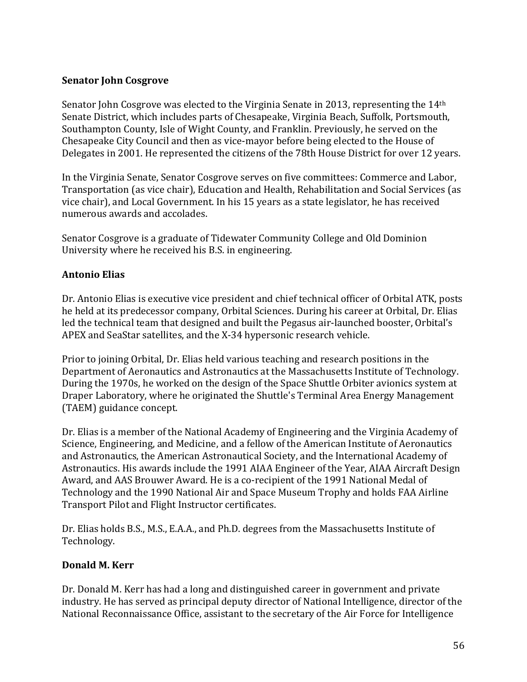### **Senator John Cosgrove**

Senator John Cosgrove was elected to the Virginia Senate in 2013, representing the 14th Senate District, which includes parts of Chesapeake, Virginia Beach, Suffolk, Portsmouth, Southampton County, Isle of Wight County, and Franklin. Previously, he served on the Chesapeake City Council and then as vice-mayor before being elected to the House of Delegates in 2001. He represented the citizens of the 78th House District for over 12 years.

In the Virginia Senate, Senator Cosgrove serves on five committees: Commerce and Labor, Transportation (as vice chair), Education and Health, Rehabilitation and Social Services (as vice chair), and Local Government. In his 15 years as a state legislator, he has received numerous awards and accolades.

Senator Cosgrove is a graduate of Tidewater Community College and Old Dominion University where he received his B.S. in engineering.

### **Antonio Elias**

Dr. Antonio Elias is executive vice president and chief technical officer of Orbital ATK, posts he held at its predecessor company, Orbital Sciences. During his career at Orbital, Dr. Elias led the technical team that designed and built the Pegasus air-launched booster, Orbital's APEX and SeaStar satellites, and the X-34 hypersonic research vehicle.

Prior to joining Orbital, Dr. Elias held various teaching and research positions in the Department of Aeronautics and Astronautics at the Massachusetts Institute of Technology. During the 1970s, he worked on the design of the Space Shuttle Orbiter avionics system at Draper Laboratory, where he originated the Shuttle's Terminal Area Energy Management (TAEM) guidance concept.

Dr. Elias is a member of the National Academy of Engineering and the Virginia Academy of Science, Engineering, and Medicine, and a fellow of the American Institute of Aeronautics and Astronautics, the American Astronautical Society, and the International Academy of Astronautics. His awards include the 1991 AIAA Engineer of the Year, AIAA Aircraft Design Award, and AAS Brouwer Award. He is a co-recipient of the 1991 National Medal of Technology and the 1990 National Air and Space Museum Trophy and holds FAA Airline Transport Pilot and Flight Instructor certificates.

Dr. Elias holds B.S., M.S., E.A.A., and Ph.D. degrees from the Massachusetts Institute of Technology.

### **Donald M. Kerr**

Dr. Donald M. Kerr has had a long and distinguished career in government and private industry. He has served as principal deputy director of National Intelligence, director of the National Reconnaissance Office, assistant to the secretary of the Air Force for Intelligence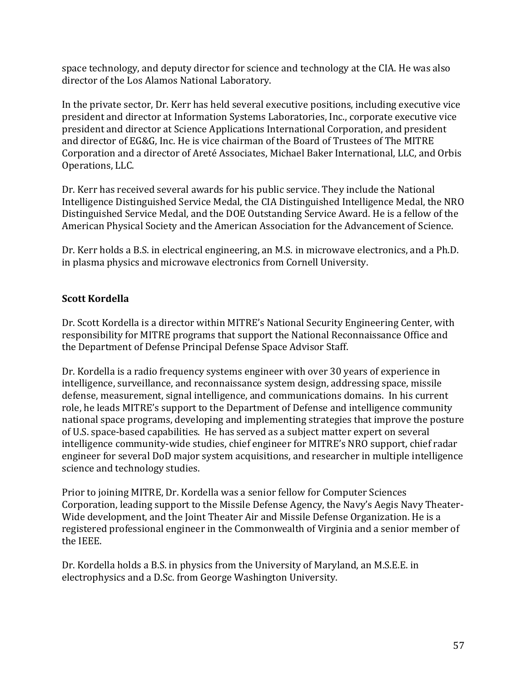space technology, and deputy director for science and technology at the CIA. He was also director of the Los Alamos National Laboratory.

In the private sector, Dr. Kerr has held several executive positions, including executive vice president and director at Information Systems Laboratories, Inc., corporate executive vice president and director at Science Applications International Corporation, and president and director of EG&G, Inc. He is vice chairman of the Board of Trustees of The MITRE Corporation and a director of Areté Associates, Michael Baker International, LLC, and Orbis Operations, LLC.

Dr. Kerr has received several awards for his public service. They include the National Intelligence Distinguished Service Medal, the CIA Distinguished Intelligence Medal, the NRO Distinguished Service Medal, and the DOE Outstanding Service Award. He is a fellow of the American Physical Society and the American Association for the Advancement of Science.

Dr. Kerr holds a B.S. in electrical engineering, an M.S. in microwave electronics, and a Ph.D. in plasma physics and microwave electronics from Cornell University.

# **Scott Kordella**

Dr. Scott Kordella is a director within MITRE's National Security Engineering Center, with responsibility for MITRE programs that support the National Reconnaissance Office and the Department of Defense Principal Defense Space Advisor Staff.

Dr. Kordella is a radio frequency systems engineer with over 30 years of experience in intelligence, surveillance, and reconnaissance system design, addressing space, missile defense, measurement, signal intelligence, and communications domains. In his current role, he leads MITRE's support to the Department of Defense and intelligence community national space programs, developing and implementing strategies that improve the posture of U.S. space-based capabilities. He has served as a subject matter expert on several intelligence community-wide studies, chief engineer for MITRE's NRO support, chief radar engineer for several DoD major system acquisitions, and researcher in multiple intelligence science and technology studies.

Prior to joining MITRE, Dr. Kordella was a senior fellow for Computer Sciences Corporation, leading support to the Missile Defense Agency, the Navy's Aegis Navy Theater-Wide development, and the Joint Theater Air and Missile Defense Organization. He is a registered professional engineer in the Commonwealth of Virginia and a senior member of the IEEE.

Dr. Kordella holds a B.S. in physics from the University of Maryland, an M.S.E.E. in electrophysics and a D.Sc. from George Washington University.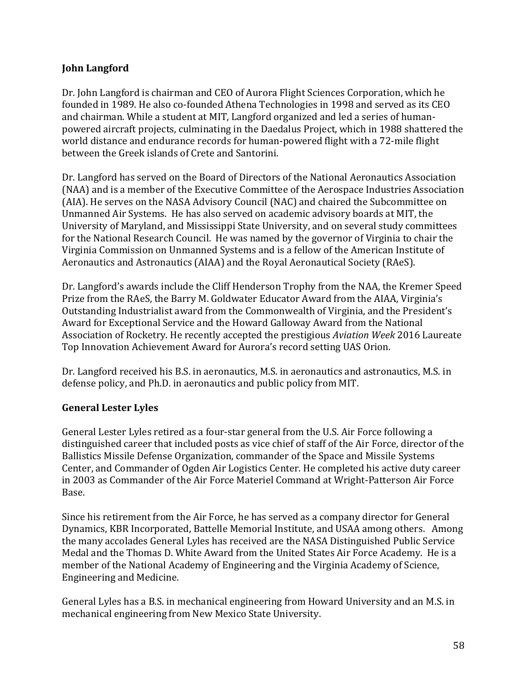### **John Langford**

Dr. John Langford is chairman and CEO of Aurora Flight Sciences Corporation, which he founded in 1989. He also co-founded Athena Technologies in 1998 and served as its CEO and chairman. While a student at MIT, Langford organized and led a series of humanpowered aircraft projects, culminating in the Daedalus Project, which in 1988 shattered the world distance and endurance records for human-powered flight with a 72-mile flight between the Greek islands of Crete and Santorini.

Dr. Langford has served on the Board of Directors of the National Aeronautics Association (NAA) and is a member of the Executive Committee of the Aerospace Industries Association (AIA). He serves on the NASA Advisory Council (NAC) and chaired the Subcommittee on Unmanned Air Systems. He has also served on academic advisory boards at MIT, the University of Maryland, and Mississippi State University, and on several study committees for the National Research Council. He was named by the governor of Virginia to chair the Virginia Commission on Unmanned Systems and is a fellow of the American Institute of Aeronautics and Astronautics (AIAA) and the Royal Aeronautical Society (RAeS).

Dr. Langford's awards include the Cliff Henderson Trophy from the NAA, the Kremer Speed Prize from the RAeS, the Barry M. Goldwater Educator Award from the AIAA, Virginia's Outstanding Industrialist award from the Commonwealth of Virginia, and the President's Award for Exceptional Service and the Howard Galloway Award from the National Association of Rocketry. He recently accepted the prestigious *Aviation Week* 2016 Laureate Top Innovation Achievement Award for Aurora's record setting UAS Orion.

Dr. Langford received his B.S. in aeronautics, M.S. in aeronautics and astronautics, M.S. in defense policy, and Ph.D. in aeronautics and public policy from MIT.

### **General Lester Lyles**

General Lester Lyles retired as a four-star general from the U.S. Air Force following a distinguished career that included posts as vice chief of staff of the Air Force, director of the Ballistics Missile Defense Organization, commander of the Space and Missile Systems Center, and Commander of Ogden Air Logistics Center. He completed his active duty career in 2003 as Commander of the Air Force Materiel Command at Wright-Patterson Air Force Base.

Since his retirement from the Air Force, he has served as a company director for General Dynamics, KBR Incorporated, Battelle Memorial Institute, and USAA among others. Among the many accolades General Lyles has received are the NASA Distinguished Public Service Medal and the Thomas D. White Award from the United States Air Force Academy. He is a member of the National Academy of Engineering and the Virginia Academy of Science, Engineering and Medicine.

General Lyles has a B.S. in mechanical engineering from Howard University and an M.S. in mechanical engineering from New Mexico State University.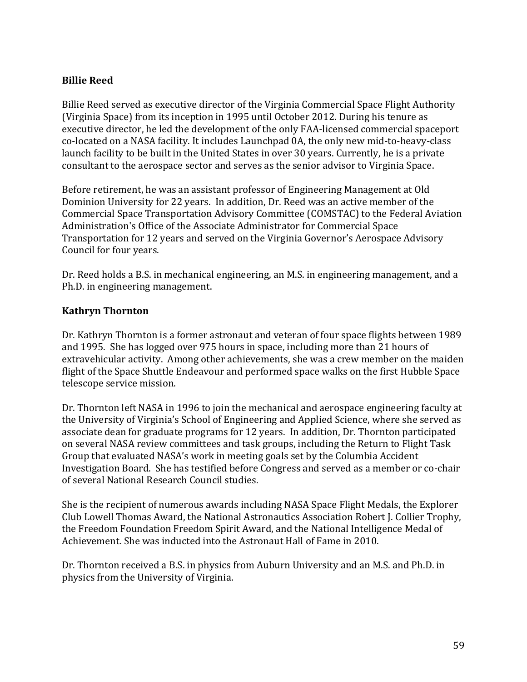### **Billie Reed**

Billie Reed served as executive director of the Virginia Commercial Space Flight Authority (Virginia Space) from its inception in 1995 until October 2012. During his tenure as executive director, he led the development of the only FAA-licensed commercial spaceport co-located on a NASA facility. It includes Launchpad 0A, the only new mid-to-heavy-class launch facility to be built in the United States in over 30 years. Currently, he is a private consultant to the aerospace sector and serves as the senior advisor to Virginia Space.

Before retirement, he was an assistant professor of Engineering Management at Old Dominion University for 22 years. In addition, Dr. Reed was an active member of the Commercial Space Transportation Advisory Committee (COMSTAC) to the Federal Aviation Administration's Office of the Associate Administrator for Commercial Space Transportation for 12 years and served on the Virginia Governor's Aerospace Advisory Council for four years.

Dr. Reed holds a B.S. in mechanical engineering, an M.S. in engineering management, and a Ph.D. in engineering management.

### **Kathryn Thornton**

Dr. Kathryn Thornton is a former astronaut and veteran of four space flights between 1989 and 1995. She has logged over 975 hours in space, including more than 21 hours of extravehicular activity. Among other achievements, she was a crew member on the maiden flight of the Space Shuttle Endeavour and performed space walks on the first Hubble Space telescope service mission.

Dr. Thornton left NASA in 1996 to join the mechanical and aerospace engineering faculty at the University of Virginia's School of Engineering and Applied Science, where she served as associate dean for graduate programs for 12 years. In addition, Dr. Thornton participated on several NASA review committees and task groups, including the Return to Flight Task Group that evaluated NASA's work in meeting goals set by the Columbia Accident Investigation Board. She has testified before Congress and served as a member or co-chair of several National Research Council studies.

She is the recipient of numerous awards including NASA Space Flight Medals, the Explorer Club Lowell Thomas Award, the National Astronautics Association Robert J. Collier Trophy, the Freedom Foundation Freedom Spirit Award, and the National Intelligence Medal of Achievement. She was inducted into the Astronaut Hall of Fame in 2010.

Dr. Thornton received a B.S. in physics from Auburn University and an M.S. and Ph.D. in physics from the University of Virginia.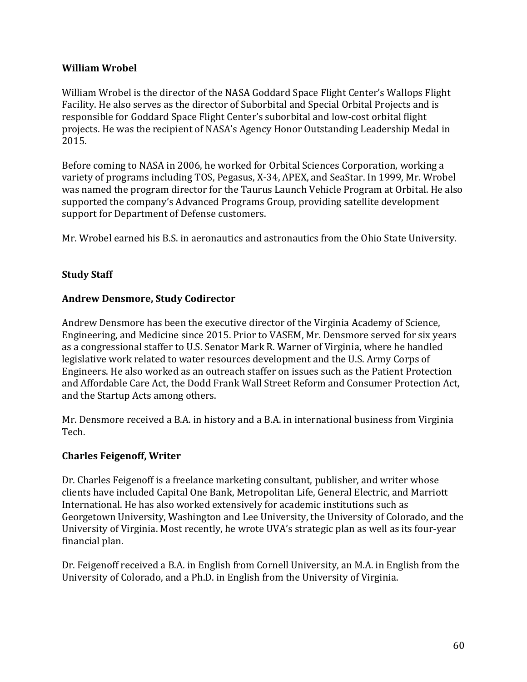### **William Wrobel**

William Wrobel is the director of the NASA Goddard Space Flight Center's Wallops Flight Facility. He also serves as the director of Suborbital and Special Orbital Projects and is responsible for Goddard Space Flight Center's suborbital and low-cost orbital flight projects. He was the recipient of NASA's Agency Honor Outstanding Leadership Medal in 2015.

Before coming to NASA in 2006, he worked for Orbital Sciences Corporation, working a variety of programs including TOS, Pegasus, X-34, APEX, and SeaStar. In 1999, Mr. Wrobel was named the program director for the Taurus Launch Vehicle Program at Orbital. He also supported the company's Advanced Programs Group, providing satellite development support for Department of Defense customers.

Mr. Wrobel earned his B.S. in aeronautics and astronautics from the Ohio State University.

### **Study Staff**

### **Andrew Densmore, Study Codirector**

Andrew Densmore has been the executive director of the Virginia Academy of Science, Engineering, and Medicine since 2015. Prior to VASEM, Mr. Densmore served for six years as a congressional staffer to U.S. Senator Mark R. Warner of Virginia, where he handled legislative work related to water resources development and the U.S. Army Corps of Engineers. He also worked as an outreach staffer on issues such as the Patient Protection and Affordable Care Act, the Dodd Frank Wall Street Reform and Consumer Protection Act, and the Startup Acts among others.

Mr. Densmore received a B.A. in history and a B.A. in international business from Virginia Tech.

### **Charles Feigenoff, Writer**

Dr. Charles Feigenoff is a freelance marketing consultant, publisher, and writer whose clients have included Capital One Bank, Metropolitan Life, General Electric, and Marriott International. He has also worked extensively for academic institutions such as Georgetown University, Washington and Lee University, the University of Colorado, and the University of Virginia. Most recently, he wrote UVA's strategic plan as well as its four-year financial plan.

Dr. Feigenoff received a B.A. in English from Cornell University, an M.A. in English from the University of Colorado, and a Ph.D. in English from the University of Virginia.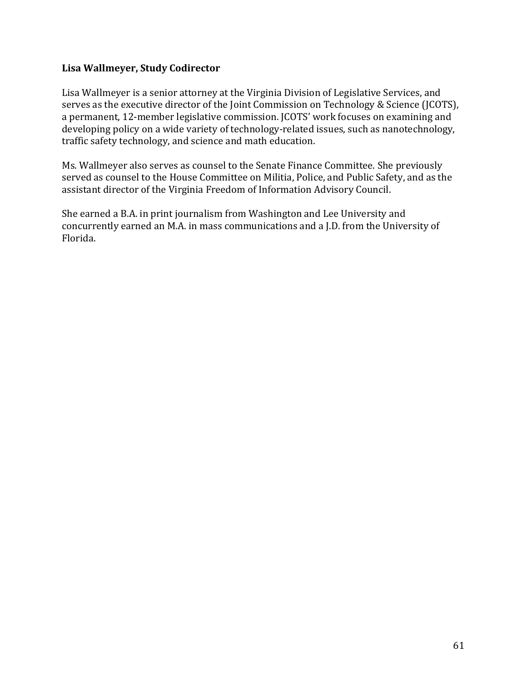### **Lisa Wallmeyer, Study Codirector**

Lisa Wallmeyer is a senior attorney at the Virginia Division of Legislative Services, and serves as the executive director of the Joint Commission on Technology & Science (JCOTS), a permanent, 12-member legislative commission. JCOTS' work focuses on examining and developing policy on a wide variety of technology-related issues, such as nanotechnology, traffic safety technology, and science and math education.

Ms. Wallmeyer also serves as counsel to the Senate Finance Committee. She previously served as counsel to the House Committee on Militia, Police, and Public Safety, and as the assistant director of the Virginia Freedom of Information Advisory Council.

She earned a B.A. in print journalism from Washington and Lee University and concurrently earned an M.A. in mass communications and a J.D. from the University of Florida.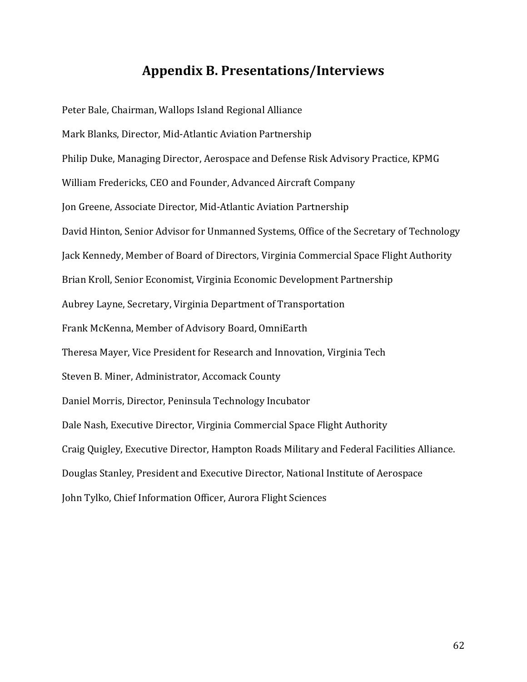# **Appendix B. Presentations/Interviews**

Peter Bale, Chairman, Wallops Island Regional Alliance Mark Blanks, Director, Mid-Atlantic Aviation Partnership Philip Duke, Managing Director, Aerospace and Defense Risk Advisory Practice, KPMG William Fredericks, CEO and Founder, Advanced Aircraft Company Jon Greene, Associate Director, Mid-Atlantic Aviation Partnership David Hinton, Senior Advisor for Unmanned Systems, Office of the Secretary of Technology Jack Kennedy, Member of Board of Directors, Virginia Commercial Space Flight Authority Brian Kroll, Senior Economist, Virginia Economic Development Partnership Aubrey Layne, Secretary, Virginia Department of Transportation Frank McKenna, Member of Advisory Board, OmniEarth Theresa Mayer, Vice President for Research and Innovation, Virginia Tech Steven B. Miner, Administrator, Accomack County Daniel Morris, Director, Peninsula Technology Incubator Dale Nash, Executive Director, Virginia Commercial Space Flight Authority Craig Quigley, Executive Director, Hampton Roads Military and Federal Facilities Alliance. Douglas Stanley, President and Executive Director, National Institute of Aerospace John Tylko, Chief Information Officer, Aurora Flight Sciences